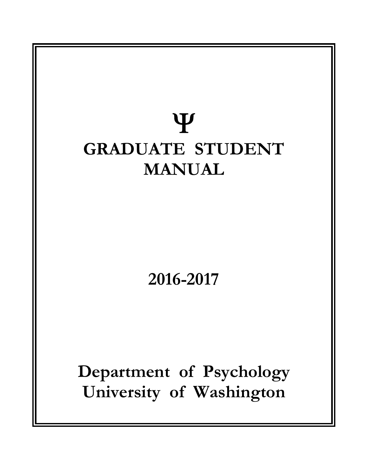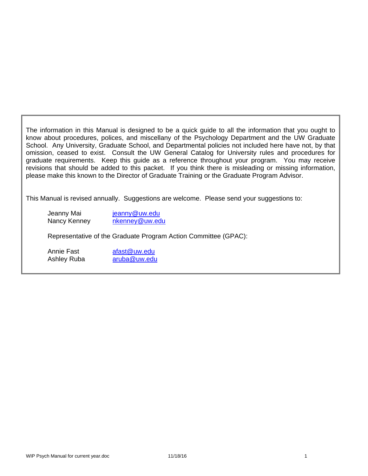The information in this Manual is designed to be a quick guide to all the information that you ought to know about procedures, polices, and miscellany of the Psychology Department and the UW Graduate School. Any University, Graduate School, and Departmental policies not included here have not, by that omission, ceased to exist. Consult the UW General Catalog for University rules and procedures for graduate requirements. Keep this guide as a reference throughout your program. You may receive revisions that should be added to this packet. If you think there is misleading or missing information, please make this known to the Director of Graduate Training or the Graduate Program Advisor.

This Manual is revised annually. Suggestions are welcome. Please send your suggestions to:

Jeanny Mai jeanny@uw.edu Nancy Kenney nkenney@uw.edu

Representative of the Graduate Program Action Committee (GPAC):

Annie Fast afast@uw.edu Ashley Ruba aruba@uw.edu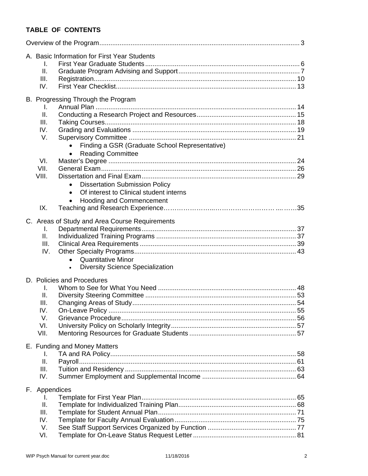# **TABLE OF CONTENTS**

| A. Basic Information for First Year Students<br>I.<br>Ш.<br>III.<br>IV.                                                                                                                                                                                                                                                                                      |  |
|--------------------------------------------------------------------------------------------------------------------------------------------------------------------------------------------------------------------------------------------------------------------------------------------------------------------------------------------------------------|--|
| B. Progressing Through the Program<br>L.<br>ΙΙ.<br>III.<br>IV.<br>V.<br>Finding a GSR (Graduate School Representative)<br><b>Reading Committee</b><br>$\bullet$<br>VI.<br>VII.<br>VIII.<br><b>Dissertation Submission Policy</b><br>$\bullet$<br>Of interest to Clinical student interns<br>$\bullet$<br><b>Hooding and Commencement</b><br>$\bullet$<br>IX. |  |
| C. Areas of Study and Area Course Requirements<br>L.<br>II.<br>III.<br>IV.<br><b>Quantitative Minor</b><br>$\bullet$<br><b>Diversity Science Specialization</b><br>$\bullet$                                                                                                                                                                                 |  |
| D. Policies and Procedures<br>I.<br>II.<br>Ш.<br>IV.<br>V.<br>VI.<br>VII.                                                                                                                                                                                                                                                                                    |  |
| E. Funding and Money Matters<br>I.<br>ΙΙ.<br>III.<br>IV.                                                                                                                                                                                                                                                                                                     |  |
| F. Appendices<br>L.<br>Ⅱ.<br>III.<br>IV.<br>V.<br>VI.                                                                                                                                                                                                                                                                                                        |  |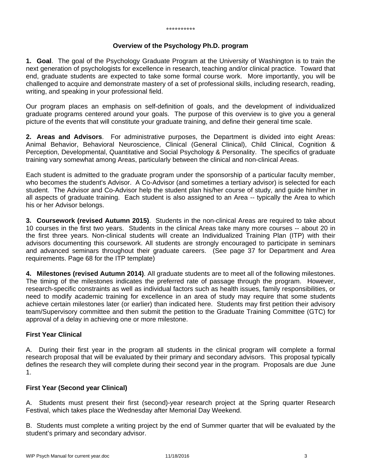#### **Overview of the Psychology Ph.D. program**

**1. Goal**. The goal of the Psychology Graduate Program at the University of Washington is to train the next generation of psychologists for excellence in research, teaching and/or clinical practice. Toward that end, graduate students are expected to take some formal course work. More importantly, you will be challenged to acquire and demonstrate mastery of a set of professional skills, including research, reading, writing, and speaking in your professional field.

Our program places an emphasis on self-definition of goals, and the development of individualized graduate programs centered around your goals. The purpose of this overview is to give you a general picture of the events that will constitute your graduate training, and define their general time scale.

**2. Areas and Advisors**. For administrative purposes, the Department is divided into eight Areas: Animal Behavior, Behavioral Neuroscience, Clinical (General Clinical), Child Clinical, Cognition & Perception, Developmental, Quantitative and Social Psychology & Personality. The specifics of graduate training vary somewhat among Areas, particularly between the clinical and non-clinical Areas.

Each student is admitted to the graduate program under the sponsorship of a particular faculty member, who becomes the student's Advisor. A Co-Advisor (and sometimes a tertiary advisor) is selected for each student. The Advisor and Co-Advisor help the student plan his/her course of study, and guide him/her in all aspects of graduate training. Each student is also assigned to an Area -- typically the Area to which his or her Advisor belongs.

**3. Coursework (revised Autumn 2015)**. Students in the non-clinical Areas are required to take about 10 courses in the first two years. Students in the clinical Areas take many more courses -- about 20 in the first three years. Non-clinical students will create an Individualized Training Plan (ITP) with their advisors documenting this coursework. All students are strongly encouraged to participate in seminars and advanced seminars throughout their graduate careers. (See page 37 for Department and Area requirements. Page 68 for the ITP template)

**4. Milestones (revised Autumn 2014)**. All graduate students are to meet all of the following milestones. The timing of the milestones indicates the preferred rate of passage through the program. However, research-specific constraints as well as individual factors such as health issues, family responsibilities, or need to modify academic training for excellence in an area of study may require that some students achieve certain milestones later (or earlier) than indicated here. Students may first petition their advisory team/Supervisory committee and then submit the petition to the Graduate Training Committee (GTC) for approval of a delay in achieving one or more milestone.

#### **First Year Clinical**

A. During their first year in the program all students in the clinical program will complete a formal research proposal that will be evaluated by their primary and secondary advisors. This proposal typically defines the research they will complete during their second year in the program. Proposals are due June 1.

#### **First Year (Second year Clinical)**

A. Students must present their first (second)-year research project at the Spring quarter Research Festival, which takes place the Wednesday after Memorial Day Weekend.

B. Students must complete a writing project by the end of Summer quarter that will be evaluated by the student's primary and secondary advisor.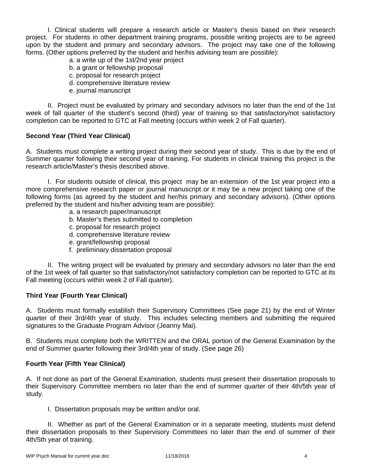I. Clinical students will prepare a research article or Master's thesis based on their research project. For students in other department training programs, possible writing projects are to be agreed upon by the student and primary and secondary advisors. The project may take one of the following forms. (Other options preferred by the student and her/his advising team are possible):

- a. a write up of the 1st/2nd year project
- b. a grant or fellowship proposal
- c. proposal for research project
- d. comprehensive literature review
- e. journal manuscript

 II. Project must be evaluated by primary and secondary advisors no later than the end of the 1st week of fall quarter of the student's second (third) year of training so that satisfactory/not satisfactory completion can be reported to GTC at Fall meeting (occurs within week 2 of Fall quarter).

# **Second Year (Third Year Clinical)**

A. Students must complete a writing project during their second year of study. This is due by the end of Summer quarter following their second year of training. For students in clinical training this project is the research article/Master's thesis described above.

 I. For students outside of clinical, this project may be an extension of the 1st year project into a more comprehensive research paper or journal manuscript or it may be a new project taking one of the following forms (as agreed by the student and her/his primary and secondary advisors). (Other options preferred by the student and his/her advising team are possible):

- a. a research paper/manuscript
- b. Master's thesis submitted to completion
- c. proposal for research project
- d. comprehensive literature review
- e. grant/fellowship proposal
- f. preliminary dissertation proposal

 II. The writing project will be evaluated by primary and secondary advisors no later than the end of the 1st week of fall quarter so that satisfactory/not satisfactory completion can be reported to GTC at its Fall meeting (occurs within week 2 of Fall quarter).

#### **Third Year (Fourth Year Clinical)**

A. Students must formally establish their Supervisory Committees (See page 21) by the end of Winter quarter of their 3rd/4th year of study. This includes selecting members and submitting the required signatures to the Graduate Program Advisor (Jeanny Mai).

B. Students must complete both the WRITTEN and the ORAL portion of the General Examination by the end of Summer quarter following their 3rd/4th year of study. (See page 26)

#### **Fourth Year (Fifth Year Clinical)**

A. If not done as part of the General Examination, students must present their dissertation proposals to their Supervisory Committee members no later than the end of summer quarter of their 4th/5th year of study.

I. Dissertation proposals may be written and/or oral.

 II. Whether as part of the General Examination or in a separate meeting, students must defend their dissertation proposals to their Supervisory Committees no later than the end of summer of their 4th/5th year of training.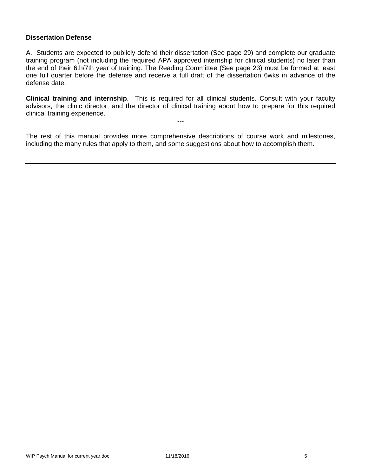#### **Dissertation Defense**

A. Students are expected to publicly defend their dissertation (See page 29) and complete our graduate training program (not including the required APA approved internship for clinical students) no later than the end of their 6th/7th year of training. The Reading Committee (See page 23) must be formed at least one full quarter before the defense and receive a full draft of the dissertation 6wks in advance of the defense date.

**Clinical training and internship**. This is required for all clinical students. Consult with your faculty advisors, the clinic director, and the director of clinical training about how to prepare for this required clinical training experience.

---

The rest of this manual provides more comprehensive descriptions of course work and milestones, including the many rules that apply to them, and some suggestions about how to accomplish them.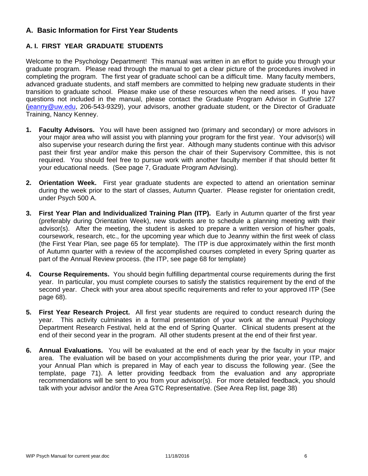# **A. Basic Information for First Year Students**

# **A. I. FIRST YEAR GRADUATE STUDENTS**

Welcome to the Psychology Department! This manual was written in an effort to guide you through your graduate program. Please read through the manual to get a clear picture of the procedures involved in completing the program. The first year of graduate school can be a difficult time. Many faculty members, advanced graduate students, and staff members are committed to helping new graduate students in their transition to graduate school. Please make use of these resources when the need arises. If you have questions not included in the manual, please contact the Graduate Program Advisor in Guthrie 127 (jeanny@uw.edu, 206-543-9329), your advisors, another graduate student, or the Director of Graduate Training, Nancy Kenney.

- **1. Faculty Advisors.** You will have been assigned two (primary and secondary) or more advisors in your major area who will assist you with planning your program for the first year. Your advisor(s) will also supervise your research during the first year. Although many students continue with this advisor past their first year and/or make this person the chair of their Supervisory Committee, this is not required. You should feel free to pursue work with another faculty member if that should better fit your educational needs. (See page 7, Graduate Program Advising).
- **2. Orientation Week.** First year graduate students are expected to attend an orientation seminar during the week prior to the start of classes, Autumn Quarter. Please register for orientation credit, under Psych 500 A.
- **3. First Year Plan and Individualized Training Plan (ITP).** Early in Autumn quarter of the first year (preferably during Orientation Week), new students are to schedule a planning meeting with their advisor(s). After the meeting, the student is asked to prepare a written version of his/her goals, coursework, research, etc., for the upcoming year which due to Jeanny within the first week of class (the First Year Plan, see page 65 for template). The ITP is due approximately within the first month of Autumn quarter with a review of the accomplished courses completed in every Spring quarter as part of the Annual Review process. (the ITP, see page 68 for template)
- **4. Course Requirements.** You should begin fulfilling departmental course requirements during the first year. In particular, you must complete courses to satisfy the statistics requirement by the end of the second year. Check with your area about specific requirements and refer to your approved ITP (See page 68).
- **5. First Year Research Project.** All first year students are required to conduct research during the year. This activity culminates in a formal presentation of your work at the annual Psychology Department Research Festival, held at the end of Spring Quarter. Clinical students present at the end of their second year in the program. All other students present at the end of their first year.
- **6. Annual Evaluations.** You will be evaluated at the end of each year by the faculty in your major area. The evaluation will be based on your accomplishments during the prior year, your ITP, and your Annual Plan which is prepared in May of each year to discuss the following year. (See the template, page 71). A letter providing feedback from the evaluation and any appropriate recommendations will be sent to you from your advisor(s). For more detailed feedback, you should talk with your advisor and/or the Area GTC Representative. (See Area Rep list, page 38)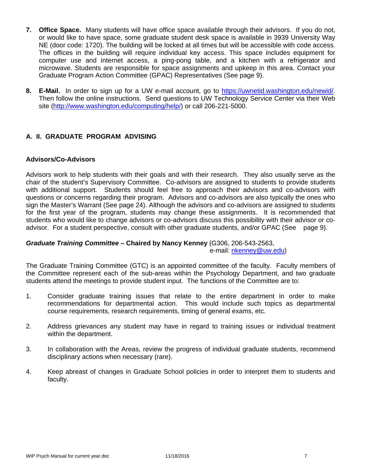- **7. Office Space.** Many students will have office space available through their advisors. If you do not, or would like to have space, some graduate student desk space is available in 3939 University Way NE (door code: 1720). The building will be locked at all times but will be accessible with code access. The offices in the building will require individual key access. This space includes equipment for computer use and internet access, a ping-pong table, and a kitchen with a refrigerator and microwave. Students are responsible for space assignments and upkeep in this area. Contact your Graduate Program Action Committee (GPAC) Representatives (See page 9).
- **8. E-Mail.** In order to sign up for a UW e-mail account, go to https://uwnetid.washington.edu/newid/. Then follow the online instructions. Send questions to UW Technology Service Center via their Web site (http://www.washington.edu/computing/help/) or call 206-221-5000.

# **A. II. GRADUATE PROGRAM ADVISING**

#### **Advisors/Co-Advisors**

Advisors work to help students with their goals and with their research. They also usually serve as the chair of the student's Supervisory Committee. Co-advisors are assigned to students to provide students with additional support. Students should feel free to approach their advisors and co-advisors with questions or concerns regarding their program. Advisors and co-advisors are also typically the ones who sign the Master's Warrant (See page 24). Although the advisors and co-advisors are assigned to students for the first year of the program, students may change these assignments. It is recommended that students who would like to change advisors or co-advisors discuss this possibility with their advisor or coadvisor. For a student perspective, consult with other graduate students, and/or GPAC (See page 9).

#### *Graduate Training Committee –* **Chaired by Nancy Kenney** (G306, 206-543-2563, e-mail: nkenney@uw.edu)

The Graduate Training Committee (GTC) is an appointed committee of the faculty. Faculty members of the Committee represent each of the sub-areas within the Psychology Department, and two graduate students attend the meetings to provide student input. The functions of the Committee are to:

- 1. Consider graduate training issues that relate to the entire department in order to make recommendations for departmental action. This would include such topics as departmental course requirements, research requirements, timing of general exams, etc.
- 2. Address grievances any student may have in regard to training issues or individual treatment within the department.
- 3. In collaboration with the Areas, review the progress of individual graduate students, recommend disciplinary actions when necessary (rare).
- 4. Keep abreast of changes in Graduate School policies in order to interpret them to students and faculty.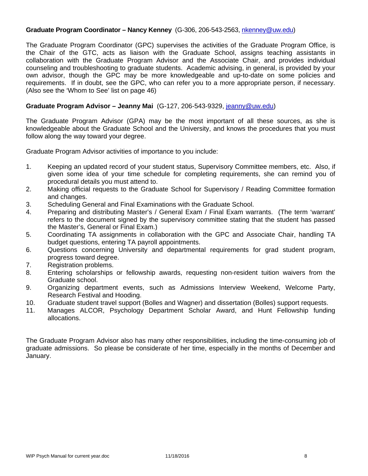#### **Graduate Program Coordinator – Nancy Kenney** (G-306, 206-543-2563, nkenney@uw.edu)

The Graduate Program Coordinator (GPC) supervises the activities of the Graduate Program Office, is the Chair of the GTC, acts as liaison with the Graduate School, assigns teaching assistants in collaboration with the Graduate Program Advisor and the Associate Chair, and provides individual counseling and troubleshooting to graduate students. Academic advising, in general, is provided by your own advisor, though the GPC may be more knowledgeable and up-to-date on some policies and requirements. If in doubt, see the GPC, who can refer you to a more appropriate person, if necessary. (Also see the 'Whom to See' list on page 46)

## **Graduate Program Advisor – Jeanny Mai** (G-127, 206-543-9329, jeanny@uw.edu)

The Graduate Program Advisor (GPA) may be the most important of all these sources, as she is knowledgeable about the Graduate School and the University, and knows the procedures that you must follow along the way toward your degree.

Graduate Program Advisor activities of importance to you include:

- 1. Keeping an updated record of your student status, Supervisory Committee members, etc. Also, if given some idea of your time schedule for completing requirements, she can remind you of procedural details you must attend to.
- 2. Making official requests to the Graduate School for Supervisory / Reading Committee formation and changes.
- 3. Scheduling General and Final Examinations with the Graduate School.
- 4. Preparing and distributing Master's / General Exam / Final Exam warrants. (The term 'warrant' refers to the document signed by the supervisory committee stating that the student has passed the Master's, General or Final Exam.)
- 5. Coordinating TA assignments in collaboration with the GPC and Associate Chair, handling TA budget questions, entering TA payroll appointments.
- 6. Questions concerning University and departmental requirements for grad student program, progress toward degree.
- 7. Registration problems.
- 8. Entering scholarships or fellowship awards, requesting non-resident tuition waivers from the Graduate school.
- 9. Organizing department events, such as Admissions Interview Weekend, Welcome Party, Research Festival and Hooding.
- 10. Graduate student travel support (Bolles and Wagner) and dissertation (Bolles) support requests.
- 11. Manages ALCOR, Psychology Department Scholar Award, and Hunt Fellowship funding allocations.

The Graduate Program Advisor also has many other responsibilities, including the time-consuming job of graduate admissions. So please be considerate of her time, especially in the months of December and January.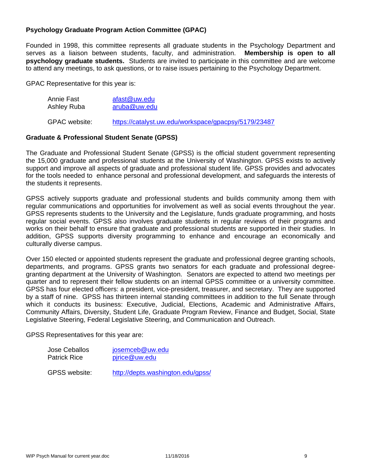# **Psychology Graduate Program Action Committee (GPAC)**

Founded in 1998, this committee represents all graduate students in the Psychology Department and serves as a liaison between students, faculty, and administration. **Membership is open to all psychology graduate students.** Students are invited to participate in this committee and are welcome to attend any meetings, to ask questions, or to raise issues pertaining to the Psychology Department.

GPAC Representative for this year is:

| Annie Fast           | afast@uw.edu                                         |  |  |
|----------------------|------------------------------------------------------|--|--|
| Ashley Ruba          | aruba@uw.edu                                         |  |  |
| <b>GPAC</b> website: | https://catalyst.uw.edu/workspace/gpacpsy/5179/23487 |  |  |

# **Graduate & Professional Student Senate (GPSS)**

## The Graduate and Professional Student Senate (GPSS) is the official student government representing the 15,000 graduate and professional students at the University of Washington. GPSS exists to actively support and improve all aspects of graduate and professional student life. GPSS provides and advocates for the tools needed to enhance personal and professional development, and safeguards the interests of the students it represents.

GPSS actively supports graduate and professional students and builds community among them with regular communications and opportunities for involvement as well as social events throughout the year. GPSS represents students to the University and the Legislature, funds graduate programming, and hosts regular social events. GPSS also involves graduate students in regular reviews of their programs and works on their behalf to ensure that graduate and professional students are supported in their studies. In addition, GPSS supports diversity programming to enhance and encourage an economically and culturally diverse campus.

Over 150 elected or appointed students represent the graduate and professional degree granting schools, departments, and programs. GPSS grants two senators for each graduate and professional degreegranting department at the University of Washington. Senators are expected to attend two meetings per quarter and to represent their fellow students on an internal GPSS committee or a university committee. GPSS has four elected officers: a president, vice-president, treasurer, and secretary. They are supported by a staff of nine. GPSS has thirteen internal standing committees in addition to the full Senate through which it conducts its business: Executive, Judicial, Elections, Academic and Administrative Affairs, Community Affairs, Diversity, Student Life, Graduate Program Review, Finance and Budget, Social, State Legislative Steering, Federal Legislative Steering, and Communication and Outreach.

GPSS Representatives for this year are:

| Jose Ceballos       | josemceb@uw.edu |  |
|---------------------|-----------------|--|
| <b>Patrick Rice</b> | pirice@uw.edu   |  |

GPSS website: http://depts.washington.edu/gpss/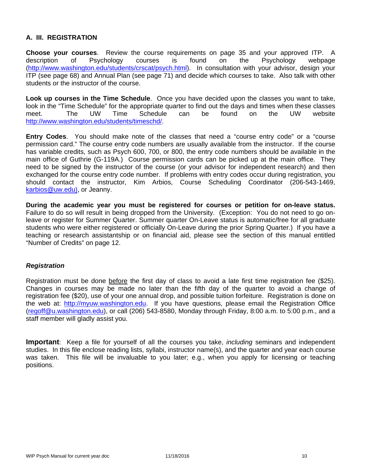# **A. III. REGISTRATION**

**Choose your courses**. Review the course requirements on page 35 and your approved ITP. A description of Psychology courses is found on the Psychology webpage (http://www.washington.edu/students/crscat/psych.html). In consultation with your advisor, design your ITP (see page 68) and Annual Plan (see page 71) and decide which courses to take. Also talk with other students or the instructor of the course.

**Look up courses in the Time Schedule**. Once you have decided upon the classes you want to take, look in the "Time Schedule" for the appropriate quarter to find out the days and times when these classes meet. The UW Time Schedule can be found on the UW website http://www.washington.edu/students/timeschd/.

**Entry Codes**. You should make note of the classes that need a "course entry code" or a "course permission card." The course entry code numbers are usually available from the instructor. If the course has variable credits, such as Psych 600, 700, or 800, the entry code numbers should be available in the main office of Guthrie (G-119A.) Course permission cards can be picked up at the main office. They need to be signed by the instructor of the course (or your advisor for independent research) and then exchanged for the course entry code number. If problems with entry codes occur during registration, you should contact the instructor, Kim Arbios, Course Scheduling Coordinator (206-543-1469, karbios@uw.edu), or Jeanny.

**During the academic year you must be registered for courses or petition for on-leave status.**  Failure to do so will result in being dropped from the University. (Exception: You do not need to go onleave or register for Summer Quarter. Summer quarter On-Leave status is automatic/free for all graduate students who were either registered or officially On-Leave during the prior Spring Quarter.) If you have a teaching or research assistantship or on financial aid, please see the section of this manual entitled "Number of Credits" on page 12.

#### *Registration*

Registration must be done before the first day of class to avoid a late first time registration fee (\$25). Changes in courses may be made no later than the fifth day of the quarter to avoid a change of registration fee (\$20), use of your one annual drop, and possible tuition forfeiture. Registration is done on the web at: http://myuw.washington.edu. If you have questions, please email the Registration Office (regoff@u.washington.edu), or call (206) 543-8580, Monday through Friday, 8:00 a.m. to 5:00 p.m., and a staff member will gladly assist you.

**Important**: Keep a file for yourself of all the courses you take, *including* seminars and independent studies. In this file enclose reading lists, syllabi, instructor name(s), and the quarter and year each course was taken. This file will be invaluable to you later; e.g., when you apply for licensing or teaching positions.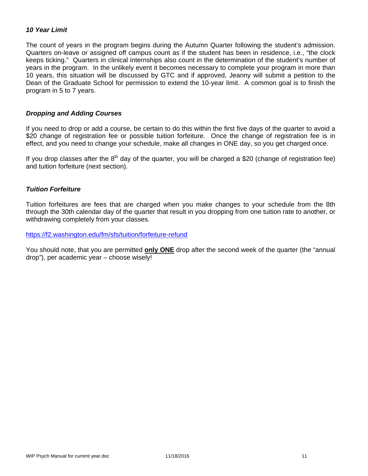# *10 Year Limit*

The count of years in the program begins during the Autumn Quarter following the student's admission. Quarters on-leave or assigned off campus count as if the student has been in residence, i.e., "the clock keeps ticking." Quarters in clinical internships also count in the determination of the student's number of years in the program. In the unlikely event it becomes necessary to complete your program in more than 10 years, this situation will be discussed by GTC and if approved, Jeanny will submit a petition to the Dean of the Graduate School for permission to extend the 10-year limit. A common goal is to finish the program in 5 to 7 years.

#### *Dropping and Adding Courses*

If you need to drop or add a course, be certain to do this within the first five days of the quarter to avoid a \$20 change of registration fee or possible tuition forfeiture. Once the change of registration fee is in effect, and you need to change your schedule, make all changes in ONE day, so you get charged once.

If you drop classes after the  $8<sup>th</sup>$  day of the quarter, you will be charged a \$20 (change of registration fee) and tuition forfeiture (next section).

# *Tuition Forfeiture*

Tuition forfeitures are fees that are charged when you make changes to your schedule from the 8th through the 30th calendar day of the quarter that result in you dropping from one tuition rate to another, or withdrawing completely from your classes.

#### https://f2.washington.edu/fm/sfs/tuition/forfeiture-refund

You should note, that you are permitted **only ONE** drop after the second week of the quarter (the "annual drop"), per academic year – choose wisely!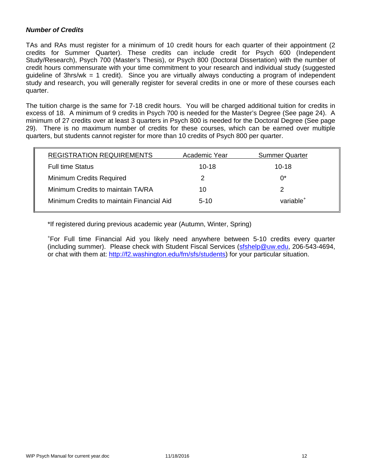## *Number of Credits*

TAs and RAs must register for a minimum of 10 credit hours for each quarter of their appointment (2 credits for Summer Quarter). These credits can include credit for Psych 600 (Independent Study/Research), Psych 700 (Master's Thesis), or Psych 800 (Doctoral Dissertation) with the number of credit hours commensurate with your time commitment to your research and individual study (suggested guideline of 3hrs/wk = 1 credit). Since you are virtually always conducting a program of independent study and research, you will generally register for several credits in one or more of these courses each quarter.

The tuition charge is the same for 7-18 credit hours. You will be charged additional tuition for credits in excess of 18. A minimum of 9 credits in Psych 700 is needed for the Master's Degree (See page 24). A minimum of 27 credits over at least 3 quarters in Psych 800 is needed for the Doctoral Degree (See page 29). There is no maximum number of credits for these courses, which can be earned over multiple quarters, but students cannot register for more than 10 credits of Psych 800 per quarter.

| <b>REGISTRATION REQUIREMENTS</b>          | Academic Year | <b>Summer Quarter</b> |
|-------------------------------------------|---------------|-----------------------|
| <b>Full time Status</b>                   | $10 - 18$     | $10 - 18$             |
| <b>Minimum Credits Required</b>           | 2             | $0^*$                 |
| Minimum Credits to maintain TA/RA         | 10            |                       |
| Minimum Credits to maintain Financial Aid | $5-10$        | variable <sup>+</sup> |
|                                           |               |                       |

\*If registered during previous academic year (Autumn, Winter, Spring)

+ For Full time Financial Aid you likely need anywhere between 5-10 credits every quarter (including summer). Please check with Student Fiscal Services (sfshelp@uw.edu, 206-543-4694, or chat with them at: http://f2.washington.edu/fm/sfs/students) for your particular situation.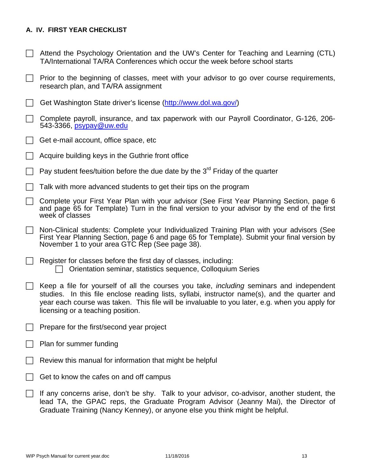# **A. IV. FIRST YEAR CHECKLIST**

- $\Box$  Attend the Psychology Orientation and the UW's Center for Teaching and Learning (CTL) TA/International TA/RA Conferences which occur the week before school starts
- $\Box$  Prior to the beginning of classes, meet with your advisor to go over course requirements, research plan, and TA/RA assignment
- Get Washington State driver's license (http://www.dol.wa.gov/)
- $\Box$  Complete payroll, insurance, and tax paperwork with our Payroll Coordinator, G-126, 206-543-3366, psypay@uw.edu
- $\Box$  Get e-mail account, office space, etc
- Acquire building keys in the Guthrie front office
- Pay student fees/tuition before the due date by the  $3<sup>rd</sup>$  Friday of the quarter
- $\Box$  Talk with more advanced students to get their tips on the program
- Complete your First Year Plan with your advisor (See First Year Planning Section, page 6 and page 65 for Template) Turn in the final version to your advisor by the end of the first week of classes
- Non-Clinical students: Complete your Individualized Training Plan with your advisors (See First Year Planning Section, page 6 and page 65 for Template). Submit your final version by November 1 to your area GTC Rep (See page 38).
- $\Box$  Register for classes before the first day of classes, including:  $\Box$  Orientation seminar, statistics sequence, Colloquium Series
- Keep a file for yourself of all the courses you take, *including* seminars and independent studies. In this file enclose reading lists, syllabi, instructor name(s), and the quarter and year each course was taken. This file will be invaluable to you later, e.g. when you apply for licensing or a teaching position.
- $\Box$  Prepare for the first/second year project
- $\Box$  Plan for summer funding
- Review this manual for information that might be helpful
- Get to know the cafes on and off campus
- $\Box$  If any concerns arise, don't be shy. Talk to your advisor, co-advisor, another student, the lead TA, the GPAC reps, the Graduate Program Advisor (Jeanny Mai), the Director of Graduate Training (Nancy Kenney), or anyone else you think might be helpful.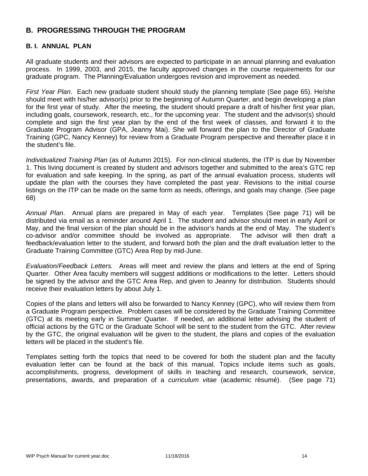# **B. PROGRESSING THROUGH THE PROGRAM**

## **B. I. ANNUAL PLAN**

All graduate students and their advisors are expected to participate in an annual planning and evaluation process. In 1999, 2003, and 2015, the faculty approved changes in the course requirements for our graduate program. The Planning/Evaluation undergoes revision and improvement as needed.

*First Year Plan*. Each new graduate student should study the planning template (See page 65). He/she should meet with his/her advisor(s) prior to the beginning of Autumn Quarter, and begin developing a plan for the first year of study. After the meeting, the student should prepare a draft of his/her first year plan, including goals, coursework, research, etc., for the upcoming year. The student and the advisor(s) should complete and sign the first year plan by the end of the first week of classes, and forward it to the Graduate Program Advisor (GPA, Jeanny Mai). She will forward the plan to the Director of Graduate Training (GPC, Nancy Kenney) for review from a Graduate Program perspective and thereafter place it in the student's file.

*Individualized Training Plan* (as of Autumn 2015). For non-clinical students, the ITP is due by November 1. This living document is created by student and advisors together and submitted to the area's GTC rep for evaluation and safe keeping. In the spring, as part of the annual evaluation process, students will update the plan with the courses they have completed the past year. Revisions to the initial course listings on the ITP can be made on the same form as needs, offerings, and goals may change. (See page 68)

*Annual Plan*. Annual plans are prepared in May of each year. Templates (See page 71) will be distributed via email as a reminder around April 1. The student and advisor should meet in early April or May, and the final version of the plan should be in the advisor's hands at the end of May. The student's co-advisor and/or committee should be involved as appropriate. The advisor will then draft a feedback/evaluation letter to the student, and forward both the plan and the draft evaluation letter to the Graduate Training Committee (GTC) Area Rep by mid-June.

*Evaluation/Feedback Letters.* Areas will meet and review the plans and letters at the end of Spring Quarter. Other Area faculty members will suggest additions or modifications to the letter. Letters should be signed by the advisor and the GTC Area Rep, and given to Jeanny for distribution. Students should receive their evaluation letters by about July 1.

Copies of the plans and letters will also be forwarded to Nancy Kenney (GPC), who will review them from a Graduate Program perspective. Problem cases will be considered by the Graduate Training Committee (GTC) at its meeting early in Summer Quarter. If needed, an additional letter advising the student of official actions by the GTC or the Graduate School will be sent to the student from the GTC. After review by the GTC, the original evaluation will be given to the student, the plans and copies of the evaluation letters will be placed in the student's file.

Templates setting forth the topics that need to be covered for both the student plan and the faculty evaluation letter can be found at the back of this manual. Topics include items such as goals, accomplishments, progress, development of skills in teaching and research, coursework, service, presentations, awards, and preparation of a *curriculum vitae* (academic résumé). (See page 71)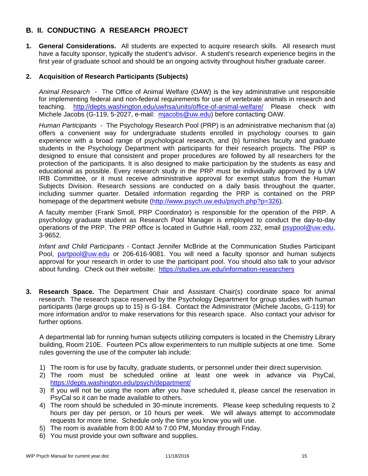# **B. II. CONDUCTING A RESEARCH PROJECT**

**1. General Considerations.** All students are expected to acquire research skills. All research must have a faculty sponsor, typically the student's advisor. A student's research experience begins in the first year of graduate school and should be an ongoing activity throughout his/her graduate career.

# **2. Acquisition of Research Participants (Subjects)**

*Animal Research* - The Office of Animal Welfare (OAW) is the key administrative unit responsible for implementing federal and non-federal requirements for use of vertebrate animals in research and teaching. http://depts.washington.edu/uwhsa/units/office-of-animal-welfare/ Please check with Michele Jacobs (G-119, 5-2027, e-mail: mjacobs@uw.edu) before contacting OAW.

*Human Participants -* The Psychology Research Pool (PRP) is an administrative mechanism that (a) offers a convenient way for undergraduate students enrolled in psychology courses to gain experience with a broad range of psychological research, and (b) furnishes faculty and graduate students in the Psychology Department with participants for their research projects. The PRP is designed to ensure that consistent and proper procedures are followed by all researchers for the protection of the participants. It is also designed to make participation by the students as easy and educational as possible. Every research study in the PRP must be individually approved by a UW IRB Committee, or it must receive administrative approval for exempt status from the Human Subjects Division. Research sessions are conducted on a daily basis throughout the quarter, including summer quarter. Detailed information regarding the PRP is contained on the PRP homepage of the department website (http://www.psych.uw.edu/psych.php?p=326).

A faculty member (Frank Smoll, PRP Coordinator) is responsible for the operation of the PRP. A psychology graduate student as Research Pool Manager is employed to conduct the day-to-day operations of the PRP. The PRP office is located in Guthrie Hall, room 232, email psypool@uw.edu, 3-9652.

*Infant and Child Participants* - Contact Jennifer McBride at the Communication Studies Participant Pool, partpool@uw.edu or 206-616-9081. You will need a faculty sponsor and human subjects approval for your research in order to use the participant pool. You should also talk to your advisor about funding. Check out their website: https://studies.uw.edu/information-researchers

**3. Research Space.** The Department Chair and Assistant Chair(s) coordinate space for animal research. The research space reserved by the Psychology Department for group studies with human participants (large groups up to 15) is G-184. Contact the Administrator (Michele Jacobs, G-119) for more information and/or to make reservations for this research space. Also contact your advisor for further options.

A departmental lab for running human subjects utilizing computers is located in the Chemistry Library building, Room 210E. Fourteen PCs allow experimenters to run multiple subjects at one time. Some rules governing the use of the computer lab include:

- 1) The room is for use by faculty, graduate students, or personnel under their direct supervision.
- 2) The room must be scheduled online at least one week in advance via PsyCal, https://depts.washington.edu/psych/department/
- 3) If you will not be using the room after you have scheduled it, please cancel the reservation in PsyCal so it can be made available to others.
- 4) The room should be scheduled in 30-minute increments. Please keep scheduling requests to 2 hours per day per person, or 10 hours per week. We will always attempt to accommodate requests for more time. Schedule only the time you know you will use.
- 5) The room is available from 8:00 AM to 7:00 PM, Monday through Friday.
- 6) You must provide your own software and supplies.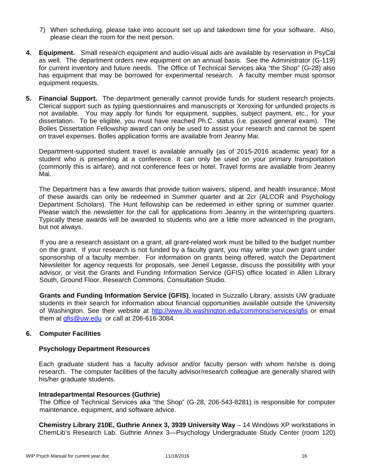- 7) When scheduling, please take into account set up and takedown time for your software. Also, please clean the room for the next person.
- **4. Equipment.** Small research equipment and audio-visual aids are available by reservation in PsyCal as well. The department orders new equipment on an annual basis. See the Administrator (G-119) for current inventory and future needs. The Office of Technical Services aka "the Shop" (G-28) also has equipment that may be borrowed for experimental research. A faculty member must sponsor equipment requests.
- **5. Financial Support.** The department generally cannot provide funds for student research projects. Clerical support such as typing questionnaires and manuscripts or Xeroxing for unfunded projects is not available. You may apply for funds for equipment, supplies, subject payment, etc., for your dissertation. To be eligible, you must have reached Ph.C. status (i.e. passed general exam). The Bolles Dissertation Fellowship award can only be used to assist your research and cannot be spent on travel expenses. Bolles application forms are available from Jeanny Mai.

Department-supported student travel is available annually (as of 2015-2016 academic year) for a student who is presenting at a conference. It can only be used on your primary transportation (commonly this is airfare), and not conference fees or hotel. Travel forms are available from Jeanny Mai.

The Department has a few awards that provide tuition waivers, stipend, and health insurance. Most of these awards can only be redeemed in Summer quarter and at 2cr (ALCOR and Psychology Department Scholars). The Hunt fellowship can be redeemed in either spring or summer quarter. Please watch the newsletter for the call for applications from Jeanny in the winter/spring quarters. Typically these awards will be awarded to students who are a little more advanced in the program, but not always.

If you are a research assistant on a grant, all grant-related work must be billed to the budget number on the grant. If your research is not funded by a faculty grant, you may write your own grant under sponsorship of a faculty member. For information on grants being offered, watch the Department Newsletter for agency requests for proposals, see Jeneil Legasse, discuss the possibility with your advisor, or visit the Grants and Funding Information Service (GFIS) office located in Allen Library South, Ground Floor, Research Commons, Consultation Studio.

**Grants and Funding Information Service (GFIS)**, located in Suzzallo Library, assists UW graduate students in their search for information about financial opportunities available outside the University of Washington. See their website at http://www.lib.washington.edu/commons/services/gfis or email them at  $gfs@uw.edu$  or call at 206-616-3084.

#### **6. Computer Facilities**

#### **Psychology Department Resources**

Each graduate student has a faculty advisor and/or faculty person with whom he/she is doing research. The computer facilities of the faculty advisor/research colleague are generally shared with his/her graduate students.

#### **Intradepartmental Resources (Guthrie)**

The Office of Technical Services aka "the Shop" (G-28, 206-543-8281) is responsible for computer maintenance, equipment, and software advice.

**Chemistry Library 210E, Guthrie Annex 3, 3939 University Way** - 14 Windows XP workstations in ChemLib's Research Lab. Guthrie Annex 3—Psychology Undergraduate Study Center (room 120)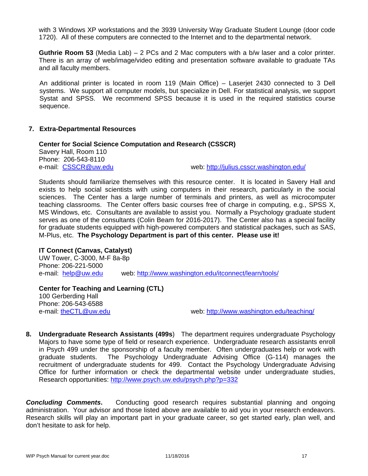with 3 Windows XP workstations and the 3939 University Way Graduate Student Lounge (door code 1720). All of these computers are connected to the Internet and to the departmental network.

**Guthrie Room 53** (Media Lab) – 2 PCs and 2 Mac computers with a b/w laser and a color printer. There is an array of web/image/video editing and presentation software available to graduate TAs and all faculty members.

An additional printer is located in room 119 (Main Office) – Laserjet 2430 connected to 3 Dell systems. We support all computer models, but specialize in Dell. For statistical analysis, we support Systat and SPSS. We recommend SPSS because it is used in the required statistics course sequence.

#### **7. Extra-Departmental Resources**

**Center for Social Science Computation and Research (CSSCR)** Savery Hall, Room 110 Phone: 206-543-8110 e-mail: CSSCR@uw.edu web: http://julius.csscr.washington.edu/

Students should familiarize themselves with this resource center. It is located in Savery Hall and exists to help social scientists with using computers in their research, particularly in the social sciences. The Center has a large number of terminals and printers, as well as microcomputer teaching classrooms. The Center offers basic courses free of charge in computing, e.g., SPSS X, MS Windows, etc. Consultants are available to assist you. Normally a Psychology graduate student serves as one of the consultants (Colin Beam for 2016-2017). The Center also has a special facility for graduate students equipped with high-powered computers and statistical packages, such as SAS, M-Plus, etc. **The Psychology Department is part of this center. Please use it!**

#### **IT Connect (Canvas, Catalyst)**

UW Tower, C-3000, M-F 8a-8p Phone: 206-221-5000 e-mail: help@uw.edu web: http://www.washington.edu/itconnect/learn/tools/

**Center for Teaching and Learning (CTL)**  100 Gerberding Hall Phone: 206-543-6588 e-mail: theCTL@uw.edu web: http://www.washington.edu/teaching/

**8. Undergraduate Research Assistants (499s**) The department requires undergraduate Psychology Majors to have some type of field or research experience. Undergraduate research assistants enroll in Psych 499 under the sponsorship of a faculty member. Often undergraduates help or work with graduate students. The Psychology Undergraduate Advising Office (G-114) manages the recruitment of undergraduate students for 499. Contact the Psychology Undergraduate Advising Office for further information or check the departmental website under undergraduate studies, Research opportunities: http://www.psych.uw.edu/psych.php?p=332

**Concluding Comments.** Conducting good research requires substantial planning and ongoing administration. Your advisor and those listed above are available to aid you in your research endeavors. Research skills will play an important part in your graduate career, so get started early, plan well, and don't hesitate to ask for help.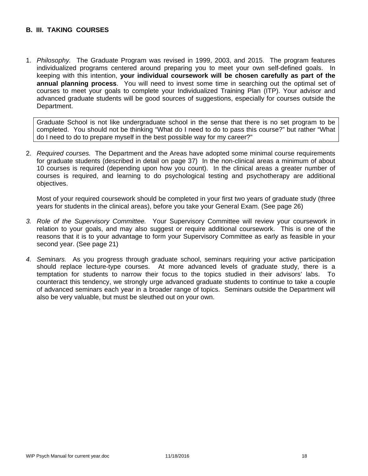# **B. III. TAKING COURSES**

1. *Philosophy.* The Graduate Program was revised in 1999, 2003, and 2015. The program features individualized programs centered around preparing you to meet your own self-defined goals. In keeping with this intention, **your individual coursework will be chosen carefully as part of the annual planning process**. You will need to invest some time in searching out the optimal set of courses to meet your goals to complete your Individualized Training Plan (ITP). Your advisor and advanced graduate students will be good sources of suggestions, especially for courses outside the Department.

Graduate School is not like undergraduate school in the sense that there is no set program to be completed. You should not be thinking "What do I need to do to pass this course?" but rather "What do I need to do to prepare myself in the best possible way for my career?"

2. *Required courses.* The Department and the Areas have adopted some minimal course requirements for graduate students (described in detail on page 37) In the non-clinical areas a minimum of about 10 courses is required (depending upon how you count). In the clinical areas a greater number of courses is required, and learning to do psychological testing and psychotherapy are additional objectives.

Most of your required coursework should be completed in your first two years of graduate study (three years for students in the clinical areas), before you take your General Exam. (See page 26)

- *3. Role of the Supervisory Committee.* Your Supervisory Committee will review your coursework in relation to your goals, and may also suggest or require additional coursework. This is one of the reasons that it is to your advantage to form your Supervisory Committee as early as feasible in your second year. (See page 21)
- *4. Seminars.* As you progress through graduate school, seminars requiring your active participation should replace lecture-type courses. At more advanced levels of graduate study, there is a temptation for students to narrow their focus to the topics studied in their advisors' labs. To counteract this tendency, we strongly urge advanced graduate students to continue to take a couple of advanced seminars each year in a broader range of topics. Seminars outside the Department will also be very valuable, but must be sleuthed out on your own.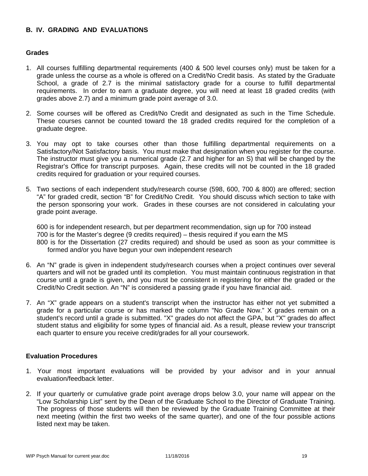# **B. IV. GRADING AND EVALUATIONS**

#### **Grades**

- 1. All courses fulfilling departmental requirements (400 & 500 level courses only) must be taken for a grade unless the course as a whole is offered on a Credit/No Credit basis. As stated by the Graduate School, a grade of 2.7 is the minimal satisfactory grade for a course to fulfill departmental requirements. In order to earn a graduate degree, you will need at least 18 graded credits (with grades above 2.7) and a minimum grade point average of 3.0.
- 2. Some courses will be offered as Credit/No Credit and designated as such in the Time Schedule. These courses cannot be counted toward the 18 graded credits required for the completion of a graduate degree.
- 3. You may opt to take courses other than those fulfilling departmental requirements on a Satisfactory/Not Satisfactory basis. You must make that designation when you register for the course. The instructor must give you a numerical grade (2.7 and higher for an S) that will be changed by the Registrar's Office for transcript purposes. Again, these credits will not be counted in the 18 graded credits required for graduation or your required courses.
- 5. Two sections of each independent study/research course (598, 600, 700 & 800) are offered; section "A" for graded credit, section "B" for Credit/No Credit. You should discuss which section to take with the person sponsoring your work. Grades in these courses are not considered in calculating your grade point average.

600 is for independent research, but per department recommendation, sign up for 700 instead 700 is for the Master's degree (9 credits required) – thesis required if you earn the MS 800 is for the Dissertation (27 credits required) and should be used as soon as your committee is formed and/or you have begun your own independent research

- 6. An "N" grade is given in independent study/research courses when a project continues over several quarters and will not be graded until its completion. You must maintain continuous registration in that course until a grade is given, and you must be consistent in registering for either the graded or the Credit/No Credit section. An "N" is considered a passing grade if you have financial aid.
- 7. An "X" grade appears on a student's transcript when the instructor has either not yet submitted a grade for a particular course or has marked the column "No Grade Now." X grades remain on a student's record until a grade is submitted. "X" grades do not affect the GPA, but "X" grades do affect student status and eligibility for some types of financial aid. As a result, please review your transcript each quarter to ensure you receive credit/grades for all your coursework.

#### **Evaluation Procedures**

- 1. Your most important evaluations will be provided by your advisor and in your annual evaluation/feedback letter.
- 2. If your quarterly or cumulative grade point average drops below 3.0, your name will appear on the "Low Scholarship List" sent by the Dean of the Graduate School to the Director of Graduate Training. The progress of those students will then be reviewed by the Graduate Training Committee at their next meeting (within the first two weeks of the same quarter), and one of the four possible actions listed next may be taken.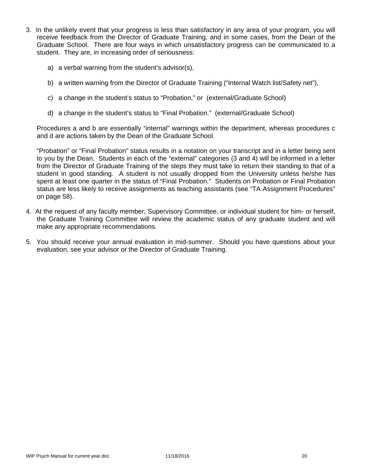- 3. In the unlikely event that your progress is less than satisfactory in any area of your program, you will receive feedback from the Director of Graduate Training, and in some cases, from the Dean of the Graduate School. There are four ways in which unsatisfactory progress can be communicated to a student. They are, in increasing order of seriousness:
	- a) a verbal warning from the student's advisor(s),
	- b) a written warning from the Director of Graduate Training ("Internal Watch list/Safety net"),
	- c) a change in the student's status to "Probation," or (external/Graduate School)
	- d) a change in the student's status to "Final Probation." (external/Graduate School)

Procedures a and b are essentially "internal" warnings within the department, whereas procedures c and d are actions taken by the Dean of the Graduate School.

"Probation" or "Final Probation" status results in a notation on your transcript and in a letter being sent to you by the Dean. Students in each of the "external" categories (3 and 4) will be informed in a letter from the Director of Graduate Training of the steps they must take to return their standing to that of a student in good standing. A student is not usually dropped from the University unless he/she has spent at least one quarter in the status of "Final Probation." Students on Probation or Final Probation status are less likely to receive assignments as teaching assistants (see "TA Assignment Procedures" on page 58).

- 4. At the request of any faculty member, Supervisory Committee, or individual student for him- or herself, the Graduate Training Committee will review the academic status of any graduate student and will make any appropriate recommendations.
- 5. You should receive your annual evaluation in mid-summer. Should you have questions about your evaluation, see your advisor or the Director of Graduate Training.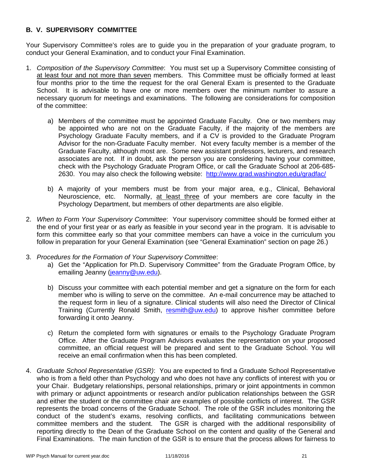# **B. V. SUPERVISORY COMMITTEE**

Your Supervisory Committee's roles are to guide you in the preparation of your graduate program, to conduct your General Examination, and to conduct your Final Examination.

- 1. *Composition of the Supervisory Committee*: You must set up a Supervisory Committee consisting of at least four and not more than seven members. This Committee must be officially formed at least four months prior to the time the request for the oral General Exam is presented to the Graduate School. It is advisable to have one or more members over the minimum number to assure a necessary quorum for meetings and examinations. The following are considerations for composition of the committee:
	- a) Members of the committee must be appointed Graduate Faculty. One or two members may be appointed who are not on the Graduate Faculty, if the majority of the members are Psychology Graduate Faculty members, and if a CV is provided to the Graduate Program Advisor for the non-Graduate Faculty member. Not every faculty member is a member of the Graduate Faculty, although most are. Some new assistant professors, lecturers, and research associates are not. If in doubt, ask the person you are considering having your committee, check with the Psychology Graduate Program Office, or call the Graduate School at 206-685- 2630. You may also check the following website: http://www.grad.washington.edu/gradfac/
	- b) A majority of your members must be from your major area, e.g., Clinical, Behavioral Neuroscience, etc. Normally, at least three of your members are core faculty in the Psychology Department, but members of other departments are also eligible.
- 2. *When to Form Your Supervisory Committee*: Your supervisory committee should be formed either at the end of your first year or as early as feasible in your second year in the program. It is advisable to form this committee early so that your committee members can have a voice in the curriculum you follow in preparation for your General Examination (see "General Examination" section on page 26.)
- 3. *Procedures for the Formation of Your Supervisory Committee*:
	- a) Get the "Application for Ph.D. Supervisory Committee" from the Graduate Program Office, by emailing Jeanny (jeanny@uw.edu).
	- b) Discuss your committee with each potential member and get a signature on the form for each member who is willing to serve on the committee. An e-mail concurrence may be attached to the request form in lieu of a signature. Clinical students will also need the Director of Clinical Training (Currently Ronald Smith, resmith@uw.edu) to approve his/her committee before forwarding it onto Jeanny.
	- c) Return the completed form with signatures or emails to the Psychology Graduate Program Office. After the Graduate Program Advisors evaluates the representation on your proposed committee, an official request will be prepared and sent to the Graduate School. You will receive an email confirmation when this has been completed.
- 4. *Graduate School Representative (GSR)*: You are expected to find a Graduate School Representative who is from a field other than Psychology and who does not have any conflicts of interest with you or your Chair. Budgetary relationships, personal relationships, primary or joint appointments in common with primary or adjunct appointments or research and/or publication relationships between the GSR and either the student or the committee chair are examples of possible conflicts of interest. The GSR represents the broad concerns of the Graduate School. The role of the GSR includes monitoring the conduct of the student's exams, resolving conflicts, and facilitating communications between committee members and the student. The GSR is charged with the additional responsibility of reporting directly to the Dean of the Graduate School on the content and quality of the General and Final Examinations. The main function of the GSR is to ensure that the process allows for fairness to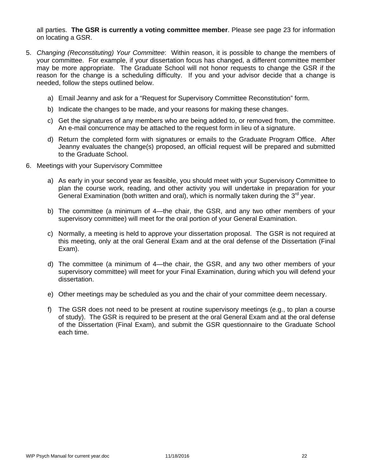all parties. **The GSR is currently a voting committee member**. Please see page 23 for information on locating a GSR.

- 5. *Changing (Reconstituting) Your Committee*: Within reason, it is possible to change the members of your committee. For example, if your dissertation focus has changed, a different committee member may be more appropriate. The Graduate School will not honor requests to change the GSR if the reason for the change is a scheduling difficulty. If you and your advisor decide that a change is needed, follow the steps outlined below.
	- a) Email Jeanny and ask for a "Request for Supervisory Committee Reconstitution" form.
	- b) Indicate the changes to be made, and your reasons for making these changes.
	- c) Get the signatures of any members who are being added to, or removed from, the committee. An e-mail concurrence may be attached to the request form in lieu of a signature.
	- d) Return the completed form with signatures or emails to the Graduate Program Office. After Jeanny evaluates the change(s) proposed, an official request will be prepared and submitted to the Graduate School.
- 6. Meetings with your Supervisory Committee
	- a) As early in your second year as feasible, you should meet with your Supervisory Committee to plan the course work, reading, and other activity you will undertake in preparation for your General Examination (both written and oral), which is normally taken during the  $3<sup>rd</sup>$  year.
	- b) The committee (a minimum of 4—the chair, the GSR, and any two other members of your supervisory committee) will meet for the oral portion of your General Examination.
	- c) Normally, a meeting is held to approve your dissertation proposal. The GSR is not required at this meeting, only at the oral General Exam and at the oral defense of the Dissertation (Final Exam).
	- d) The committee (a minimum of 4—the chair, the GSR, and any two other members of your supervisory committee) will meet for your Final Examination, during which you will defend your dissertation.
	- e) Other meetings may be scheduled as you and the chair of your committee deem necessary.
	- f) The GSR does not need to be present at routine supervisory meetings (e.g., to plan a course of study). The GSR is required to be present at the oral General Exam and at the oral defense of the Dissertation (Final Exam), and submit the GSR questionnaire to the Graduate School each time.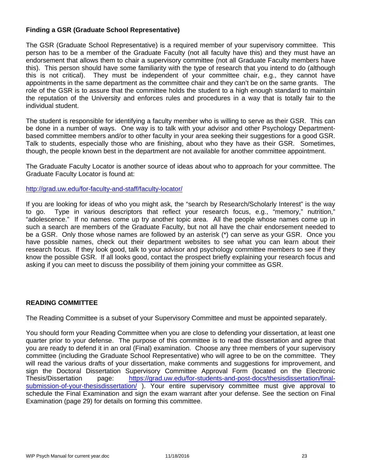# **Finding a GSR (Graduate School Representative)**

The GSR (Graduate School Representative) is a required member of your supervisory committee. This person has to be a member of the Graduate Faculty (not all faculty have this) and they must have an endorsement that allows them to chair a supervisory committee (not all Graduate Faculty members have this). This person should have some familiarity with the type of research that you intend to do (although this is not critical). They must be independent of your committee chair, e.g., they cannot have appointments in the same department as the committee chair and they can't be on the same grants. The role of the GSR is to assure that the committee holds the student to a high enough standard to maintain the reputation of the University and enforces rules and procedures in a way that is totally fair to the individual student.

The student is responsible for identifying a faculty member who is willing to serve as their GSR. This can be done in a number of ways. One way is to talk with your advisor and other Psychology Departmentbased committee members and/or to other faculty in your area seeking their suggestions for a good GSR. Talk to students, especially those who are finishing, about who they have as their GSR. Sometimes, though, the people known best in the department are not available for another committee appointment.

The Graduate Faculty Locator is another source of ideas about who to approach for your committee. The Graduate Faculty Locator is found at:

http://grad.uw.edu/for-faculty-and-staff/faculty-locator/

If you are looking for ideas of who you might ask, the "search by Research/Scholarly Interest" is the way to go. Type in various descriptors that reflect your research focus, e.g., "memory," nutrition," "adolescence." If no names come up try another topic area. All the people whose names come up in such a search are members of the Graduate Faculty, but not all have the chair endorsement needed to be a GSR. Only those whose names are followed by an asterisk (\*) can serve as your GSR. Once you have possible names, check out their department websites to see what you can learn about their research focus. If they look good, talk to your advisor and psychology committee members to see if they know the possible GSR. If all looks good, contact the prospect briefly explaining your research focus and asking if you can meet to discuss the possibility of them joining your committee as GSR.

#### **READING COMMITTEE**

The Reading Committee is a subset of your Supervisory Committee and must be appointed separately.

You should form your Reading Committee when you are close to defending your dissertation, at least one quarter prior to your defense. The purpose of this committee is to read the dissertation and agree that you are ready to defend it in an oral (Final) examination. Choose any three members of your supervisory committee (including the Graduate School Representative) who will agree to be on the committee. They will read the various drafts of your dissertation, make comments and suggestions for improvement, and sign the Doctoral Dissertation Supervisory Committee Approval Form (located on the Electronic Thesis/Dissertation page: https://grad.uw.edu/for-students-and-post-docs/thesisdissertation/finalsubmission-of-your-thesisdissertation/ ). Your entire supervisory committee must give approval to schedule the Final Examination and sign the exam warrant after your defense. See the section on Final Examination (page 29) for details on forming this committee.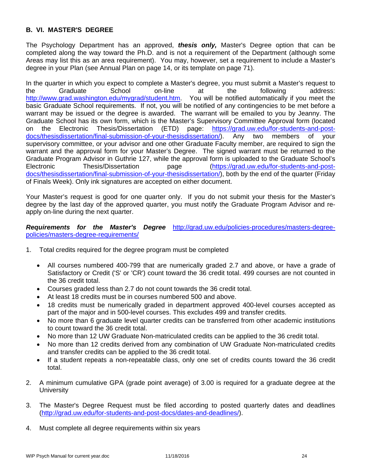# **B. VI. MASTER'S DEGREE**

The Psychology Department has an approved, *thesis only,* Master's Degree option that can be completed along the way toward the Ph.D. and is not a requirement of the Department (although some Areas may list this as an area requirement). You may, however, set a requirement to include a Master's degree in your Plan (see Annual Plan on page 14, or its template on page 71).

In the quarter in which you expect to complete a Master's degree, you must submit a Master's request to the Graduate School on-line at the following address: http://www.grad.washington.edu/mygrad/student.htm. You will be notified automatically if you meet the basic Graduate School requirements. If not, you will be notified of any contingencies to be met before a warrant may be issued or the degree is awarded. The warrant will be emailed to you by Jeanny. The Graduate School has its own form, which is the Master's Supervisory Committee Approval form (located on the Electronic Thesis/Dissertation (ETD) page: https://grad.uw.edu/for-students-and-postdocs/thesisdissertation/final-submission-of-your-thesisdissertation/). Any two members of your supervisory committee, or your advisor and one other Graduate Faculty member, are required to sign the warrant and the approval form for your Master's Degree. The signed warrant must be returned to the Graduate Program Advisor in Guthrie 127, while the approval form is uploaded to the Graduate School's Electronic Thesis/Dissertation page (https://grad.uw.edu/for-students-and-postdocs/thesisdissertation/final-submission-of-your-thesisdissertation/), both by the end of the quarter (Friday of Finals Week). Only ink signatures are accepted on either document.

Your Master's request is good for one quarter only. If you do not submit your thesis for the Master's degree by the last day of the approved quarter, you must notify the Graduate Program Advisor and reapply on-line during the next quarter.

*Requirements for the Master's Degree* http://grad.uw.edu/policies-procedures/masters-degreepolicies/masters-degree-requirements/

- 1. Total credits required for the degree program must be completed
	- All courses numbered 400-799 that are numerically graded 2.7 and above, or have a grade of Satisfactory or Credit ('S' or 'CR') count toward the 36 credit total. 499 courses are not counted in the 36 credit total.
	- Courses graded less than 2.7 do not count towards the 36 credit total.
	- At least 18 credits must be in courses numbered 500 and above.
	- 18 credits must be numerically graded in department approved 400-level courses accepted as part of the major and in 500-level courses. This excludes 499 and transfer credits.
	- No more than 6 graduate level quarter credits can be transferred from other academic institutions to count toward the 36 credit total.
	- No more than 12 UW Graduate Non-matriculated credits can be applied to the 36 credit total.
	- No more than 12 credits derived from any combination of UW Graduate Non-matriculated credits and transfer credits can be applied to the 36 credit total.
	- If a student repeats a non-repeatable class, only one set of credits counts toward the 36 credit total.
- 2. A minimum cumulative GPA (grade point average) of 3.00 is required for a graduate degree at the **University**
- 3. The Master's Degree Request must be filed according to posted quarterly dates and deadlines (http://grad.uw.edu/for-students-and-post-docs/dates-and-deadlines/).
- 4. Must complete all degree requirements within six years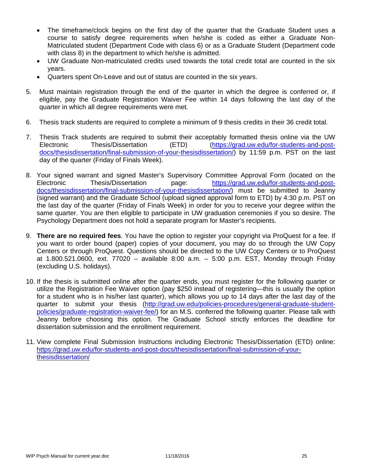- The timeframe/clock begins on the first day of the quarter that the Graduate Student uses a course to satisfy degree requirements when he/she is coded as either a Graduate Non-Matriculated student (Department Code with class 6) or as a Graduate Student (Department code with class 8) in the department to which he/she is admitted.
- UW Graduate Non-matriculated credits used towards the total credit total are counted in the six years.
- Quarters spent On-Leave and out of status are counted in the six years.
- 5. Must maintain registration through the end of the quarter in which the degree is conferred or, if eligible, pay the Graduate Registration Waiver Fee within 14 days following the last day of the quarter in which all degree requirements were met.
- 6. Thesis track students are required to complete a minimum of 9 thesis credits in their 36 credit total.
- 7. Thesis Track students are required to submit their acceptably formatted thesis online via the UW Electronic Thesis/Dissertation (ETD) (https://grad.uw.edu/for-students-and-postdocs/thesisdissertation/final-submission-of-your-thesisdissertation/) by 11:59 p.m. PST on the last day of the quarter (Friday of Finals Week).
- 8. Your signed warrant and signed Master's Supervisory Committee Approval Form (located on the Electronic Thesis/Dissertation page: https://grad.uw.edu/for-students-and-postdocs/thesisdissertation/final-submission-of-your-thesisdissertation/) must be submitted to Jeanny (signed warrant) and the Graduate School (upload signed approval form to ETD) by 4:30 p.m. PST on the last day of the quarter (Friday of Finals Week) in order for you to receive your degree within the same quarter. You are then eligible to participate in UW graduation ceremonies if you so desire. The Psychology Department does not hold a separate program for Master's recipients.
- 9. **There are no required fees**. You have the option to register your copyright via ProQuest for a fee. If you want to order bound (paper) copies of your document, you may do so through the UW Copy Centers or through ProQuest. Questions should be directed to the UW Copy Centers or to ProQuest at 1.800.521.0600, ext. 77020 – available 8:00 a.m. – 5:00 p.m. EST, Monday through Friday (excluding U.S. holidays).
- 10. If the thesis is submitted online after the quarter ends, you must register for the following quarter or utilize the Registration Fee Waiver option (pay \$250 instead of registering—this is usually the option for a student who is in his/her last quarter), which allows you up to 14 days after the last day of the quarter to submit your thesis (http://grad.uw.edu/policies-procedures/general-graduate-studentpolicies/graduate-registration-waiver-fee/) for an M.S. conferred the following quarter. Please talk with Jeanny before choosing this option. The Graduate School strictly enforces the deadline for dissertation submission and the enrollment requirement.
- 11. View complete Final Submission Instructions including Electronic Thesis/Dissertation (ETD) online: https://grad.uw.edu/for-students-and-post-docs/thesisdissertation/final-submission-of-yourthesisdissertation/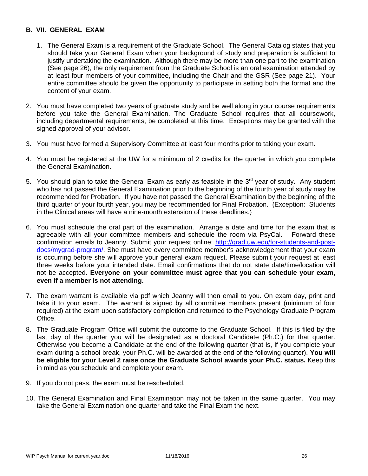# **B. VII. GENERAL EXAM**

- 1. The General Exam is a requirement of the Graduate School. The General Catalog states that you should take your General Exam when your background of study and preparation is sufficient to justify undertaking the examination. Although there may be more than one part to the examination (See page 26), the only requirement from the Graduate School is an oral examination attended by at least four members of your committee, including the Chair and the GSR (See page 21). Your entire committee should be given the opportunity to participate in setting both the format and the content of your exam.
- 2. You must have completed two years of graduate study and be well along in your course requirements before you take the General Examination. The Graduate School requires that all coursework, including departmental requirements, be completed at this time. Exceptions may be granted with the signed approval of your advisor.
- 3. You must have formed a Supervisory Committee at least four months prior to taking your exam.
- 4. You must be registered at the UW for a minimum of 2 credits for the quarter in which you complete the General Examination.
- 5. You should plan to take the General Exam as early as feasible in the  $3<sup>rd</sup>$  year of study. Any student who has not passed the General Examination prior to the beginning of the fourth year of study may be recommended for Probation. If you have not passed the General Examination by the beginning of the third quarter of your fourth year, you may be recommended for Final Probation. (Exception: Students in the Clinical areas will have a nine-month extension of these deadlines.)
- 6. You must schedule the oral part of the examination. Arrange a date and time for the exam that is agreeable with all your committee members and schedule the room via PsyCal. Forward these confirmation emails to Jeanny. Submit your request online: http://grad.uw.edu/for-students-and-postdocs/mygrad-program/. She must have every committee member's acknowledgement that your exam is occurring before she will approve your general exam request. Please submit your request at least three weeks before your intended date. Email confirmations that do not state date/time/location will not be accepted. **Everyone on your committee must agree that you can schedule your exam, even if a member is not attending.**
- 7. The exam warrant is available via pdf which Jeanny will then email to you. On exam day, print and take it to your exam. The warrant is signed by all committee members present (minimum of four required) at the exam upon satisfactory completion and returned to the Psychology Graduate Program Office.
- 8. The Graduate Program Office will submit the outcome to the Graduate School. If this is filed by the last day of the quarter you will be designated as a doctoral Candidate (Ph.C.) for that quarter. Otherwise you become a Candidate at the end of the following quarter (that is, if you complete your exam during a school break, your Ph.C. will be awarded at the end of the following quarter). **You will be eligible for your Level 2 raise once the Graduate School awards your Ph.C. status.** Keep this in mind as you schedule and complete your exam.
- 9. If you do not pass, the exam must be rescheduled.
- 10. The General Examination and Final Examination may not be taken in the same quarter. You may take the General Examination one quarter and take the Final Exam the next.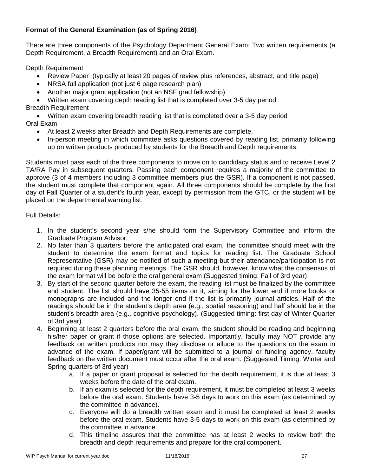# **Format of the General Examination (as of Spring 2016)**

There are three components of the Psychology Department General Exam: Two written requirements (a Depth Requirement, a Breadth Requirement) and an Oral Exam.

Depth Requirement

- Review Paper (typically at least 20 pages of review plus references, abstract, and title page)
- NRSA full application (not just 6 page research plan)
- Another major grant application (not an NSF grad fellowship)
- Written exam covering depth reading list that is completed over 3-5 day period

Breadth Requirement

 Written exam covering breadth reading list that is completed over a 3-5 day period Oral Exam

- At least 2 weeks after Breadth and Depth Requirements are complete.
- In-person meeting in which committee asks questions covered by reading list, primarily following up on written products produced by students for the Breadth and Depth requirements.

Students must pass each of the three components to move on to candidacy status and to receive Level 2 TA/RA Pay in subsequent quarters. Passing each component requires a majority of the committee to approve (3 of 4 members including 3 committee members plus the GSR). If a component is not passed, the student must complete that component again. All three components should be complete by the first day of Fall Quarter of a student's fourth year, except by permission from the GTC, or the student will be placed on the departmental warning list.

Full Details:

- 1. In the student's second year s/he should form the Supervisory Committee and inform the Graduate Program Advisor.
- 2. No later than 3 quarters before the anticipated oral exam, the committee should meet with the student to determine the exam format and topics for reading list. The Graduate School Representative (GSR) may be notified of such a meeting but their attendance/participation is not required during these planning meetings. The GSR should, however, know what the consensus of the exam format will be before the oral general exam (Suggested timing: Fall of 3rd year)
- 3. By start of the second quarter before the exam, the reading list must be finalized by the committee and student. The list should have 35-55 items on it, aiming for the lower end if more books or monographs are included and the longer end if the list is primarily journal articles. Half of the readings should be in the student's depth area (e.g., spatial reasoning) and half should be in the student's breadth area (e.g., cognitive psychology). (Suggested timing: first day of Winter Quarter of 3rd year)
- 4. Beginning at least 2 quarters before the oral exam, the student should be reading and beginning his/her paper or grant if those options are selected. Importantly, faculty may NOT provide any feedback on written products nor may they disclose or allude to the questions on the exam in advance of the exam. If paper/grant will be submitted to a journal or funding agency, faculty feedback on the written document must occur after the oral exam. (Suggested Timing: Winter and Spring quarters of 3rd year)
	- a. If a paper or grant proposal is selected for the depth requirement, it is due at least 3 weeks before the date of the oral exam.
	- b. If an exam is selected for the depth requirement, it must be completed at least 3 weeks before the oral exam. Students have 3-5 days to work on this exam (as determined by the committee in advance).
	- c. Everyone will do a breadth written exam and it must be completed at least 2 weeks before the oral exam. Students have 3-5 days to work on this exam (as determined by the committee in advance.
	- d. This timeline assures that the committee has at least 2 weeks to review both the breadth and depth requirements and prepare for the oral component.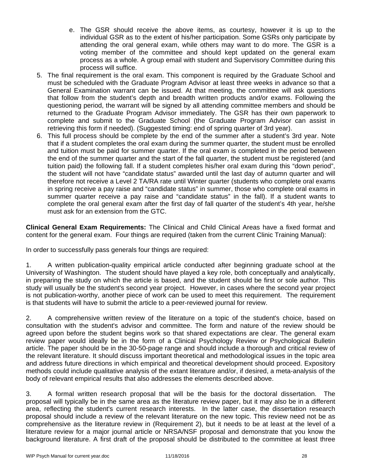- e. The GSR should receive the above items, as courtesy, however it is up to the individual GSR as to the extent of his/her participation. Some GSRs only participate by attending the oral general exam, while others may want to do more. The GSR is a voting member of the committee and should kept updated on the general exam process as a whole. A group email with student and Supervisory Committee during this process will suffice.
- 5. The final requirement is the oral exam. This component is required by the Graduate School and must be scheduled with the Graduate Program Advisor at least three weeks in advance so that a General Examination warrant can be issued. At that meeting, the committee will ask questions that follow from the student's depth and breadth written products and/or exams. Following the questioning period, the warrant will be signed by all attending committee members and should be returned to the Graduate Program Advisor immediately. The GSR has their own paperwork to complete and submit to the Graduate School (the Graduate Program Advisor can assist in retrieving this form if needed). (Suggested timing: end of spring quarter of 3rd year).
- 6. This full process should be complete by the end of the summer after a student's 3rd year. Note that if a student completes the oral exam during the summer quarter, the student must be enrolled and tuition must be paid for summer quarter. If the oral exam is completed in the period between the end of the summer quarter and the start of the fall quarter, the student must be registered (and tuition paid) the following fall. If a student completes his/her oral exam during this "down period", the student will not have "candidate status" awarded until the last day of autumn quarter and will therefore not receive a Level 2 TA/RA rate until Winter quarter (students who complete oral exams in spring receive a pay raise and "candidate status" in summer, those who complete oral exams in summer quarter receive a pay raise and "candidate status" in the fall). If a student wants to complete the oral general exam after the first day of fall quarter of the student's 4th year, he/she must ask for an extension from the GTC.

**Clinical General Exam Requirements:** The Clinical and Child Clinical Areas have a fixed format and content for the general exam. Four things are required (taken from the current Clinic Training Manual):

In order to successfully pass generals four things are required:

1. A written publication-quality empirical article conducted after beginning graduate school at the University of Washington. The student should have played a key role, both conceptually and analytically, in preparing the study on which the article is based, and the student should be first or sole author. This study will usually be the student's second year project. However, in cases where the second year project is not publication-worthy, another piece of work can be used to meet this requirement. The requirement is that students will have to submit the article to a peer-reviewed journal for review.

2. A comprehensive written review of the literature on a topic of the student's choice, based on consultation with the student's advisor and committee. The form and nature of the review should be agreed upon before the student begins work so that shared expectations are clear. The general exam review paper would ideally be in the form of a Clinical Psychology Review or Psychological Bulletin article. The paper should be in the 30-50-page range and should include a thorough and critical review of the relevant literature. It should discuss important theoretical and methodological issues in the topic area and address future directions in which empirical and theoretical development should proceed. Expository methods could include qualitative analysis of the extant literature and/or, if desired, a meta-analysis of the body of relevant empirical results that also addresses the elements described above.

3. A formal written research proposal that will be the basis for the doctoral dissertation. The proposal will typically be in the same area as the literature review paper, but it may also be in a different area, reflecting the student's current research interests. In the latter case, the dissertation research proposal should include a review of the relevant literature on the new topic. This review need not be as comprehensive as the literature review in (Requirement 2), but it needs to be at least at the level of a literature review for a major journal article or NRSA/NSF proposal and demonstrate that you know the background literature. A first draft of the proposal should be distributed to the committee at least three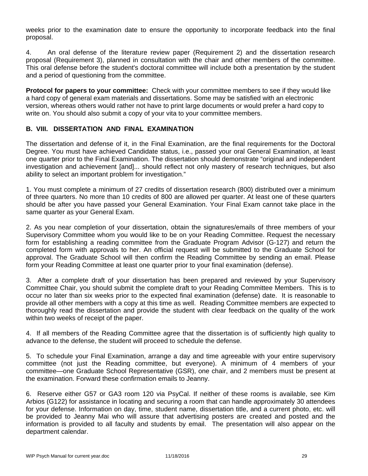weeks prior to the examination date to ensure the opportunity to incorporate feedback into the final proposal.

4. An oral defense of the literature review paper (Requirement 2) and the dissertation research proposal (Requirement 3), planned in consultation with the chair and other members of the committee. This oral defense before the student's doctoral committee will include both a presentation by the student and a period of questioning from the committee.

**Protocol for papers to your committee:** Check with your committee members to see if they would like a hard copy of general exam materials and dissertations. Some may be satisfied with an electronic version, whereas others would rather not have to print large documents or would prefer a hard copy to write on. You should also submit a copy of your vita to your committee members.

# **B. VIII. DISSERTATION AND FINAL EXAMINATION**

The dissertation and defense of it, in the Final Examination, are the final requirements for the Doctoral Degree. You must have achieved Candidate status, i.e., passed your oral General Examination, at least one quarter prior to the Final Examination. The dissertation should demonstrate "original and independent investigation and achievement [and]... should reflect not only mastery of research techniques, but also ability to select an important problem for investigation."

1. You must complete a minimum of 27 credits of dissertation research (800) distributed over a minimum of three quarters. No more than 10 credits of 800 are allowed per quarter. At least one of these quarters should be after you have passed your General Examination. Your Final Exam cannot take place in the same quarter as your General Exam.

2. As you near completion of your dissertation, obtain the signatures/emails of three members of your Supervisory Committee whom you would like to be on your Reading Committee. Request the necessary form for establishing a reading committee from the Graduate Program Advisor (G-127) and return the completed form with approvals to her. An official request will be submitted to the Graduate School for approval. The Graduate School will then confirm the Reading Committee by sending an email. Please form your Reading Committee at least one quarter prior to your final examination (defense).

3. After a complete draft of your dissertation has been prepared and reviewed by your Supervisory Committee Chair, you should submit the complete draft to your Reading Committee Members. This is to occur no later than six weeks prior to the expected final examination (defense) date. It is reasonable to provide all other members with a copy at this time as well. Reading Committee members are expected to thoroughly read the dissertation and provide the student with clear feedback on the quality of the work within two weeks of receipt of the paper.

4. If all members of the Reading Committee agree that the dissertation is of sufficiently high quality to advance to the defense, the student will proceed to schedule the defense.

5. To schedule your Final Examination, arrange a day and time agreeable with your entire supervisory committee (not just the Reading committee, but everyone). A minimum of 4 members of your committee—one Graduate School Representative (GSR), one chair, and 2 members must be present at the examination. Forward these confirmation emails to Jeanny.

6. Reserve either G57 or GA3 room 120 via PsyCal. If neither of these rooms is available, see Kim Arbios (G122) for assistance in locating and securing a room that can handle approximately 30 attendees for your defense. Information on day, time, student name, dissertation title, and a current photo, etc. will be provided to Jeanny Mai who will assure that advertising posters are created and posted and the information is provided to all faculty and students by email. The presentation will also appear on the department calendar.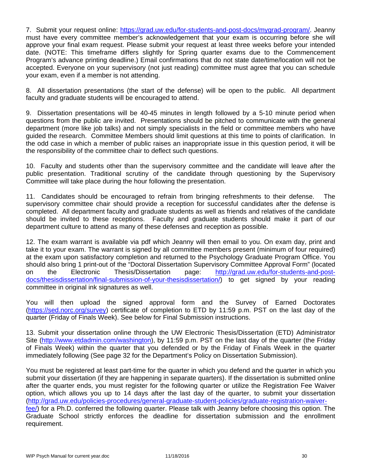7. Submit your request online: https://grad.uw.edu/for-students-and-post-docs/mygrad-program/. Jeanny must have every committee member's acknowledgement that your exam is occurring before she will approve your final exam request. Please submit your request at least three weeks before your intended date. (NOTE: This timeframe differs slightly for Spring quarter exams due to the Commencement Program's advance printing deadline.) Email confirmations that do not state date/time/location will not be accepted. Everyone on your supervisory (not just reading) committee must agree that you can schedule your exam, even if a member is not attending.

8. All dissertation presentations (the start of the defense) will be open to the public. All department faculty and graduate students will be encouraged to attend.

9. Dissertation presentations will be 40-45 minutes in length followed by a 5-10 minute period when questions from the public are invited. Presentations should be pitched to communicate with the general department (more like job talks) and not simply specialists in the field or committee members who have guided the research. Committee Members should limit questions at this time to points of clarification. In the odd case in which a member of public raises an inappropriate issue in this question period, it will be the responsibility of the committee chair to deflect such questions.

10. Faculty and students other than the supervisory committee and the candidate will leave after the public presentation. Traditional scrutiny of the candidate through questioning by the Supervisory Committee will take place during the hour following the presentation.

11. Candidates should be encouraged to refrain from bringing refreshments to their defense. The supervisory committee chair should provide a reception for successful candidates after the defense is completed. All department faculty and graduate students as well as friends and relatives of the candidate should be invited to these receptions. Faculty and graduate students should make it part of our department culture to attend as many of these defenses and reception as possible.

12. The exam warrant is available via pdf which Jeanny will then email to you. On exam day, print and take it to your exam. The warrant is signed by all committee members present (minimum of four required) at the exam upon satisfactory completion and returned to the Psychology Graduate Program Office. You should also bring 1 print-out of the "Doctoral Dissertation Supervisory Committee Approval Form" (located on the Electronic Thesis/Dissertation page: http://grad.uw.edu/for-students-and-postdocs/thesisdissertation/final-submission-of-your-thesisdissertation/) to get signed by your reading committee in original ink signatures as well.

You will then upload the signed approval form and the Survey of Earned Doctorates (https://sed.norc.org/survey) certificate of completion to ETD by 11:59 p.m. PST on the last day of the quarter (Friday of Finals Week). See below for Final Submission instructions.

13. Submit your dissertation online through the UW Electronic Thesis/Dissertation (ETD) Administrator Site (http://www.etdadmin.com/washington), by 11:59 p.m. PST on the last day of the quarter (the Friday of Finals Week) within the quarter that you defended or by the Friday of Finals Week in the quarter immediately following (See page 32 for the Department's Policy on Dissertation Submission).

You must be registered at least part-time for the quarter in which you defend and the quarter in which you submit your dissertation (if they are happening in separate quarters). If the dissertation is submitted online after the quarter ends, you must register for the following quarter or utilize the Registration Fee Waiver option, which allows you up to 14 days after the last day of the quarter, to submit your dissertation (http://grad.uw.edu/policies-procedures/general-graduate-student-policies/graduate-registration-waiverfee/) for a Ph.D. conferred the following quarter. Please talk with Jeanny before choosing this option. The Graduate School strictly enforces the deadline for dissertation submission and the enrollment

requirement.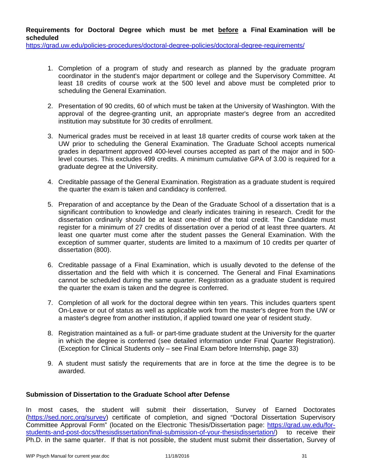**Requirements for Doctoral Degree which must be met before a Final Examination will be scheduled** 

https://grad.uw.edu/policies-procedures/doctoral-degree-policies/doctoral-degree-requirements/

- 1. Completion of a program of study and research as planned by the graduate program coordinator in the student's major department or college and the Supervisory Committee. At least 18 credits of course work at the 500 level and above must be completed prior to scheduling the General Examination.
- 2. Presentation of 90 credits, 60 of which must be taken at the University of Washington. With the approval of the degree-granting unit, an appropriate master's degree from an accredited institution may substitute for 30 credits of enrollment.
- 3. Numerical grades must be received in at least 18 quarter credits of course work taken at the UW prior to scheduling the General Examination. The Graduate School accepts numerical grades in department approved 400-level courses accepted as part of the major and in 500 level courses. This excludes 499 credits. A minimum cumulative GPA of 3.00 is required for a graduate degree at the University.
- 4. Creditable passage of the General Examination. Registration as a graduate student is required the quarter the exam is taken and candidacy is conferred.
- 5. Preparation of and acceptance by the Dean of the Graduate School of a dissertation that is a significant contribution to knowledge and clearly indicates training in research. Credit for the dissertation ordinarily should be at least one-third of the total credit. The Candidate must register for a minimum of 27 credits of dissertation over a period of at least three quarters. At least one quarter must come after the student passes the General Examination. With the exception of summer quarter, students are limited to a maximum of 10 credits per quarter of dissertation (800).
- 6. Creditable passage of a Final Examination, which is usually devoted to the defense of the dissertation and the field with which it is concerned. The General and Final Examinations cannot be scheduled during the same quarter. Registration as a graduate student is required the quarter the exam is taken and the degree is conferred.
- 7. Completion of all work for the doctoral degree within ten years. This includes quarters spent On-Leave or out of status as well as applicable work from the master's degree from the UW or a master's degree from another institution, if applied toward one year of resident study.
- 8. Registration maintained as a full- or part-time graduate student at the University for the quarter in which the degree is conferred (see detailed information under Final Quarter Registration). (Exception for Clinical Students only – see Final Exam before Internship, page 33)
- 9. A student must satisfy the requirements that are in force at the time the degree is to be awarded.

# **Submission of Dissertation to the Graduate School after Defense**

In most cases, the student will submit their dissertation, Survey of Earned Doctorates (https://sed.norc.org/survey) certificate of completion, and signed "Doctoral Dissertation Supervisory Committee Approval Form" (located on the Electronic Thesis/Dissertation page: https://grad.uw.edu/forstudents-and-post-docs/thesisdissertation/final-submission-of-your-thesisdissertation/) to receive their Ph.D. in the same quarter. If that is not possible, the student must submit their dissertation, Survey of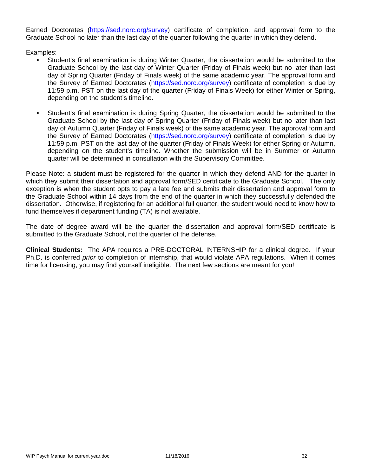Earned Doctorates (https://sed.norc.org/survey) certificate of completion, and approval form to the Graduate School no later than the last day of the quarter following the quarter in which they defend.

Examples:

- Student's final examination is during Winter Quarter, the dissertation would be submitted to the Graduate School by the last day of Winter Quarter (Friday of Finals week) but no later than last day of Spring Quarter (Friday of Finals week) of the same academic year. The approval form and the Survey of Earned Doctorates (https://sed.norc.org/survey) certificate of completion is due by 11:59 p.m. PST on the last day of the quarter (Friday of Finals Week) for either Winter or Spring, depending on the student's timeline.
- Student's final examination is during Spring Quarter, the dissertation would be submitted to the Graduate School by the last day of Spring Quarter (Friday of Finals week) but no later than last day of Autumn Quarter (Friday of Finals week) of the same academic year. The approval form and the Survey of Earned Doctorates (https://sed.norc.org/survey) certificate of completion is due by 11:59 p.m. PST on the last day of the quarter (Friday of Finals Week) for either Spring or Autumn, depending on the student's timeline. Whether the submission will be in Summer or Autumn quarter will be determined in consultation with the Supervisory Committee.

Please Note: a student must be registered for the quarter in which they defend AND for the quarter in which they submit their dissertation and approval form/SED certificate to the Graduate School. The only exception is when the student opts to pay a late fee and submits their dissertation and approval form to the Graduate School within 14 days from the end of the quarter in which they successfully defended the dissertation. Otherwise, if registering for an additional full quarter, the student would need to know how to fund themselves if department funding (TA) is not available.

The date of degree award will be the quarter the dissertation and approval form/SED certificate is submitted to the Graduate School, not the quarter of the defense.

**Clinical Students:** The APA requires a PRE-DOCTORAL INTERNSHIP for a clinical degree. If your Ph.D. is conferred *prior* to completion of internship, that would violate APA regulations. When it comes time for licensing, you may find yourself ineligible. The next few sections are meant for you!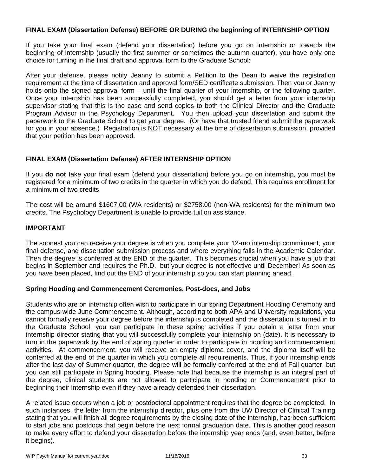# **FINAL EXAM (Dissertation Defense) BEFORE OR DURING the beginning of INTERNSHIP OPTION**

If you take your final exam (defend your dissertation) before you go on internship or towards the beginning of internship (usually the first summer or sometimes the autumn quarter), you have only one choice for turning in the final draft and approval form to the Graduate School:

After your defense, please notify Jeanny to submit a Petition to the Dean to waive the registration requirement at the time of dissertation and approval form/SED certificate submission. Then you or Jeanny holds onto the signed approval form – until the final quarter of your internship, or the following quarter. Once your internship has been successfully completed, you should get a letter from your internship supervisor stating that this is the case and send copies to both the Clinical Director and the Graduate Program Advisor in the Psychology Department. You then upload your dissertation and submit the paperwork to the Graduate School to get your degree. (Or have that trusted friend submit the paperwork for you in your absence.) Registration is NOT necessary at the time of dissertation submission, provided that your petition has been approved.

# **FINAL EXAM (Dissertation Defense) AFTER INTERNSHIP OPTION**

If you **do not** take your final exam (defend your dissertation) before you go on internship, you must be registered for a minimum of two credits in the quarter in which you do defend. This requires enrollment for a minimum of two credits.

The cost will be around \$1607.00 (WA residents) or \$2758.00 (non-WA residents) for the minimum two credits. The Psychology Department is unable to provide tuition assistance.

# **IMPORTANT**

The soonest you can receive your degree is when you complete your 12-mo internship commitment, your final defense, and dissertation submission process and where everything falls in the Academic Calendar. Then the degree is conferred at the END of the quarter. This becomes crucial when you have a job that begins in September and requires the Ph.D., but your degree is not effective until December! As soon as you have been placed, find out the END of your internship so you can start planning ahead.

# **Spring Hooding and Commencement Ceremonies, Post-docs, and Jobs**

Students who are on internship often wish to participate in our spring Department Hooding Ceremony and the campus-wide June Commencement. Although, according to both APA and University regulations, you cannot formally receive your degree before the internship is completed and the dissertation is turned in to the Graduate School, you can participate in these spring activities if you obtain a letter from your internship director stating that you will successfully complete your internship on (date). It is necessary to turn in the paperwork by the end of spring quarter in order to participate in hooding and commencement activities. At commencement, you will receive an empty diploma cover, and the diploma itself will be conferred at the end of the quarter in which you complete all requirements. Thus, if your internship ends after the last day of Summer quarter, the degree will be formally conferred at the end of Fall quarter, but you can still participate in Spring hooding. Please note that because the internship is an integral part of the degree, clinical students are not allowed to participate in hooding or Commencement prior to beginning their internship even if they have already defended their dissertation.

A related issue occurs when a job or postdoctoral appointment requires that the degree be completed. In such instances, the letter from the internship director, plus one from the UW Director of Clinical Training stating that you will finish all degree requirements by the closing date of the internship, has been sufficient to start jobs and postdocs that begin before the next formal graduation date. This is another good reason to make every effort to defend your dissertation before the internship year ends (and, even better, before it begins).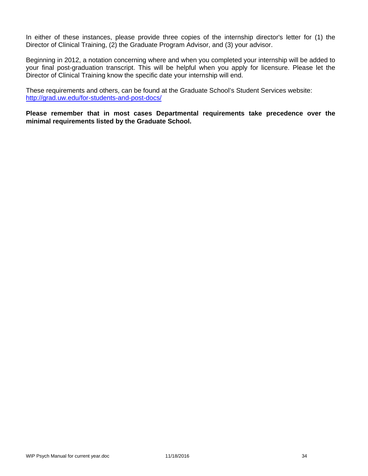In either of these instances, please provide three copies of the internship director's letter for (1) the Director of Clinical Training, (2) the Graduate Program Advisor, and (3) your advisor.

Beginning in 2012, a notation concerning where and when you completed your internship will be added to your final post-graduation transcript. This will be helpful when you apply for licensure. Please let the Director of Clinical Training know the specific date your internship will end.

These requirements and others, can be found at the Graduate School's Student Services website: http://grad.uw.edu/for-students-and-post-docs/

**Please remember that in most cases Departmental requirements take precedence over the minimal requirements listed by the Graduate School.**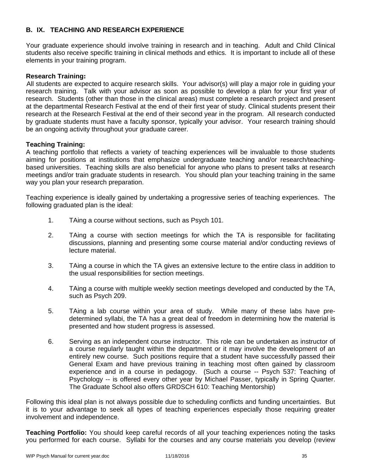# **B. IX. TEACHING AND RESEARCH EXPERIENCE**

Your graduate experience should involve training in research and in teaching. Adult and Child Clinical students also receive specific training in clinical methods and ethics. It is important to include all of these elements in your training program.

# **Research Training:**

All students are expected to acquire research skills. Your advisor(s) will play a major role in guiding your research training. Talk with your advisor as soon as possible to develop a plan for your first year of research. Students (other than those in the clinical areas) must complete a research project and present at the departmental Research Festival at the end of their first year of study. Clinical students present their research at the Research Festival at the end of their second year in the program. All research conducted by graduate students must have a faculty sponsor, typically your advisor. Your research training should be an ongoing activity throughout your graduate career.

# **Teaching Training:**

A teaching portfolio that reflects a variety of teaching experiences will be invaluable to those students aiming for positions at institutions that emphasize undergraduate teaching and/or research/teachingbased universities. Teaching skills are also beneficial for anyone who plans to present talks at research meetings and/or train graduate students in research. You should plan your teaching training in the same way you plan your research preparation.

Teaching experience is ideally gained by undertaking a progressive series of teaching experiences. The following graduated plan is the ideal:

- 1. TAing a course without sections, such as Psych 101.
- 2. TAing a course with section meetings for which the TA is responsible for facilitating discussions, planning and presenting some course material and/or conducting reviews of lecture material.
- 3. TAing a course in which the TA gives an extensive lecture to the entire class in addition to the usual responsibilities for section meetings.
- 4. TAing a course with multiple weekly section meetings developed and conducted by the TA, such as Psych 209.
- 5. TAing a lab course within your area of study. While many of these labs have predetermined syllabi, the TA has a great deal of freedom in determining how the material is presented and how student progress is assessed.
- 6. Serving as an independent course instructor. This role can be undertaken as instructor of a course regularly taught within the department or it may involve the development of an entirely new course. Such positions require that a student have successfully passed their General Exam and have previous training in teaching most often gained by classroom experience and in a course in pedagogy. (Such a course -- Psych 537: Teaching of Psychology -- is offered every other year by Michael Passer, typically in Spring Quarter. The Graduate School also offers GRDSCH 610: Teaching Mentorship)

Following this ideal plan is not always possible due to scheduling conflicts and funding uncertainties. But it is to your advantage to seek all types of teaching experiences especially those requiring greater involvement and independence.

**Teaching Portfolio:** You should keep careful records of all your teaching experiences noting the tasks you performed for each course. Syllabi for the courses and any course materials you develop (review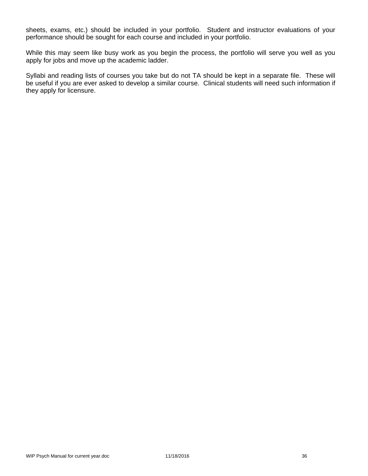sheets, exams, etc.) should be included in your portfolio. Student and instructor evaluations of your performance should be sought for each course and included in your portfolio.

While this may seem like busy work as you begin the process, the portfolio will serve you well as you apply for jobs and move up the academic ladder.

Syllabi and reading lists of courses you take but do not TA should be kept in a separate file. These will be useful if you are ever asked to develop a similar course. Clinical students will need such information if they apply for licensure.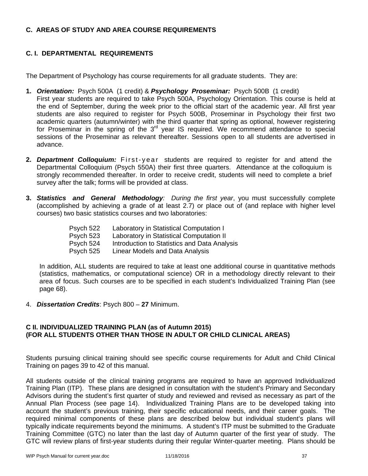## **C. AREAS OF STUDY AND AREA COURSE REQUIREMENTS**

# **C. I. DEPARTMENTAL REQUIREMENTS**

The Department of Psychology has course requirements for all graduate students. They are:

- **1.** *Orientation:* Psych 500A (1 credit) & *Psychology Proseminar:* Psych 500B (1 credit) First year students are required to take Psych 500A, Psychology Orientation. This course is held at the end of September, during the week prior to the official start of the academic year. All first year students are also required to register for Psych 500B, Proseminar in Psychology their first two academic quarters (autumn/winter) with the third quarter that spring as optional, however registering for Proseminar in the spring of the  $3<sup>rd</sup>$  year IS required. We recommend attendance to special sessions of the Proseminar as relevant thereafter. Sessions open to all students are advertised in advance.
- **2.** *Department Colloquium:* First-year students are required to register for and attend the Departmental Colloquium (Psych 550A) their first three quarters. Attendance at the colloquium is strongly recommended thereafter. In order to receive credit, students will need to complete a brief survey after the talk; forms will be provided at class.
- **3.** *Statistics and General Methodology: During the first year*, you must successfully complete (accomplished by achieving a grade of at least 2.7) or place out of (and replace with higher level courses) two basic statistics courses and two laboratories:

| Psych 522 | Laboratory in Statistical Computation I      |
|-----------|----------------------------------------------|
| Psych 523 | Laboratory in Statistical Computation II     |
| Psych 524 | Introduction to Statistics and Data Analysis |
| Psych 525 | Linear Models and Data Analysis              |

In addition, ALL students are required to take at least one additional course in quantitative methods (statistics, mathematics, or computational science) OR in a methodology directly relevant to their area of focus. Such courses are to be specified in each student's Individualized Training Plan (see page 68).

4. *Dissertation Credits*: Psych 800 – **27** Minimum.

## **C II. INDIVIDUALIZED TRAINING PLAN (as of Autumn 2015) (FOR ALL STUDENTS OTHER THAN THOSE IN ADULT OR CHILD CLINICAL AREAS)**

Students pursuing clinical training should see specific course requirements for Adult and Child Clinical Training on pages 39 to 42 of this manual.

All students outside of the clinical training programs are required to have an approved Individualized Training Plan (ITP). These plans are designed in consultation with the student's Primary and Secondary Advisors during the student's first quarter of study and reviewed and revised as necessary as part of the Annual Plan Process (see page 14). Individualized Training Plans are to be developed taking into account the student's previous training, their specific educational needs, and their career goals. The required minimal components of these plans are described below but individual student's plans will typically indicate requirements beyond the minimums. A student's ITP must be submitted to the Graduate Training Committee (GTC) no later than the last day of Autumn quarter of the first year of study. The GTC will review plans of first-year students during their regular Winter-quarter meeting. Plans should be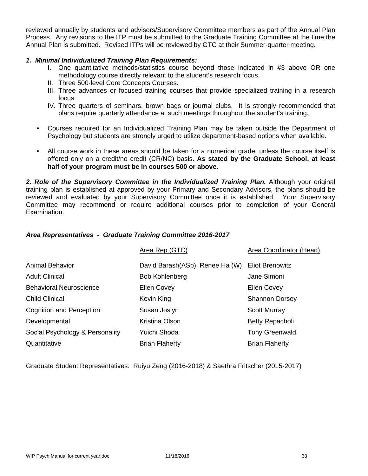reviewed annually by students and advisors/Supervisory Committee members as part of the Annual Plan Process. Any revisions to the ITP must be submitted to the Graduate Training Committee at the time the Annual Plan is submitted. Revised ITPs will be reviewed by GTC at their Summer-quarter meeting.

## *1. Minimal Individualized Training Plan Requirements:*

- I. One quantitative methods/statistics course beyond those indicated in #3 above OR one methodology course directly relevant to the student's research focus.
- II. Three 500-level Core Concepts Courses.
- III. Three advances or focused training courses that provide specialized training in a research focus.
- IV. Three quarters of seminars, brown bags or journal clubs. It is strongly recommended that plans require quarterly attendance at such meetings throughout the student's training.
- Courses required for an Individualized Training Plan may be taken outside the Department of Psychology but students are strongly urged to utilize department-based options when available.
- All course work in these areas should be taken for a numerical grade, unless the course itself is offered only on a credit/no credit (CR/NC) basis. **As stated by the Graduate School, at least half of your program must be in courses 500 or above.**

*2. Role of the Supervisory Committee in the Individualized Training Plan.* Although your original training plan is established at approved by your Primary and Secondary Advisors, the plans should be reviewed and evaluated by your Supervisory Committee once it is established. Your Supervisory Committee may recommend or require additional courses prior to completion of your General Examination.

## *Area Representatives - Graduate Training Committee 2016-2017*

|                                 | Area Rep (GTC)                  | Area Coordinator (Head) |
|---------------------------------|---------------------------------|-------------------------|
| <b>Animal Behavior</b>          | David Barash(ASp), Renee Ha (W) | <b>Eliot Brenowitz</b>  |
| <b>Adult Clinical</b>           | <b>Bob Kohlenberg</b>           | Jane Simoni             |
| <b>Behavioral Neuroscience</b>  | <b>Ellen Covey</b>              | <b>Ellen Covey</b>      |
| <b>Child Clinical</b>           | Kevin King                      | <b>Shannon Dorsey</b>   |
| <b>Cognition and Perception</b> | Susan Joslyn                    | <b>Scott Murray</b>     |
| Developmental                   | Kristina Olson                  | <b>Betty Repacholi</b>  |
| Social Psychology & Personality | Yuichi Shoda                    | <b>Tony Greenwald</b>   |
| Quantitative                    | <b>Brian Flaherty</b>           | <b>Brian Flaherty</b>   |

Graduate Student Representatives: Ruiyu Zeng (2016-2018) & Saethra Fritscher (2015-2017)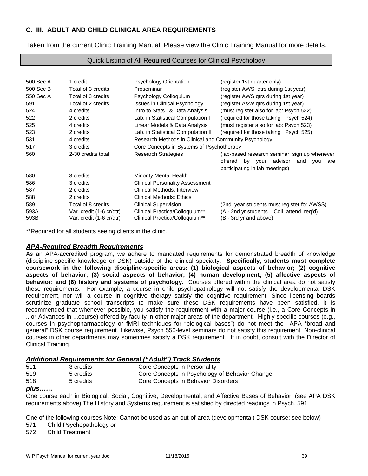# **C. III. ADULT AND CHILD CLINICAL AREA REQUIREMENTS**

Taken from the current Clinic Training Manual. Please view the Clinic Training Manual for more details.

#### Quick Listing of All Required Courses for Clinical Psychology

| 500 Sec A | 1 credit                 | <b>Psychology Orientation</b>                         | (register 1st quarter only)                           |
|-----------|--------------------------|-------------------------------------------------------|-------------------------------------------------------|
| 500 Sec B | Total of 3 credits       | Proseminar                                            | (register AWS qtrs during 1st year)                   |
| 550 Sec A | Total of 3 credits       | Psychology Colloquium                                 | (register AWS gtrs during 1st year)                   |
| 591       | Total of 2 credits       | Issues in Clinical Psychology                         | (register A&W qtrs during 1st year)                   |
| 524       | 4 credits                | Intro to Stats. & Data Analysis                       | (must register also for lab: Psych 522)               |
| 522       | 2 credits                | Lab. in Statistical Computation I                     | (required for those taking Psych 524)                 |
| 525       | 4 credits                | Linear Models & Data Analysis                         | (must register also for lab: Psych 523)               |
| 523       | 2 credits                | Lab. in Statistical Computation II                    | (required for those taking Psych 525)                 |
| 531       | 4 credits                | Research Methods in Clinical and Community Psychology |                                                       |
| 517       | 3 credits                | Core Concepts in Systems of Psychotherapy             |                                                       |
| 560       | 2-30 credits total       | <b>Research Strategies</b>                            | (lab-based research seminar; sign up whenever         |
|           |                          |                                                       | offered<br>by<br>advisor<br>your<br>and<br>you<br>are |
|           |                          |                                                       | participating in lab meetings)                        |
| 580       | 3 credits                | Minority Mental Health                                |                                                       |
| 586       | 3 credits                | <b>Clinical Personality Assessment</b>                |                                                       |
| 587       | 2 credits                | Clinical Methods: Interview                           |                                                       |
| 588       | 2 credits                | <b>Clinical Methods: Ethics</b>                       |                                                       |
| 589       | Total of 8 credits       | <b>Clinical Supervision</b>                           | (2nd year students must register for AWSS)            |
| 593A      | Var. credit (1-6 cr/gtr) | Clinical Practica/Colloquium**                        | (A - 2nd yr students – Coll. attend. reg'd)           |
| 593B      | Var. credit (1-6 cr/gtr) | Clinical Practica/Colloquium**                        | (B - 3rd yr and above)                                |

\*\*Required for all students seeing clients in the clinic.

#### *APA-Required Breadth Requirements*

As an APA-accredited program, we adhere to mandated requirements for demonstrated breadth of knowledge (discipline-specific knowledge or DSK) outside of the clinical specialty. **Specifically, students must complete coursework in the following discipline-specific areas: (1) biological aspects of behavior; (2) cognitive aspects of behavior; (3) social aspects of behavior; (4) human development; (5) affective aspects of behavior; and (6) history and systems of psychology.** Courses offered within the clinical area do not satisfy these requirements. For example, a course in child psychopathology will not satisfy the developmental DSK requirement, nor will a course in cognitive therapy satisfy the cognitive requirement. Since licensing boards scrutinize graduate school transcripts to make sure these DSK requirements have been satisfied, it is recommended that whenever possible, you satisfy the requirement with a major course (i.e., a Core Concepts in ...or Advances in ...course) offered by faculty in other major areas of the department. Highly specific courses (e.g., courses in psychopharmacology or fMRI techniques for "biological bases") do not meet the APA "broad and general" DSK course requirement. Likewise, Psych 550-level seminars do not satisfy this requirement. Non-clinical courses in other departments may sometimes satisfy a DSK requirement. If in doubt, consult with the Director of Clinical Training.

#### *Additional Requirements for General ("Adult") Track Students*

| 511 | 3 credits | Core Concepts in Personality                   |
|-----|-----------|------------------------------------------------|
| 519 | 5 credits | Core Concepts in Psychology of Behavior Change |
| 518 | 5 credits | Core Concepts in Behavior Disorders            |

#### *plus……*

One course each in Biological, Social, Cognitive, Developmental, and Affective Bases of Behavior, (see APA DSK requirements above) The History and Systems requirement is satisfied by directed readings in Psych. 591.

One of the following courses Note: Cannot be used as an out-of-area (developmental) DSK course; see below)

571 Child Psychopathology or

572 Child Treatment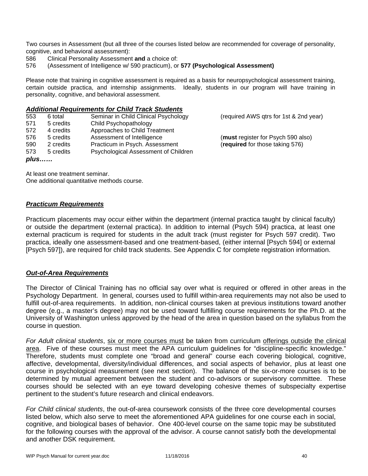Two courses in Assessment (but all three of the courses listed below are recommended for coverage of personality, cognitive, and behavioral assessment):

- 586 Clinical Personality Assessment **and** a choice of:
- 576 (Assessment of Intelligence w/ 590 practicum), or **577 (Psychological Assessment)**

Please note that training in cognitive assessment is required as a basis for neuropsychological assessment training, certain outside practica, and internship assignments. Ideally, students in our program will have training in personality, cognitive, and behavioral assessment.

#### *Additional Requirements for Child Track Students*

| 553  | 6 total   | Seminar in Child Clinical Psychology | (required AWS qtrs for 1st & 2nd year) |
|------|-----------|--------------------------------------|----------------------------------------|
| 571  | 5 credits | Child Psychopathology                |                                        |
| 572  | 4 credits | Approaches to Child Treatment        |                                        |
| 576  | 5 credits | Assessment of Intelligence           | (must register for Psych 590 also)     |
| 590  | 2 credits | Practicum in Psych. Assessment       | (required for those taking 576)        |
| 573  | 5 credits | Psychological Assessment of Children |                                        |
| plus |           |                                      |                                        |

At least one treatment seminar. One additional quantitative methods course.

#### *Practicum Requirements*

Practicum placements may occur either within the department (internal practica taught by clinical faculty) or outside the department (external practica). In addition to internal (Psych 594) practica, at least one external practicum is required for students in the adult track (must register for Psych 597 credit). Two practica, ideally one assessment-based and one treatment-based, (either internal [Psych 594] or external [Psych 597]), are required for child track students. See Appendix C for complete registration information.

#### *Out-of-Area Requirements*

The Director of Clinical Training has no official say over what is required or offered in other areas in the Psychology Department. In general, courses used to fulfill within-area requirements may not also be used to fulfill out-of-area requirements. In addition, non-clinical courses taken at previous institutions toward another degree (e.g., a master's degree) may not be used toward fulfilling course requirements for the Ph.D. at the University of Washington unless approved by the head of the area in question based on the syllabus from the course in question.

*For Adult clinical students*, six or more courses must be taken from curriculum offerings outside the clinical area. Five of these courses must meet the APA curriculum guidelines for "discipline-specific knowledge." Therefore, students must complete one "broad and general" course each covering biological, cognitive, affective, developmental, diversity/individual differences, and social aspects of behavior, plus at least one course in psychological measurement (see next section). The balance of the six-or-more courses is to be determined by mutual agreement between the student and co-advisors or supervisory committee. These courses should be selected with an eye toward developing cohesive themes of subspecialty expertise pertinent to the student's future research and clinical endeavors.

*For Child clinical students*, the out-of-area coursework consists of the three core developmental courses listed below, which also serve to meet the aforementioned APA guidelines for one course each in social, cognitive, and biological bases of behavior. One 400-level course on the same topic may be substituted for the following courses with the approval of the advisor. A course cannot satisfy both the developmental and another DSK requirement.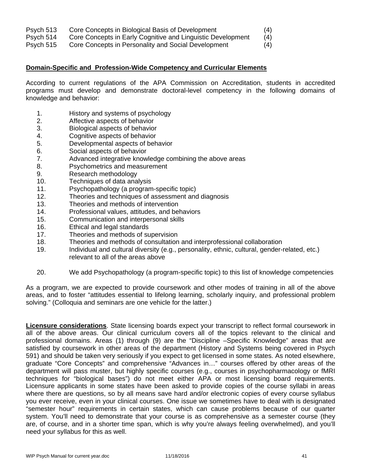- Psych 513 Core Concepts in Biological Basis of Development (4)
- Psych 514 Core Concepts in Early Cognitive and Linguistic Development (4)

Psych 515 Core Concepts in Personality and Social Development (4)

## **Domain-Specific and Profession-Wide Competency and Curricular Elements**

According to current regulations of the APA Commission on Accreditation, students in accredited programs must develop and demonstrate doctoral-level competency in the following domains of knowledge and behavior:

- 1. History and systems of psychology
- 2. Affective aspects of behavior
- 3. Biological aspects of behavior
- 4. Cognitive aspects of behavior
- 5. Developmental aspects of behavior
- 6. Social aspects of behavior<br>7. Advanced integrative know
- Advanced integrative knowledge combining the above areas
- 8. Psychometrics and measurement
- 9. Research methodology
- 10. Techniques of data analysis
- 11. Psychopathology (a program-specific topic)
- 12. Theories and techniques of assessment and diagnosis
- 13. Theories and methods of intervention
- 14. Professional values, attitudes, and behaviors
- 15. Communication and interpersonal skills
- 16. Ethical and legal standards
- 17. Theories and methods of supervision
- 18. Theories and methods of consultation and interprofessional collaboration
- 19. Individual and cultural diversity (e.g., personality, ethnic, cultural, gender-related, etc.) relevant to all of the areas above
- 20. We add Psychopathology (a program-specific topic) to this list of knowledge competencies

As a program, we are expected to provide coursework and other modes of training in all of the above areas, and to foster "attitudes essential to lifelong learning, scholarly inquiry, and professional problem solving." (Colloquia and seminars are one vehicle for the latter.)

**Licensure considerations**. State licensing boards expect your transcript to reflect formal coursework in all of the above areas. Our clinical curriculum covers all of the topics relevant to the clinical and professional domains. Areas (1) through (9) are the "Discipline –Specific Knowledge" areas that are satisfied by coursework in other areas of the department (History and Systems being covered in Psych 591) and should be taken very seriously if you expect to get licensed in some states. As noted elsewhere, graduate "Core Concepts" and comprehensive "Advances in…" courses offered by other areas of the department will pass muster, but highly specific courses (e.g., courses in psychopharmacology or fMRI techniques for "biological bases") do not meet either APA or most licensing board requirements. Licensure applicants in some states have been asked to provide copies of the course syllabi in areas where there are questions, so by all means save hard and/or electronic copies of every course syllabus you ever receive, even in your clinical courses. One issue we sometimes have to deal with is designated "semester hour" requirements in certain states, which can cause problems because of our quarter system. You'll need to demonstrate that your course is as comprehensive as a semester course (they are, of course, and in a shorter time span, which is why you're always feeling overwhelmed), and you'll need your syllabus for this as well.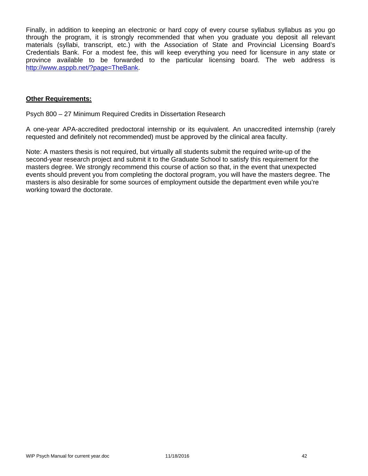Finally, in addition to keeping an electronic or hard copy of every course syllabus syllabus as you go through the program, it is strongly recommended that when you graduate you deposit all relevant materials (syllabi, transcript, etc.) with the Association of State and Provincial Licensing Board's Credentials Bank. For a modest fee, this will keep everything you need for licensure in any state or province available to be forwarded to the particular licensing board. The web address is http://www.asppb.net/?page=TheBank.

#### **Other Requirements:**

Psych 800 – 27 Minimum Required Credits in Dissertation Research

A one-year APA-accredited predoctoral internship or its equivalent. An unaccredited internship (rarely requested and definitely not recommended) must be approved by the clinical area faculty.

Note: A masters thesis is not required, but virtually all students submit the required write-up of the second-year research project and submit it to the Graduate School to satisfy this requirement for the masters degree. We strongly recommend this course of action so that, in the event that unexpected events should prevent you from completing the doctoral program, you will have the masters degree. The masters is also desirable for some sources of employment outside the department even while you're working toward the doctorate.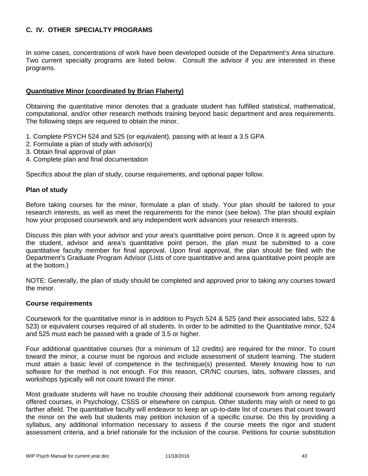# **C. IV. OTHER SPECIALTY PROGRAMS**

In some cases, concentrations of work have been developed outside of the Department's Area structure. Two current specialty programs are listed below. Consult the advisor if you are interested in these programs.

# **Quantitative Minor (coordinated by Brian Flaherty)**

Obtaining the quantitative minor denotes that a graduate student has fulfilled statistical, mathematical, computational, and/or other research methods training beyond basic department and area requirements. The following steps are required to obtain the minor.

- 1. Complete PSYCH 524 and 525 (or equivalent), passing with at least a 3.5 GPA
- 2. Formulate a plan of study with advisor(s)
- 3. Obtain final approval of plan
- 4. Complete plan and final documentation

Specifics about the plan of study, course requirements, and optional paper follow.

#### **Plan of study**

Before taking courses for the minor, formulate a plan of study. Your plan should be tailored to your research interests, as well as meet the requirements for the minor (see below). The plan should explain how your proposed coursework and any independent work advances your research interests.

Discuss this plan with your advisor and your area's quantitative point person. Once it is agreed upon by the student, advisor and area's quantitative point person, the plan must be submitted to a core quantitative faculty member for final approval. Upon final approval, the plan should be filed with the Department's Graduate Program Advisor (Lists of core quantitative and area quantitative point people are at the bottom.)

NOTE: Generally, the plan of study should be completed and approved prior to taking any courses toward the minor.

#### **Course requirements**

Coursework for the quantitative minor is in addition to Psych 524 & 525 (and their associated labs, 522 & 523) or equivalent courses required of all students. In order to be admitted to the Quantitative minor, 524 and 525 must each be passed with a grade of 3.5 or higher.

Four additional quantitative courses (for a minimum of 12 credits) are required for the minor. To count toward the minor, a course must be rigorous and include assessment of student learning. The student must attain a basic level of competence in the technique(s) presented. Merely knowing how to run software for the method is not enough. For this reason, CR/NC courses, labs, software classes, and workshops typically will not count toward the minor.

Most graduate students will have no trouble choosing their additional coursework from among regularly offered courses, in Psychology, CSSS or elsewhere on campus. Other students may wish or need to go farther afield. The quantitative faculty will endeavor to keep an up-to-date list of courses that count toward the minor on the web but students may petition inclusion of a specific course. Do this by providing a syllabus, any additional information necessary to assess if the course meets the rigor and student assessment criteria, and a brief rationale for the inclusion of the course. Petitions for course substitution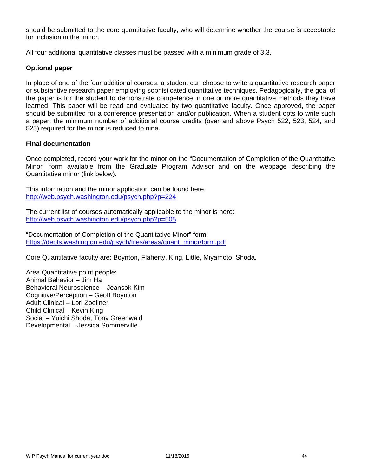should be submitted to the core quantitative faculty, who will determine whether the course is acceptable for inclusion in the minor.

All four additional quantitative classes must be passed with a minimum grade of 3.3.

# **Optional paper**

In place of one of the four additional courses, a student can choose to write a quantitative research paper or substantive research paper employing sophisticated quantitative techniques. Pedagogically, the goal of the paper is for the student to demonstrate competence in one or more quantitative methods they have learned. This paper will be read and evaluated by two quantitative faculty. Once approved, the paper should be submitted for a conference presentation and/or publication. When a student opts to write such a paper, the minimum number of additional course credits (over and above Psych 522, 523, 524, and 525) required for the minor is reduced to nine.

#### **Final documentation**

Once completed, record your work for the minor on the "Documentation of Completion of the Quantitative Minor" form available from the Graduate Program Advisor and on the webpage describing the Quantitative minor (link below).

This information and the minor application can be found here: http://web.psych.washington.edu/psych.php?p=224

The current list of courses automatically applicable to the minor is here: http://web.psych.washington.edu/psych.php?p=505

"Documentation of Completion of the Quantitative Minor" form: https://depts.washington.edu/psych/files/areas/quant\_minor/form.pdf

Core Quantitative faculty are: Boynton, Flaherty, King, Little, Miyamoto, Shoda.

Area Quantitative point people: Animal Behavior – Jim Ha Behavioral Neuroscience – Jeansok Kim Cognitive/Perception – Geoff Boynton Adult Clinical – Lori Zoellner Child Clinical – Kevin King Social – Yuichi Shoda, Tony Greenwald Developmental – Jessica Sommerville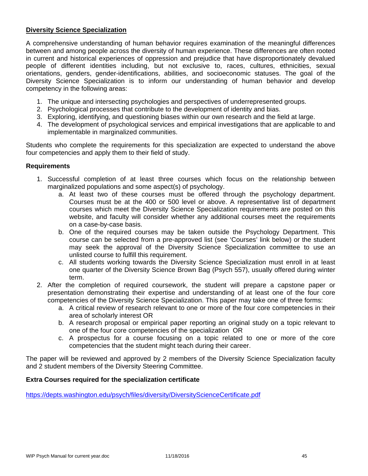## **Diversity Science Specialization**

A comprehensive understanding of human behavior requires examination of the meaningful differences between and among people across the diversity of human experience. These differences are often rooted in current and historical experiences of oppression and prejudice that have disproportionately devalued people of different identities including, but not exclusive to, races, cultures, ethnicities, sexual orientations, genders, gender-identifications, abilities, and socioeconomic statuses. The goal of the Diversity Science Specialization is to inform our understanding of human behavior and develop competency in the following areas:

- 1. The unique and intersecting psychologies and perspectives of underrepresented groups.
- 2. Psychological processes that contribute to the development of identity and bias.
- 3. Exploring, identifying, and questioning biases within our own research and the field at large.
- 4. The development of psychological services and empirical investigations that are applicable to and implementable in marginalized communities.

Students who complete the requirements for this specialization are expected to understand the above four competencies and apply them to their field of study.

#### **Requirements**

- 1. Successful completion of at least three courses which focus on the relationship between marginalized populations and some aspect(s) of psychology.
	- a. At least two of these courses must be offered through the psychology department. Courses must be at the 400 or 500 level or above. A representative list of department courses which meet the Diversity Science Specialization requirements are posted on this website, and faculty will consider whether any additional courses meet the requirements on a case-by-case basis.
	- b. One of the required courses may be taken outside the Psychology Department. This course can be selected from a pre-approved list (see 'Courses' link below) or the student may seek the approval of the Diversity Science Specialization committee to use an unlisted course to fulfill this requirement.
	- c. All students working towards the Diversity Science Specialization must enroll in at least one quarter of the Diversity Science Brown Bag (Psych 557), usually offered during winter term.
- 2. After the completion of required coursework, the student will prepare a capstone paper or presentation demonstrating their expertise and understanding of at least one of the four core competencies of the Diversity Science Specialization. This paper may take one of three forms:
	- a. A critical review of research relevant to one or more of the four core competencies in their area of scholarly interest OR
	- b. A research proposal or empirical paper reporting an original study on a topic relevant to one of the four core competencies of the specialization OR
	- c. A prospectus for a course focusing on a topic related to one or more of the core competencies that the student might teach during their career.

The paper will be reviewed and approved by 2 members of the Diversity Science Specialization faculty and 2 student members of the Diversity Steering Committee.

#### **Extra Courses required for the specialization certificate**

https://depts.washington.edu/psych/files/diversity/DiversityScienceCertificate.pdf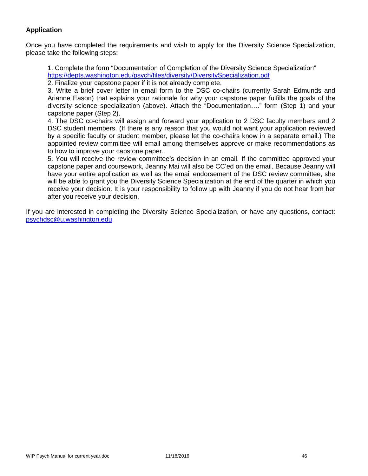# **Application**

Once you have completed the requirements and wish to apply for the Diversity Science Specialization, please take the following steps:

1. Complete the form "Documentation of Completion of the Diversity Science Specialization" https://depts.washington.edu/psych/files/diversity/DiversitySpecialization.pdf

2. Finalize your capstone paper if it is not already complete.

3. Write a brief cover letter in email form to the DSC co-chairs (currently Sarah Edmunds and Arianne Eason) that explains your rationale for why your capstone paper fulfills the goals of the diversity science specialization (above). Attach the "Documentation…." form (Step 1) and your capstone paper (Step 2).

4. The DSC co-chairs will assign and forward your application to 2 DSC faculty members and 2 DSC student members. (If there is any reason that you would not want your application reviewed by a specific faculty or student member, please let the co-chairs know in a separate email.) The appointed review committee will email among themselves approve or make recommendations as to how to improve your capstone paper.

5. You will receive the review committee's decision in an email. If the committee approved your capstone paper and coursework, Jeanny Mai will also be CC'ed on the email. Because Jeanny will have your entire application as well as the email endorsement of the DSC review committee, she will be able to grant you the Diversity Science Specialization at the end of the quarter in which you receive your decision. It is your responsibility to follow up with Jeanny if you do not hear from her after you receive your decision.

If you are interested in completing the Diversity Science Specialization, or have any questions, contact: psychdsc@u.washington.edu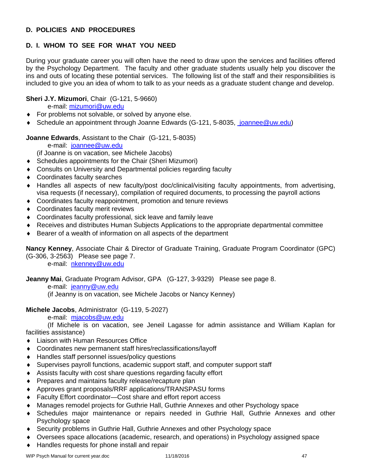# **D. POLICIES AND PROCEDURES**

# **D. I. WHOM TO SEE FOR WHAT YOU NEED**

During your graduate career you will often have the need to draw upon the services and facilities offered by the Psychology Department. The faculty and other graduate students usually help you discover the ins and outs of locating these potential services. The following list of the staff and their responsibilities is included to give you an idea of whom to talk to as your needs as a graduate student change and develop.

# **Sheri J.Y. Mizumori**, Chair (G-121, 5-9660)

e-mail: mizumori@uw.edu

- **For problems not solvable, or solved by anyone else.**
- ◆ Schedule an appointment through Joanne Edwards (G-121, 5-8035, joannee@uw.edu)

## **Joanne Edwards**, Assistant to the Chair (G-121, 5-8035)

e-mail: joannee@uw.edu

(if Joanne is on vacation, see Michele Jacobs)

- Schedules appointments for the Chair (Sheri Mizumori)
- Consults on University and Departmental policies regarding faculty
- Coordinates faculty searches
- Handles all aspects of new faculty/post doc/clinical/visiting faculty appointments, from advertising, visa requests (if necessary), compilation of required documents, to processing the payroll actions
- Coordinates faculty reappointment, promotion and tenure reviews
- Coordinates faculty merit reviews
- Coordinates faculty professional, sick leave and family leave
- Receives and distributes Human Subjects Applications to the appropriate departmental committee
- Bearer of a wealth of information on all aspects of the department

**Nancy Kenney**, Associate Chair & Director of Graduate Training, Graduate Program Coordinator (GPC) (G-306, 3-2563) Please see page 7.

e-mail: nkenney@uw.edu

**Jeanny Mai**, Graduate Program Advisor, GPA (G-127, 3-9329) Please see page 8.

e-mail: jeanny@uw.edu

(if Jeanny is on vacation, see Michele Jacobs or Nancy Kenney)

# **Michele Jacobs**, Administrator (G-119, 5-2027)

e-mail: mjacobs@uw.edu

 (If Michele is on vacation, see Jeneil Lagasse for admin assistance and William Kaplan for facilities assistance)

- ◆ Liaison with Human Resources Office
- Coordinates new permanent staff hires/reclassifications/layoff
- Handles staff personnel issues/policy questions
- Supervises payroll functions, academic support staff, and computer support staff
- Assists faculty with cost share questions regarding faculty effort
- ◆ Prepares and maintains faculty release/recapture plan
- Approves grant proposals/RRF applications/TRANSPASU forms
- Faculty Effort coordinator—Cost share and effort report access
- Manages remodel projects for Guthrie Hall, Guthrie Annexes and other Psychology space
- Schedules major maintenance or repairs needed in Guthrie Hall, Guthrie Annexes and other Psychology space
- Security problems in Guthrie Hall, Guthrie Annexes and other Psychology space
- Oversees space allocations (academic, research, and operations) in Psychology assigned space
- ◆ Handles requests for phone install and repair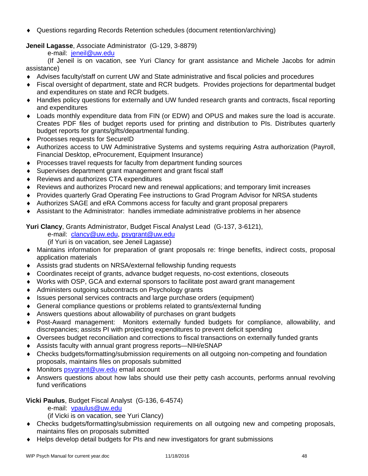Questions regarding Records Retention schedules (document retention/archiving)

**Jeneil Lagasse**, Associate Administrator (G-129, 3-8879)

e-mail: jeneil@uw.edu

 (If Jeneil is on vacation, see Yuri Clancy for grant assistance and Michele Jacobs for admin assistance)

- Advises faculty/staff on current UW and State administrative and fiscal policies and procedures
- Fiscal oversight of department, state and RCR budgets. Provides projections for departmental budget and expenditures on state and RCR budgets.
- Handles policy questions for externally and UW funded research grants and contracts, fiscal reporting and expenditures
- Loads monthly expenditure data from FIN (or EDW) and OPUS and makes sure the load is accurate. Creates PDF files of budget reports used for printing and distribution to PIs. Distributes quarterly budget reports for grants/gifts/departmental funding.
- ◆ Processes requests for SecureID
- Authorizes access to UW Administrative Systems and systems requiring Astra authorization (Payroll, Financial Desktop, eProcurement, Equipment Insurance)
- Processes travel requests for faculty from department funding sources
- Supervises department grant management and grant fiscal staff
- Reviews and authorizes CTA expenditures
- Reviews and authorizes Procard new and renewal applications; and temporary limit increases
- Provides quarterly Grad Operating Fee instructions to Grad Program Advisor for NRSA students
- Authorizes SAGE and eRA Commons access for faculty and grant proposal preparers
- Assistant to the Administrator: handles immediate administrative problems in her absence

**Yuri Clancy**, Grants Administrator, Budget Fiscal Analyst Lead (G-137, 3-6121),

e-mail: clancy@uw.edu, psygrant@uw.edu

(if Yuri is on vacation, see Jeneil Lagasse)

- Maintains information for preparation of grant proposals re: fringe benefits, indirect costs, proposal application materials
- Assists grad students on NRSA/external fellowship funding requests
- Coordinates receipt of grants, advance budget requests, no-cost extentions, closeouts
- Works with OSP, GCA and external sponsors to facilitate post award grant management
- Administers outgoing subcontracts on Psychology grants
- Issues personal services contracts and large purchase orders (equipment)
- General compliance questions or problems related to grants/external funding
- Answers questions about allowability of purchases on grant budgets
- Post-Award management: Monitors externally funded budgets for compliance, allowability, and discrepancies; assists PI with projecting expenditures to prevent deficit spending
- Oversees budget reconciliation and corrections to fiscal transactions on externally funded grants
- Assists faculty with annual grant progress reports—NIH/eSNAP
- Checks budgets/formatting/submission requirements on all outgoing non-competing and foundation proposals, maintains files on proposals submitted
- ◆ Monitors psygrant@uw.edu email account
- Answers questions about how labs should use their petty cash accounts, performs annual revolving fund verifications

# **Vicki Paulus**, Budget Fiscal Analyst (G-136, 6-4574)

e-mail: vpaulus@uw.edu

(if Vicki is on vacation, see Yuri Clancy)

- Checks budgets/formatting/submission requirements on all outgoing new and competing proposals, maintains files on proposals submitted
- Helps develop detail budgets for PIs and new investigators for grant submissions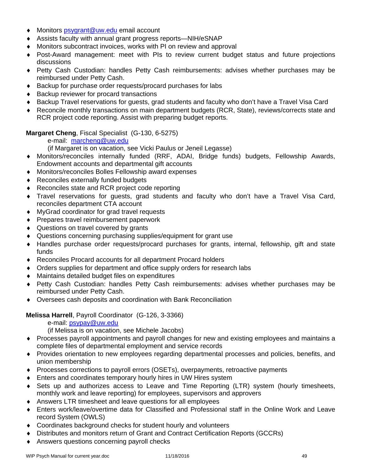- ◆ Monitors psygrant@uw.edu email account
- Assists faculty with annual grant progress reports—NIH/eSNAP
- Monitors subcontract invoices, works with PI on review and approval
- Post-Award management: meet with PIs to review current budget status and future projections discussions
- Petty Cash Custodian: handles Petty Cash reimbursements: advises whether purchases may be reimbursed under Petty Cash.
- Backup for purchase order requests/procard purchases for labs
- ◆ Backup reviewer for procard transactions
- Backup Travel reservations for guests, grad students and faculty who don't have a Travel Visa Card
- Reconcile monthly transactions on main department budgets (RCR, State), reviews/corrects state and RCR project code reporting. Assist with preparing budget reports.

**Margaret Cheng**, Fiscal Specialist (G-130, 6-5275)

e-mail: marcheng@uw.edu

(if Margaret is on vacation, see Vicki Paulus or Jeneil Legasse)

- Monitors/reconciles internally funded (RRF, ADAI, Bridge funds) budgets, Fellowship Awards, Endowment accounts and departmental gift accounts
- Monitors/reconciles Bolles Fellowship award expenses
- ◆ Reconciles externally funded budgets
- ◆ Reconciles state and RCR project code reporting
- Travel reservations for guests, grad students and faculty who don't have a Travel Visa Card, reconciles department CTA account
- MyGrad coordinator for grad travel requests
- ◆ Prepares travel reimbursement paperwork
- ◆ Questions on travel covered by grants
- Questions concerning purchasing supplies/equipment for grant use
- Handles purchase order requests/procard purchases for grants, internal, fellowship, gift and state funds
- Reconciles Procard accounts for all department Procard holders
- Orders supplies for department and office supply orders for research labs
- Maintains detailed budget files on expenditures
- Petty Cash Custodian: handles Petty Cash reimbursements: advises whether purchases may be reimbursed under Petty Cash.
- Oversees cash deposits and coordination with Bank Reconciliation

#### **Melissa Harrell**, Payroll Coordinator (G-126, 3-3366)

e-mail: psypay@uw.edu

(if Melissa is on vacation, see Michele Jacobs)

- Processes payroll appointments and payroll changes for new and existing employees and maintains a complete files of departmental employment and service records
- Provides orientation to new employees regarding departmental processes and policies, benefits, and union membership
- Processes corrections to payroll errors (OSETs), overpayments, retroactive payments
- Enters and coordinates temporary hourly hires in UW Hires system
- Sets up and authorizes access to Leave and Time Reporting (LTR) system (hourly timesheets, monthly work and leave reporting) for employees, supervisors and approvers
- Answers LTR timesheet and leave questions for all employees
- Enters work/leave/overtime data for Classified and Professional staff in the Online Work and Leave record System (OWLS)
- Coordinates background checks for student hourly and volunteers
- Distributes and monitors return of Grant and Contract Certification Reports (GCCRs)
- Answers questions concerning payroll checks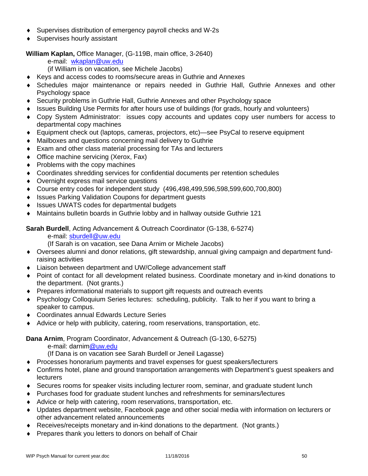- Supervises distribution of emergency payroll checks and W-2s
- ◆ Supervises hourly assistant

# **William Kaplan,** Office Manager, (G-119B, main office, 3-2640)

e-mail: wkaplan@uw.edu

(if William is on vacation, see Michele Jacobs)

- Keys and access codes to rooms/secure areas in Guthrie and Annexes
- Schedules major maintenance or repairs needed in Guthrie Hall, Guthrie Annexes and other Psychology space
- Security problems in Guthrie Hall, Guthrie Annexes and other Psychology space
- Issues Building Use Permits for after hours use of buildings (for grads, hourly and volunteers)
- Copy System Administrator: issues copy accounts and updates copy user numbers for access to departmental copy machines
- Equipment check out (laptops, cameras, projectors, etc)—see PsyCal to reserve equipment
- Mailboxes and questions concerning mail delivery to Guthrie
- Exam and other class material processing for TAs and lecturers
- ◆ Office machine servicing (Xerox, Fax)
- $\bullet$  Problems with the copy machines
- Coordinates shredding services for confidential documents per retention schedules
- Overnight express mail service questions
- Course entry codes for independent study (496,498,499,596,598,599,600,700,800)
- ◆ Issues Parking Validation Coupons for department quests
- ◆ Issues UWATS codes for departmental budgets
- Maintains bulletin boards in Guthrie lobby and in hallway outside Guthrie 121

**Sarah Burdell**, Acting Advancement & Outreach Coordinator (G-138, 6-5274)

e-mail: sburdell@uw.edu

(If Sarah is on vacation, see Dana Arnim or Michele Jacobs)

- Oversees alumni and donor relations, gift stewardship, annual giving campaign and department fundraising activities
- Liaison between department and UW/College advancement staff
- Point of contact for all development related business. Coordinate monetary and in-kind donations to the department. (Not grants.)
- Prepares informational materials to support gift requests and outreach events
- Psychology Colloquium Series lectures: scheduling, publicity. Talk to her if you want to bring a speaker to campus.
- Coordinates annual Edwards Lecture Series
- Advice or help with publicity, catering, room reservations, transportation, etc.

**Dana Arnim**, Program Coordinator, Advancement & Outreach (G-130, 6-5275)

e-mail: darnim@uw.edu

(If Dana is on vacation see Sarah Burdell or Jeneil Lagasse)

- Processes honorarium payments and travel expenses for guest speakers/lecturers
- Confirms hotel, plane and ground transportation arrangements with Department's guest speakers and **lecturers**
- Secures rooms for speaker visits including lecturer room, seminar, and graduate student lunch
- Purchases food for graduate student lunches and refreshments for seminars/lectures
- Advice or help with catering, room reservations, transportation, etc.
- Updates department website, Facebook page and other social media with information on lecturers or other advancement related announcements
- Receives/receipts monetary and in-kind donations to the department. (Not grants.)
- **Prepares thank you letters to donors on behalf of Chair**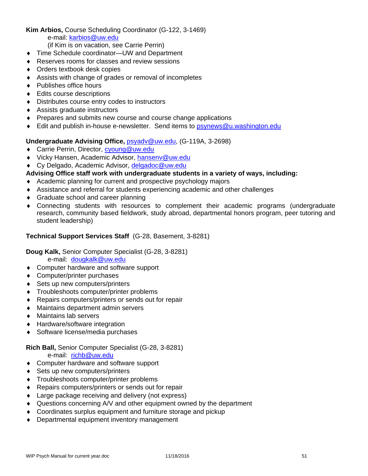# **Kim Arbios,** Course Scheduling Coordinator (G-122, 3-1469)

e-mail: karbios@uw.edu

(if Kim is on vacation, see Carrie Perrin)

- ◆ Time Schedule coordinator—UW and Department
- ◆ Reserves rooms for classes and review sessions
- ◆ Orders textbook desk copies
- Assists with change of grades or removal of incompletes
- ◆ Publishes office hours
- ◆ Edits course descriptions
- Distributes course entry codes to instructors
- Assists graduate instructors
- Prepares and submits new course and course change applications
- Edit and publish in-house e-newsletter. Send items to psynews@u.washington.edu

## **Undergraduate Advising Office,** psyadv@uw.edu, (G-119A, 3-2698)

- ◆ Carrie Perrin, Director, cyoung@uw.edu
- ◆ Vicky Hansen, Academic Advisor, hansenv@uw.edu
- ◆ Cy Delgado, Academic Advisor, delgadoc@uw.edu

## **Advising Office staff work with undergraduate students in a variety of ways, including:**

- Academic planning for current and prospective psychology majors
- Assistance and referral for students experiencing academic and other challenges
- ◆ Graduate school and career planning
- Connecting students with resources to complement their academic programs (undergraduate research, community based fieldwork, study abroad, departmental honors program, peer tutoring and student leadership)

## **Technical Support Services Staff** (G-28, Basement, 3-8281)

**Doug Kalk,** Senior Computer Specialist (G-28, 3-8281)

e-mail: dougkalk@uw.edu

- ◆ Computer hardware and software support
- Computer/printer purchases
- ◆ Sets up new computers/printers
- **Troubleshoots computer/printer problems**
- ◆ Repairs computers/printers or sends out for repair
- Maintains department admin servers
- Maintains lab servers
- ◆ Hardware/software integration
- ◆ Software license/media purchases

# **Rich Ball,** Senior Computer Specialist (G-28, 3-8281)

e-mail: richb@uw.edu

- ◆ Computer hardware and software support
- ◆ Sets up new computers/printers
- Troubleshoots computer/printer problems
- ◆ Repairs computers/printers or sends out for repair
- ◆ Large package receiving and delivery (not express)
- Questions concerning A/V and other equipment owned by the department
- Coordinates surplus equipment and furniture storage and pickup
- ◆ Departmental equipment inventory management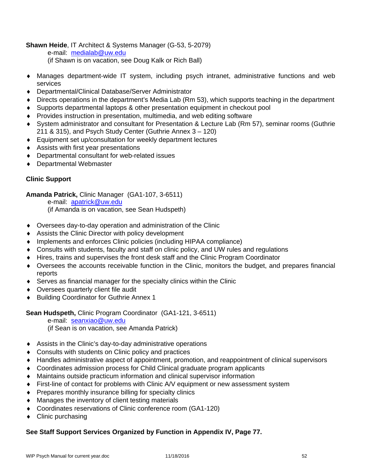# **Shawn Heide**, IT Architect & Systems Manager (G-53, 5-2079)

e-mail: medialab@uw.edu

(if Shawn is on vacation, see Doug Kalk or Rich Ball)

- Manages department-wide IT system, including psych intranet, administrative functions and web services
- Departmental/Clinical Database/Server Administrator
- Directs operations in the department's Media Lab (Rm 53), which supports teaching in the department
- Supports departmental laptops & other presentation equipment in checkout pool
- Provides instruction in presentation, multimedia, and web editing software
- System administrator and consultant for Presentation & Lecture Lab (Rm 57), seminar rooms (Guthrie 211 & 315), and Psych Study Center (Guthrie Annex 3 – 120)
- Equipment set up/consultation for weekly department lectures
- Assists with first year presentations
- Departmental consultant for web-related issues
- Departmental Webmaster

# **Clinic Support**

**Amanda Patrick,** Clinic Manager (GA1-107, 3-6511)

 e-mail: apatrick@uw.edu (if Amanda is on vacation, see Sean Hudspeth)

- Oversees day-to-day operation and administration of the Clinic
- Assists the Clinic Director with policy development
- Implements and enforces Clinic policies (including HIPAA compliance)
- Consults with students, faculty and staff on clinic policy, and UW rules and regulations
- Hires, trains and supervises the front desk staff and the Clinic Program Coordinator
- Oversees the accounts receivable function in the Clinic, monitors the budget, and prepares financial reports
- Serves as financial manager for the specialty clinics within the Clinic
- Oversees quarterly client file audit
- ◆ Building Coordinator for Guthrie Annex 1

**Sean Hudspeth,** Clinic Program Coordinator (GA1-121, 3-6511)

e-mail: seanxiao@uw.edu

(if Sean is on vacation, see Amanda Patrick)

- Assists in the Clinic's day-to-day administrative operations
- ◆ Consults with students on Clinic policy and practices
- Handles administrative aspect of appointment, promotion, and reappointment of clinical supervisors
- Coordinates admission process for Child Clinical graduate program applicants
- Maintains outside practicum information and clinical supervisor information
- First-line of contact for problems with Clinic A/V equipment or new assessment system
- Prepares monthly insurance billing for specialty clinics
- Manages the inventory of client testing materials
- Coordinates reservations of Clinic conference room (GA1-120)
- Clinic purchasing

# **See Staff Support Services Organized by Function in Appendix IV, Page 77.**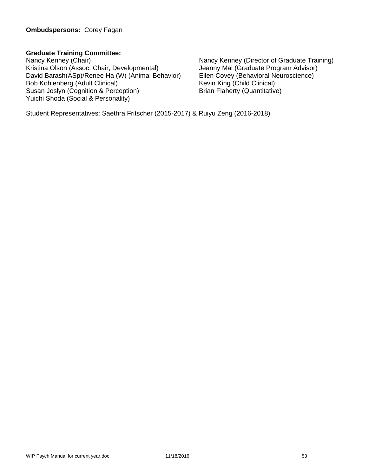# **Graduate Training Committee:**

Nancy Kenney (Chair)<br>
Kristina Olson (Assoc. Chair, Developmental) 
Nancy Kenney (Director of Graduate Training)<br>
Jeanny Mai (Graduate Program Advisor) Kristina Olson (Assoc. Chair, Developmental) David Barash(ASp)/Renee Ha (W) (Animal Behavior) Ellen Covey (Behavioral Neuroscience) Bob Kohlenberg (Adult Clinical)<br>
Susan Joslyn (Cognition & Perception) Brian Flaherty (Quantitative) Susan Joslyn (Cognition & Perception) Yuichi Shoda (Social & Personality)

Student Representatives: Saethra Fritscher (2015-2017) & Ruiyu Zeng (2016-2018)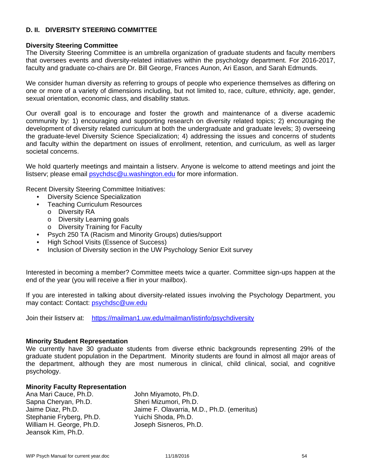## **D. II. DIVERSITY STEERING COMMITTEE**

#### **Diversity Steering Committee**

The Diversity Steering Committee is an umbrella organization of graduate students and faculty members that oversees events and diversity-related initiatives within the psychology department. For 2016-2017, faculty and graduate co-chairs are Dr. Bill George, Frances Aunon, Ari Eason, and Sarah Edmunds.

We consider human diversity as referring to groups of people who experience themselves as differing on one or more of a variety of dimensions including, but not limited to, race, culture, ethnicity, age, gender, sexual orientation, economic class, and disability status.

Our overall goal is to encourage and foster the growth and maintenance of a diverse academic community by: 1) encouraging and supporting research on diversity related topics; 2) encouraging the development of diversity related curriculum at both the undergraduate and graduate levels; 3) overseeing the graduate-level Diversity Science Specialization; 4) addressing the issues and concerns of students and faculty within the department on issues of enrollment, retention, and curriculum, as well as larger societal concerns.

We hold quarterly meetings and maintain a listserv. Anyone is welcome to attend meetings and joint the listserv; please email psychdsc@u.washington.edu for more information.

Recent Diversity Steering Committee Initiatives:

- Diversity Science Specialization
- Teaching Curriculum Resources
	- o Diversity RA
	- o Diversity Learning goals
	- o Diversity Training for Faculty
- Psych 250 TA (Racism and Minority Groups) duties/support
- High School Visits (Essence of Success)
- Inclusion of Diversity section in the UW Psychology Senior Exit survey

Interested in becoming a member? Committee meets twice a quarter. Committee sign-ups happen at the end of the year (you will receive a flier in your mailbox).

If you are interested in talking about diversity-related issues involving the Psychology Department, you may contact: Contact: psychdsc@uw.edu

Join their listserv at: https://mailman1.uw.edu/mailman/listinfo/psychdiversity

#### **Minority Student Representation**

We currently have 30 graduate students from diverse ethnic backgrounds representing 29% of the graduate student population in the Department. Minority students are found in almost all major areas of the department, although they are most numerous in clinical, child clinical, social, and cognitive psychology.

#### **Minority Faculty Representation**

Ana Mari Cauce, Ph.D. John Miyamoto, Ph.D. Sapna Cheryan, Ph.D. Sheri Mizumori, Ph.D. Stephanie Fryberg, Ph.D. Yuichi Shoda, Ph.D. William H. George, Ph.D. Joseph Sisneros, Ph.D. Jeansok Kim, Ph.D.

Jaime Diaz, Ph.D. Jaime F. Olavarria, M.D., Ph.D. (emeritus)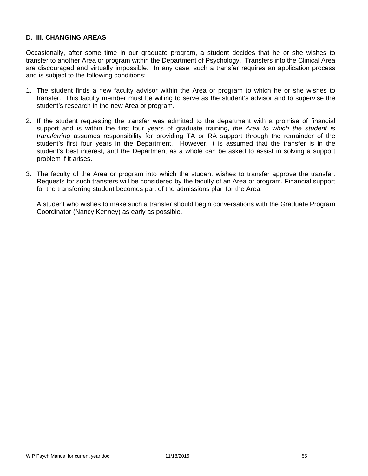## **D. III. CHANGING AREAS**

Occasionally, after some time in our graduate program, a student decides that he or she wishes to transfer to another Area or program within the Department of Psychology. Transfers into the Clinical Area are discouraged and virtually impossible. In any case, such a transfer requires an application process and is subject to the following conditions:

- 1. The student finds a new faculty advisor within the Area or program to which he or she wishes to transfer. This faculty member must be willing to serve as the student's advisor and to supervise the student's research in the new Area or program.
- 2. If the student requesting the transfer was admitted to the department with a promise of financial support and is within the first four years of graduate training, *the Area to which the student is transferring* assumes responsibility for providing TA or RA support through the remainder of the student's first four years in the Department. However, it is assumed that the transfer is in the student's best interest, and the Department as a whole can be asked to assist in solving a support problem if it arises.
- 3. The faculty of the Area or program into which the student wishes to transfer approve the transfer. Requests for such transfers will be considered by the faculty of an Area or program. Financial support for the transferring student becomes part of the admissions plan for the Area.

 A student who wishes to make such a transfer should begin conversations with the Graduate Program Coordinator (Nancy Kenney) as early as possible.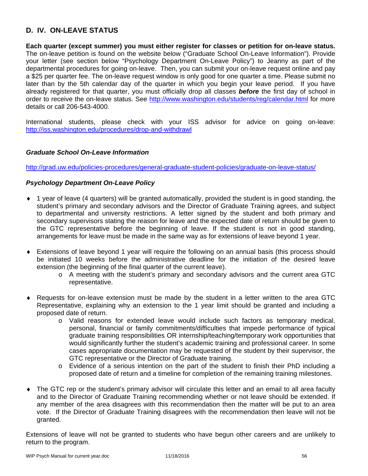# **D. IV. ON-LEAVE STATUS**

**Each quarter (except summer) you must either register for classes or petition for on-leave status.** The on-leave petition is found on the website below ("Graduate School On-Leave Information"). Provide your letter (see section below "Psychology Department On-Leave Policy") to Jeanny as part of the departmental procedures for going on-leave. Then, you can submit your on-leave request online and pay a \$25 per quarter fee. The on-leave request window is only good for one quarter a time. Please submit no later than by the 5th calendar day of the quarter in which you begin your leave period. If you have already registered for that quarter, you must officially drop all classes *before* the first day of school in order to receive the on-leave status. See http://www.washington.edu/students/reg/calendar.html for more details or call 206-543-4000.

International students, please check with your ISS advisor for advice on going on-leave: http://iss.washington.edu/procedures/drop-and-withdrawl

## *Graduate School On-Leave Information*

http://grad.uw.edu/policies-procedures/general-graduate-student-policies/graduate-on-leave-status/

## *Psychology Department On-Leave Policy*

- 1 year of leave (4 quarters) will be granted automatically, provided the student is in good standing, the student's primary and secondary advisors and the Director of Graduate Training agrees, and subject to departmental and university restrictions. A letter signed by the student and both primary and secondary supervisors stating the reason for leave and the expected date of return should be given to the GTC representative before the beginning of leave. If the student is not in good standing, arrangements for leave must be made in the same way as for extensions of leave beyond 1 year.
- Extensions of leave beyond 1 year will require the following on an annual basis (this process should be initiated 10 weeks before the administrative deadline for the initiation of the desired leave extension (the beginning of the final quarter of the current leave).
	- o A meeting with the student's primary and secondary advisors and the current area GTC representative.
- Requests for on-leave extension must be made by the student in a letter written to the area GTC Representative, explaining why an extension to the 1 year limit should be granted and including a proposed date of return.
	- o Valid reasons for extended leave would include such factors as temporary medical, personal, financial or family commitments/difficulties that impede performance of typical graduate training responsibilities OR internship/teaching/temporary work opportunities that would significantly further the student's academic training and professional career. In some cases appropriate documentation may be requested of the student by their supervisor, the GTC representative or the Director of Graduate training.
	- o Evidence of a serious intention on the part of the student to finish their PhD including a proposed date of return and a timeline for completion of the remaining training milestones.
- The GTC rep or the student's primary advisor will circulate this letter and an email to all area faculty and to the Director of Graduate Training recommending whether or not leave should be extended. If any member of the area disagrees with this recommendation then the matter will be put to an area vote. If the Director of Graduate Training disagrees with the recommendation then leave will not be granted.

Extensions of leave will not be granted to students who have begun other careers and are unlikely to return to the program.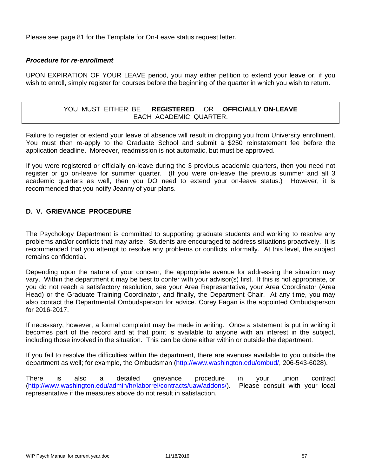Please see page 81 for the Template for On-Leave status request letter.

#### *Procedure for re-enrollment*

UPON EXPIRATION OF YOUR LEAVE period, you may either petition to extend your leave or, if you wish to enroll, simply register for courses before the beginning of the quarter in which you wish to return.

# YOU MUST EITHER BE **REGISTERED** OR **OFFICIALLY ON-LEAVE** EACH ACADEMIC QUARTER.

Failure to register or extend your leave of absence will result in dropping you from University enrollment. You must then re-apply to the Graduate School and submit a \$250 reinstatement fee before the application deadline. Moreover, readmission is not automatic, but must be approved.

If you were registered or officially on-leave during the 3 previous academic quarters, then you need not register or go on-leave for summer quarter. (If you were on-leave the previous summer and all 3 academic quarters as well, then you DO need to extend your on-leave status.) However, it is recommended that you notify Jeanny of your plans.

# **D. V. GRIEVANCE PROCEDURE**

The Psychology Department is committed to supporting graduate students and working to resolve any problems and/or conflicts that may arise. Students are encouraged to address situations proactively. It is recommended that you attempt to resolve any problems or conflicts informally. At this level, the subject remains confidential.

Depending upon the nature of your concern, the appropriate avenue for addressing the situation may vary. Within the department it may be best to confer with your advisor(s) first. If this is not appropriate, or you do not reach a satisfactory resolution, see your Area Representative, your Area Coordinator (Area Head) or the Graduate Training Coordinator, and finally, the Department Chair. At any time, you may also contact the Departmental Ombudsperson for advice. Corey Fagan is the appointed Ombudsperson for 2016-2017.

If necessary, however, a formal complaint may be made in writing. Once a statement is put in writing it becomes part of the record and at that point is available to anyone with an interest in the subject, including those involved in the situation. This can be done either within or outside the department.

If you fail to resolve the difficulties within the department, there are avenues available to you outside the department as well; for example, the Ombudsman (http://www.washington.edu/ombud/, 206-543-6028).

There is also a detailed grievance procedure in your union contract (http://www.washington.edu/admin/hr/laborrel/contracts/uaw/addons/). Please consult with your local representative if the measures above do not result in satisfaction.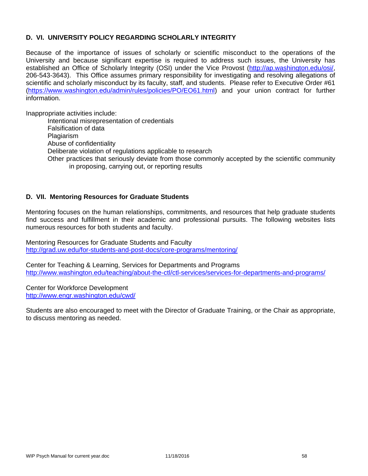# **D. VI. UNIVERSITY POLICY REGARDING SCHOLARLY INTEGRITY**

Because of the importance of issues of scholarly or scientific misconduct to the operations of the University and because significant expertise is required to address such issues, the University has established an Office of Scholarly Integrity (OSI) under the Vice Provost (http://ap.washington.edu/osi/, 206-543-3643). This Office assumes primary responsibility for investigating and resolving allegations of scientific and scholarly misconduct by its faculty, staff, and students. Please refer to Executive Order #61 (https://www.washington.edu/admin/rules/policies/PO/EO61.html) and your union contract for further information.

Inappropriate activities include:

Intentional misrepresentation of credentials Falsification of data Plagiarism Abuse of confidentiality Deliberate violation of regulations applicable to research Other practices that seriously deviate from those commonly accepted by the scientific community in proposing, carrying out, or reporting results

## **D. VII. Mentoring Resources for Graduate Students**

Mentoring focuses on the human relationships, commitments, and resources that help graduate students find success and fulfillment in their academic and professional pursuits. The following websites lists numerous resources for both students and faculty.

Mentoring Resources for Graduate Students and Faculty http://grad.uw.edu/for-students-and-post-docs/core-programs/mentoring/

Center for Teaching & Learning, Services for Departments and Programs http://www.washington.edu/teaching/about-the-ctl/ctl-services/services-for-departments-and-programs/

Center for Workforce Development http://www.engr.washington.edu/cwd/

Students are also encouraged to meet with the Director of Graduate Training, or the Chair as appropriate, to discuss mentoring as needed.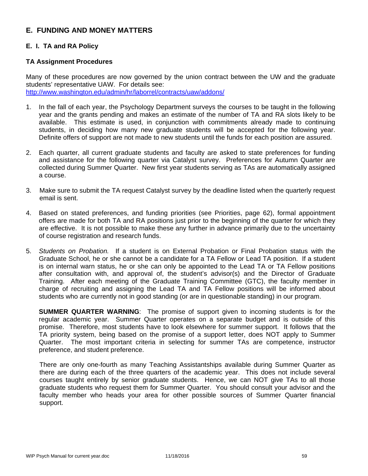# **E. FUNDING AND MONEY MATTERS**

# **E. I. TA and RA Policy**

## **TA Assignment Procedures**

Many of these procedures are now governed by the union contract between the UW and the graduate students' representative UAW. For details see: http://www.washington.edu/admin/hr/laborrel/contracts/uaw/addons/

- 1. In the fall of each year, the Psychology Department surveys the courses to be taught in the following year and the grants pending and makes an estimate of the number of TA and RA slots likely to be available. This estimate is used, in conjunction with commitments already made to continuing students, in deciding how many new graduate students will be accepted for the following year. Definite offers of support are not made to new students until the funds for each position are assured.
- 2. Each quarter, all current graduate students and faculty are asked to state preferences for funding and assistance for the following quarter via Catalyst survey. Preferences for Autumn Quarter are collected during Summer Quarter. New first year students serving as TAs are automatically assigned a course.
- 3. Make sure to submit the TA request Catalyst survey by the deadline listed when the quarterly request email is sent.
- 4. Based on stated preferences, and funding priorities (see Priorities, page 62), formal appointment offers are made for both TA and RA positions just prior to the beginning of the quarter for which they are effective. It is not possible to make these any further in advance primarily due to the uncertainty of course registration and research funds.
- 5. *Students on Probation.* If a student is on External Probation or Final Probation status with the Graduate School, he or she cannot be a candidate for a TA Fellow or Lead TA position. If a student is on internal warn status, he or she can only be appointed to the Lead TA or TA Fellow positions after consultation with, and approval of, the student's advisor(s) and the Director of Graduate Training. After each meeting of the Graduate Training Committee (GTC), the faculty member in charge of recruiting and assigning the Lead TA and TA Fellow positions will be informed about students who are currently not in good standing (or are in questionable standing) in our program.

**SUMMER QUARTER WARNING**: The promise of support given to incoming students is for the regular academic year. Summer Quarter operates on a separate budget and is outside of this promise. Therefore, most students have to look elsewhere for summer support. It follows that the TA priority system, being based on the promise of a support letter, does NOT apply to Summer Quarter. The most important criteria in selecting for summer TAs are competence, instructor preference, and student preference.

There are only one-fourth as many Teaching Assistantships available during Summer Quarter as there are during each of the three quarters of the academic year. This does not include several courses taught entirely by senior graduate students. Hence, we can NOT give TAs to all those graduate students who request them for Summer Quarter. You should consult your advisor and the faculty member who heads your area for other possible sources of Summer Quarter financial support.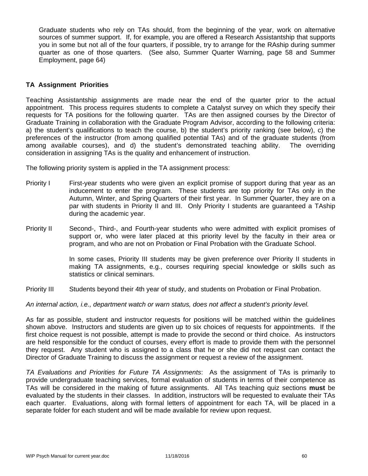Graduate students who rely on TAs should, from the beginning of the year, work on alternative sources of summer support. If, for example, you are offered a Research Assistantship that supports you in some but not all of the four quarters, if possible, try to arrange for the RAship during summer quarter as one of those quarters. (See also, Summer Quarter Warning, page 58 and Summer Employment, page 64)

## **TA Assignment Priorities**

Teaching Assistantship assignments are made near the end of the quarter prior to the actual appointment. This process requires students to complete a Catalyst survey on which they specify their requests for TA positions for the following quarter. TAs are then assigned courses by the Director of Graduate Training in collaboration with the Graduate Program Advisor, according to the following criteria: a) the student's qualifications to teach the course, b) the student's priority ranking (see below), c) the preferences of the instructor (from among qualified potential TAs) and of the graduate students (from among available courses), and d) the student's demonstrated teaching ability. The overriding consideration in assigning TAs is the quality and enhancement of instruction.

The following priority system is applied in the TA assignment process:

- Priority I First-year students who were given an explicit promise of support during that year as an inducement to enter the program. These students are top priority for TAs only in the Autumn, Winter, and Spring Quarters of their first year. In Summer Quarter, they are on a par with students in Priority II and III. Only Priority I students are guaranteed a TAship during the academic year.
- Priority II Second-, Third-, and Fourth-year students who were admitted with explicit promises of support or, who were later placed at this priority level by the faculty in their area or program, and who are not on Probation or Final Probation with the Graduate School.

In some cases, Priority III students may be given preference over Priority II students in making TA assignments, e.g., courses requiring special knowledge or skills such as statistics or clinical seminars.

Priority III Students beyond their 4th year of study, and students on Probation or Final Probation.

*An internal action, i.e., department watch or warn status, does not affect a student's priority level.* 

As far as possible, student and instructor requests for positions will be matched within the guidelines shown above. Instructors and students are given up to six choices of requests for appointments. If the first choice request is not possible, attempt is made to provide the second or third choice. As instructors are held responsible for the conduct of courses, every effort is made to provide them with the personnel they request. Any student who is assigned to a class that he or she did not request can contact the Director of Graduate Training to discuss the assignment or request a review of the assignment.

*TA Evaluations and Priorities for Future TA Assignments*: As the assignment of TAs is primarily to provide undergraduate teaching services, formal evaluation of students in terms of their competence as TAs will be considered in the making of future assignments. All TAs teaching quiz sections **must** be evaluated by the students in their classes. In addition, instructors will be requested to evaluate their TAs each quarter. Evaluations, along with formal letters of appointment for each TA, will be placed in a separate folder for each student and will be made available for review upon request.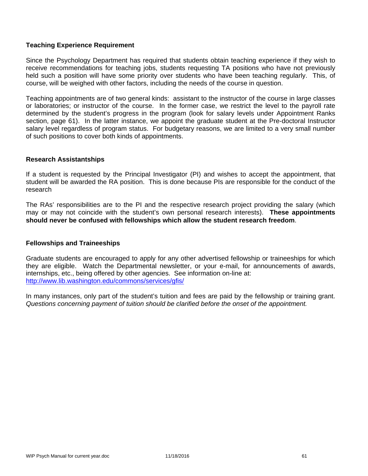## **Teaching Experience Requirement**

Since the Psychology Department has required that students obtain teaching experience if they wish to receive recommendations for teaching jobs, students requesting TA positions who have not previously held such a position will have some priority over students who have been teaching regularly. This, of course, will be weighed with other factors, including the needs of the course in question.

Teaching appointments are of two general kinds: assistant to the instructor of the course in large classes or laboratories; or instructor of the course. In the former case, we restrict the level to the payroll rate determined by the student's progress in the program (look for salary levels under Appointment Ranks section, page 61). In the latter instance, we appoint the graduate student at the Pre-doctoral Instructor salary level regardless of program status. For budgetary reasons, we are limited to a very small number of such positions to cover both kinds of appointments.

#### **Research Assistantships**

If a student is requested by the Principal Investigator (PI) and wishes to accept the appointment, that student will be awarded the RA position. This is done because PIs are responsible for the conduct of the research

The RAs' responsibilities are to the PI and the respective research project providing the salary (which may or may not coincide with the student's own personal research interests). **These appointments should never be confused with fellowships which allow the student research freedom**.

#### **Fellowships and Traineeships**

Graduate students are encouraged to apply for any other advertised fellowship or traineeships for which they are eligible. Watch the Departmental newsletter, or your e-mail, for announcements of awards, internships, etc., being offered by other agencies. See information on-line at: http://www.lib.washington.edu/commons/services/gfis/

In many instances, only part of the student's tuition and fees are paid by the fellowship or training grant. *Questions concerning payment of tuition should be clarified before the onset of the appointment.*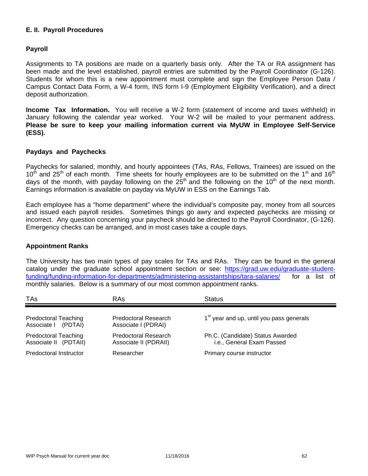## **E. II. Payroll Procedures**

## **Payroll**

Assignments to TA positions are made on a quarterly basis only. After the TA or RA assignment has been made and the level established, payroll entries are submitted by the Payroll Coordinator (G-126). Students for whom this is a new appointment must complete and sign the Employee Person Data / Campus Contact Data Form, a W-4 form, INS form I-9 (Employment Eligibility Verification), and a direct deposit authorization.

**Income Tax Information.** You will receive a W-2 form (statement of income and taxes withheld) in January following the calendar year worked. Your W-2 will be mailed to your permanent address. **Please be sure to keep your mailing information current via MyUW in Employee Self-Service (ESS).**

#### **Paydays and Paychecks**

Paychecks for salaried, monthly, and hourly appointees (TAs, RAs, Fellows, Trainees) are issued on the  $10^{th}$  and 25<sup>th</sup> of each month. Time sheets for hourly employees are to be submitted on the 1<sup>st</sup> and 16<sup>th</sup> days of the month, with payday following on the  $25<sup>th</sup>$  and the following on the 10<sup>th</sup> of the next month. Earnings information is available on payday via MyUW in ESS on the Earnings Tab.

Each employee has a "home department" where the individual's composite pay, money from all sources and issued each payroll resides. Sometimes things go awry and expected paychecks are missing or incorrect. Any question concerning your paycheck should be directed to the Payroll Coordinator, (G-126). Emergency checks can be arranged, and in most cases take a couple days.

#### **Appointment Ranks**

The University has two main types of pay scales for TAs and RAs. They can be found in the general catalog under the graduate school appointment section or see: https://grad.uw.edu/graduate-studentfunding/funding-information-for-departments/administering-assistantships/tara-salaries/ for a list of monthly salaries. Below is a summary of our most common appointment ranks.

| <b>TAs</b>                                           | RAs                                                  | <b>Status</b>                                                 |
|------------------------------------------------------|------------------------------------------------------|---------------------------------------------------------------|
| <b>Predoctoral Teaching</b><br>Associate I (PDTAI)   | <b>Predoctoral Research</b><br>Associate I (PDRAI)   | 1 <sup>st</sup> year and up, until you pass generals          |
| <b>Predoctoral Teaching</b><br>Associate II (PDTAII) | <b>Predoctoral Research</b><br>Associate II (PDRAII) | Ph.C. (Candidate) Status Awarded<br>i.e., General Exam Passed |
| Predoctoral Instructor                               | Researcher                                           | Primary course instructor                                     |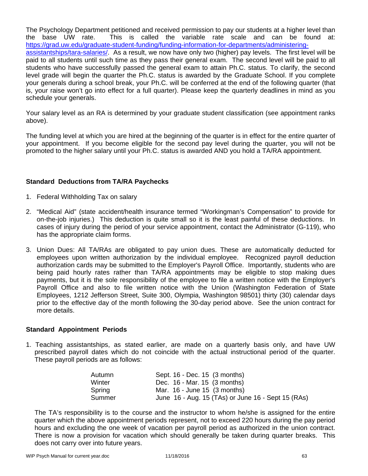The Psychology Department petitioned and received permission to pay our students at a higher level than the base UW rate. This is called the variable rate scale and can be found at: https://grad.uw.edu/graduate-student-funding/funding-information-for-departments/administeringassistantships/tara-salaries/. As a result, we now have only two (higher) pay levels. The first level will be paid to all students until such time as they pass their general exam. The second level will be paid to all students who have successfully passed the general exam to attain Ph.C. status. To clarify, the second level grade will begin the quarter the Ph.C. status is awarded by the Graduate School. If you complete your generals during a school break, your Ph.C. will be conferred at the end of the following quarter (that is, your raise won't go into effect for a full quarter). Please keep the quarterly deadlines in mind as you schedule your generals.

Your salary level as an RA is determined by your graduate student classification (see appointment ranks above).

The funding level at which you are hired at the beginning of the quarter is in effect for the entire quarter of your appointment. If you become eligible for the second pay level during the quarter, you will not be promoted to the higher salary until your Ph.C. status is awarded AND you hold a TA/RA appointment.

## **Standard Deductions from TA/RA Paychecks**

- 1. Federal Withholding Tax on salary
- 2. "Medical Aid" (state accident/health insurance termed "Workingman's Compensation" to provide for on-the-job injuries.) This deduction is quite small so it is the least painful of these deductions. In cases of injury during the period of your service appointment, contact the Administrator (G-119), who has the appropriate claim forms.
- 3. Union Dues: All TA/RAs are obligated to pay union dues. These are automatically deducted for employees upon written authorization by the individual employee. Recognized payroll deduction authorization cards may be submitted to the Employer's Payroll Office. Importantly, students who are being paid hourly rates rather than TA/RA appointments may be eligible to stop making dues payments, but it is the sole responsibility of the employee to file a written notice with the Employer's Payroll Office and also to file written notice with the Union (Washington Federation of State Employees, 1212 Jefferson Street, Suite 300, Olympia, Washington 98501) thirty (30) calendar days prior to the effective day of the month following the 30-day period above. See the union contract for more details.

# **Standard Appointment Periods**

1. Teaching assistantships, as stated earlier, are made on a quarterly basis only, and have UW prescribed payroll dates which do not coincide with the actual instructional period of the quarter. These payroll periods are as follows:

| Sept. 16 - Dec. 15 (3 months)                      |
|----------------------------------------------------|
| Dec. 16 - Mar. 15 (3 months)                       |
| Mar. $16$ - June 15 $(3 \text{ months})$           |
| June 16 - Aug. 15 (TAs) or June 16 - Sept 15 (RAs) |
|                                                    |

The TA's responsibility is to the course and the instructor to whom he/she is assigned for the entire quarter which the above appointment periods represent, not to exceed 220 hours during the pay period hours and excluding the one week of vacation per payroll period as authorized in the union contract. There is now a provision for vacation which should generally be taken during quarter breaks. This does not carry over into future years.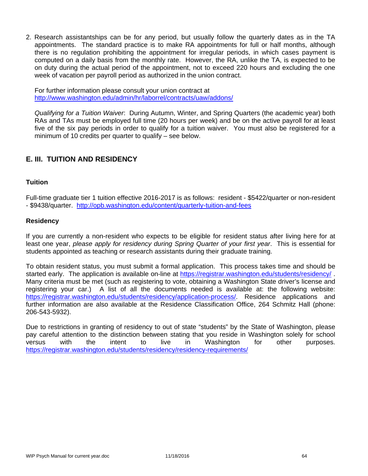2. Research assistantships can be for any period, but usually follow the quarterly dates as in the TA appointments. The standard practice is to make RA appointments for full or half months, although there is no regulation prohibiting the appointment for irregular periods, in which cases payment is computed on a daily basis from the monthly rate. However, the RA, unlike the TA, is expected to be on duty during the actual period of the appointment, not to exceed 220 hours and excluding the one week of vacation per payroll period as authorized in the union contract.

For further information please consult your union contract at http://www.washington.edu/admin/hr/laborrel/contracts/uaw/addons/

*Qualifying for a Tuition Waiver*: During Autumn, Winter, and Spring Quarters (the academic year) both RAs and TAs must be employed full time (20 hours per week) and be on the active payroll for at least five of the six pay periods in order to qualify for a tuition waiver. You must also be registered for a minimum of 10 credits per quarter to qualify – see below.

# **E. III. TUITION AND RESIDENCY**

#### **Tuition**

Full-time graduate tier 1 tuition effective 2016-2017 is as follows: resident - \$5422/quarter or non-resident - \$9438/quarter. http://opb.washington.edu/content/quarterly-tuition-and-fees

#### **Residency**

If you are currently a non-resident who expects to be eligible for resident status after living here for at least one year, *please apply for residency during Spring Quarter of your first year*. This is essential for students appointed as teaching or research assistants during their graduate training.

To obtain resident status, you must submit a formal application. This process takes time and should be started early. The application is available on-line at https://registrar.washington.edu/students/residency/ . Many criteria must be met (such as registering to vote, obtaining a Washington State driver's license and registering your car.) A list of all the documents needed is available at: the following website: https://registrar.washington.edu/students/residency/application-process/. Residence applications and further information are also available at the Residence Classification Office, 264 Schmitz Hall (phone: 206-543-5932).

Due to restrictions in granting of residency to out of state "students" by the State of Washington, please pay careful attention to the distinction between stating that you reside in Washington solely for school versus with the intent to live in Washington for other purposes. https://registrar.washington.edu/students/residency/residency-requirements/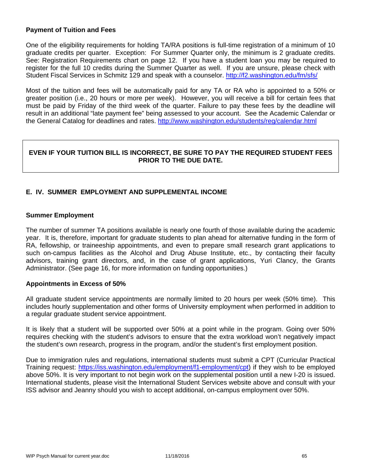#### **Payment of Tuition and Fees**

One of the eligibility requirements for holding TA/RA positions is full-time registration of a minimum of 10 graduate credits per quarter. Exception: For Summer Quarter only, the minimum is 2 graduate credits. See: Registration Requirements chart on page 12. If you have a student loan you may be required to register for the full 10 credits during the Summer Quarter as well. If you are unsure, please check with Student Fiscal Services in Schmitz 129 and speak with a counselor. http://f2.washington.edu/fm/sfs/

Most of the tuition and fees will be automatically paid for any TA or RA who is appointed to a 50% or greater position (i.e., 20 hours or more per week). However, you will receive a bill for certain fees that must be paid by Friday of the third week of the quarter. Failure to pay these fees by the deadline will result in an additional "late payment fee" being assessed to your account. See the Academic Calendar or the General Catalog for deadlines and rates. http://www.washington.edu/students/reg/calendar.html

## **EVEN IF YOUR TUITION BILL IS INCORRECT, BE SURE TO PAY THE REQUIRED STUDENT FEES PRIOR TO THE DUE DATE.**

# **E. IV. SUMMER EMPLOYMENT AND SUPPLEMENTAL INCOME**

## **Summer Employment**

The number of summer TA positions available is nearly one fourth of those available during the academic year. It is, therefore, important for graduate students to plan ahead for alternative funding in the form of RA, fellowship, or traineeship appointments, and even to prepare small research grant applications to such on-campus facilities as the Alcohol and Drug Abuse Institute, etc., by contacting their faculty advisors, training grant directors, and, in the case of grant applications, Yuri Clancy, the Grants Administrator. (See page 16, for more information on funding opportunities.)

#### **Appointments in Excess of 50%**

All graduate student service appointments are normally limited to 20 hours per week (50% time). This includes hourly supplementation and other forms of University employment when performed in addition to a regular graduate student service appointment.

It is likely that a student will be supported over 50% at a point while in the program. Going over 50% requires checking with the student's advisors to ensure that the extra workload won't negatively impact the student's own research, progress in the program, and/or the student's first employment position.

Due to immigration rules and regulations, international students must submit a CPT (Curricular Practical Training request: https://iss.washington.edu/employment/f1-employment/cpt) if they wish to be employed above 50%. It is very important to not begin work on the supplemental position until a new I-20 is issued. International students, please visit the International Student Services website above and consult with your ISS advisor and Jeanny should you wish to accept additional, on-campus employment over 50%.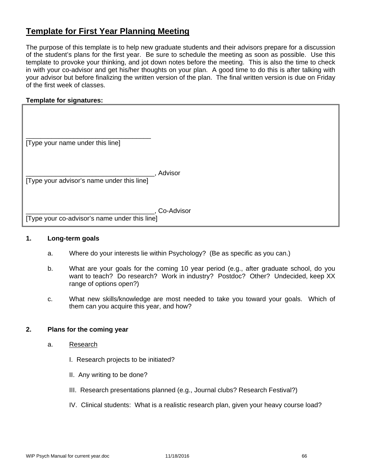# **Template for First Year Planning Meeting**

The purpose of this template is to help new graduate students and their advisors prepare for a discussion of the student's plans for the first year. Be sure to schedule the meeting as soon as possible. Use this template to provoke your thinking, and jot down notes before the meeting. This is also the time to check in with your co-advisor and get his/her thoughts on your plan. A good time to do this is after talking with your advisor but before finalizing the written version of the plan. The final written version is due on Friday of the first week of classes.

## **Template for signatures:**

| [Type your name under this line] |  |
|----------------------------------|--|

\_\_\_\_\_\_\_\_\_\_\_\_\_\_\_\_\_\_\_\_\_\_\_\_\_\_\_\_\_\_\_\_\_\_\_, Advisor [Type your advisor's name under this line]

\_\_\_\_\_\_\_\_\_\_\_\_\_\_\_\_\_\_\_\_\_\_\_\_\_\_\_\_\_\_\_\_\_\_\_, Co-Advisor

[Type your co-advisor's name under this line]

#### **1. Long-term goals**

- a. Where do your interests lie within Psychology? (Be as specific as you can.)
- b. What are your goals for the coming 10 year period (e.g., after graduate school, do you want to teach? Do research? Work in industry? Postdoc? Other? Undecided, keep XX range of options open?)
- c. What new skills/knowledge are most needed to take you toward your goals. Which of them can you acquire this year, and how?

#### **2. Plans for the coming year**

- a. Research
	- I. Research projects to be initiated?
	- II. Any writing to be done?
	- III. Research presentations planned (e.g., Journal clubs? Research Festival?)
	- IV. Clinical students: What is a realistic research plan, given your heavy course load?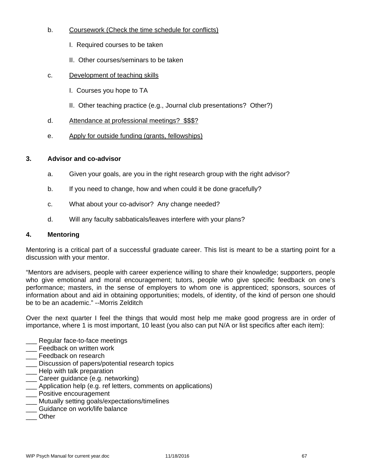# b. Coursework (Check the time schedule for conflicts)

- I. Required courses to be taken
- II. Other courses/seminars to be taken
- c. Development of teaching skills
	- I. Courses you hope to TA
	- II. Other teaching practice (e.g., Journal club presentations? Other?)
- d. Attendance at professional meetings? \$\$\$?
- e. Apply for outside funding (grants, fellowships)

# **3. Advisor and co-advisor**

- a. Given your goals, are you in the right research group with the right advisor?
- b. If you need to change, how and when could it be done gracefully?
- c. What about your co-advisor? Any change needed?
- d. Will any faculty sabbaticals/leaves interfere with your plans?

## **4. Mentoring**

Mentoring is a critical part of a successful graduate career. This list is meant to be a starting point for a discussion with your mentor.

"Mentors are advisers, people with career experience willing to share their knowledge; supporters, people who give emotional and moral encouragement; tutors, people who give specific feedback on one's performance; masters, in the sense of employers to whom one is apprenticed; sponsors, sources of information about and aid in obtaining opportunities; models, of identity, of the kind of person one should be to be an academic." --Morris Zelditch

Over the next quarter I feel the things that would most help me make good progress are in order of importance, where 1 is most important, 10 least (you also can put N/A or list specifics after each item):

- Regular face-to-face meetings
- \_\_\_ Feedback on written work
- **\_\_\_** Feedback on research
- \_\_\_ Discussion of papers/potential research topics
- **\_\_\_** Help with talk preparation
- Career guidance (e.g. networking)
- \_\_\_ Application help (e.g. ref letters, comments on applications)
- \_\_\_ Positive encouragement
- \_\_\_ Mutually setting goals/expectations/timelines
- \_\_\_ Guidance on work/life balance
- \_\_\_ Other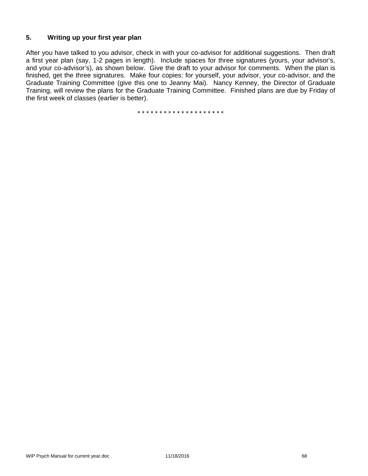# **5. Writing up your first year plan**

After you have talked to you advisor, check in with your co-advisor for additional suggestions. Then draft a first year plan (say, 1-2 pages in length). Include spaces for three signatures (yours, your advisor's, and your co-advisor's), as shown below. Give the draft to your advisor for comments. When the plan is finished, get the three signatures. Make four copies: for yourself, your advisor, your co-advisor, and the Graduate Training Committee (give this one to Jeanny Mai). Nancy Kenney, the Director of Graduate Training, will review the plans for the Graduate Training Committee. Finished plans are due by Friday of the first week of classes (earlier is better).

\* \* \* \* \* \* \* \* \* \* \* \* \* \* \* \* \* \* \* \*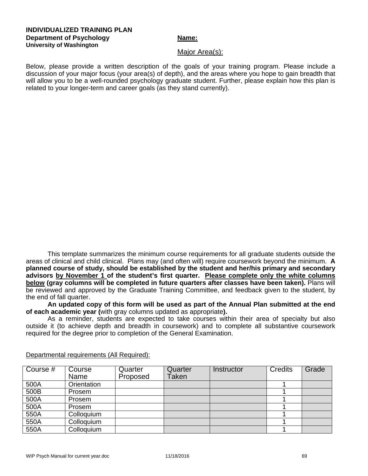#### **INDIVIDUALIZED TRAINING PLAN Department of Psychology Name:** Name: **University of Washington**

#### Major Area(s):

Below, please provide a written description of the goals of your training program. Please include a discussion of your major focus (your area(s) of depth), and the areas where you hope to gain breadth that will allow you to be a well-rounded psychology graduate student. Further, please explain how this plan is related to your longer-term and career goals (as they stand currently).

This template summarizes the minimum course requirements for all graduate students outside the areas of clinical and child clinical. Plans may (and often will) require coursework beyond the minimum. **A planned course of study, should be established by the student and her/his primary and secondary advisors by November 1 of the student's first quarter. Please complete only the white columns below (gray columns will be completed in future quarters after classes have been taken).** Plans will be reviewed and approved by the Graduate Training Committee, and feedback given to the student, by the end of fall quarter.

**An updated copy of this form will be used as part of the Annual Plan submitted at the end of each academic year (**with gray columns updated as appropriate**).** 

As a reminder, students are expected to take courses within their area of specialty but also outside it (to achieve depth and breadth in coursework) and to complete all substantive coursework required for the degree prior to completion of the General Examination.

| Course # | Course<br>Name | Quarter<br>Proposed | Quarter<br><b>Taken</b> | Instructor | <b>Credits</b> | Grade |
|----------|----------------|---------------------|-------------------------|------------|----------------|-------|
| 500A     | Orientation    |                     |                         |            |                |       |
| 500B     | Prosem         |                     |                         |            |                |       |
| 500A     | Prosem         |                     |                         |            |                |       |
| 500A     | Prosem         |                     |                         |            |                |       |
| 550A     | Colloquium     |                     |                         |            |                |       |
| 550A     | Colloquium     |                     |                         |            |                |       |
| 550A     | Colloquium     |                     |                         |            |                |       |

Departmental requirements (All Required):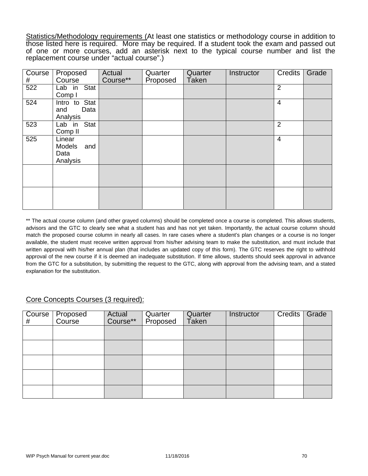Statistics/Methodology requirements (At least one statistics or methodology course in addition to those listed here is required. More may be required. If a student took the exam and passed out of one or more courses, add an asterisk next to the typical course number and list the replacement course under "actual course".)

| Course<br># | Proposed<br>Course                                 | Actual<br>Course** | Quarter<br>Proposed | Quarter<br><b>Taken</b> | Instructor | <b>Credits</b> | Grade |
|-------------|----------------------------------------------------|--------------------|---------------------|-------------------------|------------|----------------|-------|
| 522         | Lab in Stat<br>Comp I                              |                    |                     |                         |            | 2              |       |
| 524         | Intro to Stat<br>and<br>Data<br>Analysis           |                    |                     |                         |            | $\overline{4}$ |       |
| 523         | Lab in Stat<br>Comp <sub>II</sub>                  |                    |                     |                         |            | $\overline{2}$ |       |
| 525         | Linear<br><b>Models</b><br>and<br>Data<br>Analysis |                    |                     |                         |            | $\overline{4}$ |       |
|             |                                                    |                    |                     |                         |            |                |       |
|             |                                                    |                    |                     |                         |            |                |       |

\*\* The actual course column (and other grayed columns) should be completed once a course is completed. This allows students, advisors and the GTC to clearly see what a student has and has not yet taken. Importantly, the actual course column should match the proposed course column in nearly all cases. In rare cases where a student's plan changes or a course is no longer available, the student must receive written approval from his/her advising team to make the substitution, and must include that written approval with his/her annual plan (that includes an updated copy of this form). The GTC reserves the right to withhold approval of the new course if it is deemed an inadequate substitution. If time allows, students should seek approval in advance from the GTC for a substitution, by submitting the request to the GTC, along with approval from the advising team, and a stated explanation for the substitution.

# Core Concepts Courses (3 required):

| Course  <br># | Proposed<br>Course | Actual<br>Course** | Quarter<br>Proposed | Quarter<br>Taken | <b>Instructor</b> | <b>Credits</b> | Grade |
|---------------|--------------------|--------------------|---------------------|------------------|-------------------|----------------|-------|
|               |                    |                    |                     |                  |                   |                |       |
|               |                    |                    |                     |                  |                   |                |       |
|               |                    |                    |                     |                  |                   |                |       |
|               |                    |                    |                     |                  |                   |                |       |
|               |                    |                    |                     |                  |                   |                |       |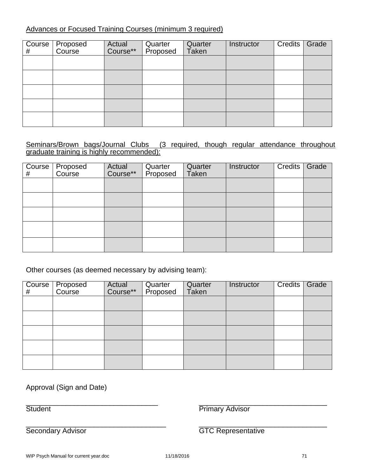# Advances or Focused Training Courses (minimum 3 required)

| $\overline{Cou}$ rse<br># | Proposed<br>Course | Actual<br>Course** | Quarter<br>Proposed | Quarter<br>Taken | Instructor | Credits | Grade |
|---------------------------|--------------------|--------------------|---------------------|------------------|------------|---------|-------|
|                           |                    |                    |                     |                  |            |         |       |
|                           |                    |                    |                     |                  |            |         |       |
|                           |                    |                    |                     |                  |            |         |       |
|                           |                    |                    |                     |                  |            |         |       |
|                           |                    |                    |                     |                  |            |         |       |

# Seminars/Brown bags/Journal Clubs (3 required, though regular attendance throughout graduate training is highly recommended):

| $\overline{C}$ ourse<br># | Proposed<br>Course | Actual<br>Course** | Quarter<br>Proposed | Quarter<br>Taken | Instructor | Credits | Grade |
|---------------------------|--------------------|--------------------|---------------------|------------------|------------|---------|-------|
|                           |                    |                    |                     |                  |            |         |       |
|                           |                    |                    |                     |                  |            |         |       |
|                           |                    |                    |                     |                  |            |         |       |
|                           |                    |                    |                     |                  |            |         |       |
|                           |                    |                    |                     |                  |            |         |       |

Other courses (as deemed necessary by advising team):

| Course <sup>1</sup><br># | Proposed<br>Course | Actual<br>Course** | Quarter<br>Proposed | Quarter<br>Taken | Instructor | <b>Credits</b> | Grade |
|--------------------------|--------------------|--------------------|---------------------|------------------|------------|----------------|-------|
|                          |                    |                    |                     |                  |            |                |       |
|                          |                    |                    |                     |                  |            |                |       |
|                          |                    |                    |                     |                  |            |                |       |
|                          |                    |                    |                     |                  |            |                |       |
|                          |                    |                    |                     |                  |            |                |       |

Approval (Sign and Date)

 $\overline{\phantom{a}}$  , and the contribution of the contribution of the contribution of the contribution of the contribution of the contribution of the contribution of the contribution of the contribution of the contribution of the Student **Primary Advisor** 

\_\_\_\_\_\_\_\_\_\_\_\_\_\_\_\_\_\_\_\_\_\_\_\_\_\_\_\_\_\_\_\_\_\_\_ \_\_\_\_\_\_\_\_\_\_\_\_\_\_\_\_\_\_\_\_\_\_\_\_\_\_\_\_\_\_\_\_

Secondary Advisor **GTC Representative**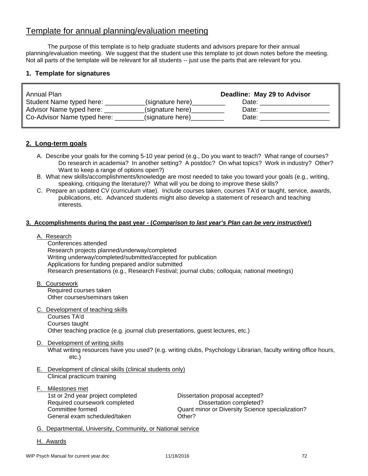# Template for annual planning/evaluation meeting

The purpose of this template is to help graduate students and advisors prepare for their annual planning/evaluation meeting. We suggest that the student use this template to jot down notes before the meeting. Not all parts of the template will be relevant for all students -- just use the parts that are relevant for you.

## **1. Template for signatures**

| Annual Plan                 |                  | Deadline: May 29 to Advisor |
|-----------------------------|------------------|-----------------------------|
| Student Name typed here:    | (signature here) | Date:                       |
| Advisor Name typed here:    | (signature here) | Date:                       |
| Co-Advisor Name typed here: | (signature here) | Date:                       |

# **2. Long-term goals**

- A. Describe your goals for the coming 5-10 year period (e.g., Do you want to teach? What range of courses? Do research in academia? In another setting? A postdoc? On what topics? Work in industry? Other? Want to keep a range of options open?)
- B. What new skills/accomplishments/knowledge are most needed to take you toward your goals (e.g., writing, speaking, critiquing the literature)? What will you be doing to improve these skills?
- C. Prepare an updated CV (curriculum vitae). Include courses taken, courses TA'd or taught, service, awards, publications, etc. Advanced students might also develop a statement of research and teaching interests.

#### **3. Accomplishments during the past year - (***Comparison to last year's Plan can be very instructive!***)**

#### A. Research

 Conferences attended Research projects planned/underway/completed Writing underway/completed/submitted/accepted for publication Applications for funding prepared and/or submitted Research presentations (e.g., Research Festival; journal clubs; colloquia; national meetings)

- B. Coursework Required courses taken Other courses/seminars taken
- C. Development of teaching skills Courses TA'd Courses taught Other teaching practice (e.g. journal club presentations, guest lectures, etc.)
- D. Development of writing skills

 What writing resources have you used? (e.g. writing clubs, Psychology Librarian, faculty writing office hours, etc.)

- E. Development of clinical skills (clinical students only) Clinical practicum training
- F. Milestones met 1st or 2nd year project completed Dissertation proposal accepted? Required coursework completed Dissertation completed? General exam scheduled/taken **Communists** Other?

Committee formed Quant minor or Diversity Science specialization?

- G. Departmental, University, Community, or National service
- H. Awards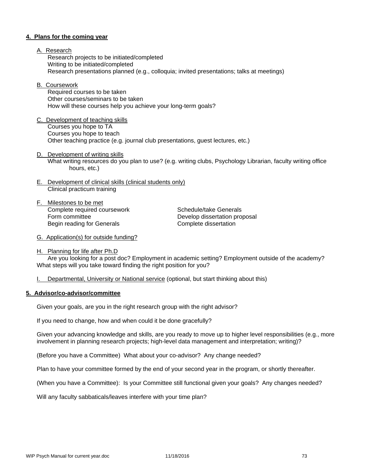#### **4. Plans for the coming year**

- A. Research Research projects to be initiated/completed Writing to be initiated/completed Research presentations planned (e.g., colloquia; invited presentations; talks at meetings)
- B. Coursework

 Required courses to be taken Other courses/seminars to be taken How will these courses help you achieve your long-term goals?

- C. Development of teaching skills Courses you hope to TA Courses you hope to teach Other teaching practice (e.g. journal club presentations, guest lectures, etc.)
- D. Development of writing skills What writing resources do you plan to use? (e.g. writing clubs, Psychology Librarian, faculty writing office hours, etc.)
- E. Development of clinical skills (clinical students only) Clinical practicum training
- F. Milestones to be met Complete required coursework Schedule/take Generals Form committee **Develop dissertation proposal** Begin reading for Generals **Complete** dissertation

- G. Application(s) for outside funding?
- H. Planning for life after Ph.D

 Are you looking for a post doc? Employment in academic setting? Employment outside of the academy? What steps will you take toward finding the right position for you?

I. Departmental, University or National service (optional, but start thinking about this)

#### **5. Advisor/co-advisor/committee**

Given your goals, are you in the right research group with the right advisor?

If you need to change, how and when could it be done gracefully?

Given your advancing knowledge and skills, are you ready to move up to higher level responsibilities (e.g., more involvement in planning research projects; high-level data management and interpretation; writing)?

(Before you have a Committee) What about your co-advisor? Any change needed?

Plan to have your committee formed by the end of your second year in the program, or shortly thereafter.

(When you have a Committee): Is your Committee still functional given your goals? Any changes needed?

Will any faculty sabbaticals/leaves interfere with your time plan?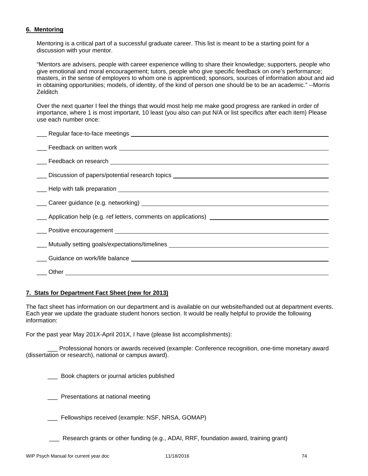## **6. Mentoring**

Mentoring is a critical part of a successful graduate career. This list is meant to be a starting point for a discussion with your mentor.

"Mentors are advisers, people with career experience willing to share their knowledge; supporters, people who give emotional and moral encouragement; tutors, people who give specific feedback on one's performance; masters, in the sense of employers to whom one is apprenticed; sponsors, sources of information about and aid in obtaining opportunities; models, of identity, of the kind of person one should be to be an academic." --Morris **Zelditch** 

Over the next quarter I feel the things that would most help me make good progress are ranked in order of importance, where 1 is most important, 10 least (you also can put N/A or list specifics after each item) Please use each number once:

| Career guidance (e.g. networking) example and the contract of the contract of the contract of the contract of the contract of the contract of the contract of the contract of the contract of the contract of the contract of |
|-------------------------------------------------------------------------------------------------------------------------------------------------------------------------------------------------------------------------------|
| ____ Application help (e.g. ref letters, comments on applications) _________________________________                                                                                                                          |
|                                                                                                                                                                                                                               |
|                                                                                                                                                                                                                               |
|                                                                                                                                                                                                                               |
|                                                                                                                                                                                                                               |
|                                                                                                                                                                                                                               |

#### **7. Stats for Department Fact Sheet (new for 2013)**

The fact sheet has information on our department and is available on our website/handed out at department events. Each year we update the graduate student honors section. It would be really helpful to provide the following information:

For the past year May 201X-April 201X, I have (please list accomplishments):

 \_\_\_ Professional honors or awards received (example: Conference recognition, one-time monetary award (dissertation or research), national or campus award).

\_\_\_ Book chapters or journal articles published

\_\_\_ Presentations at national meeting

Fellowships received (example: NSF, NRSA, GOMAP)

\_\_\_ Research grants or other funding (e.g., ADAI, RRF, foundation award, training grant)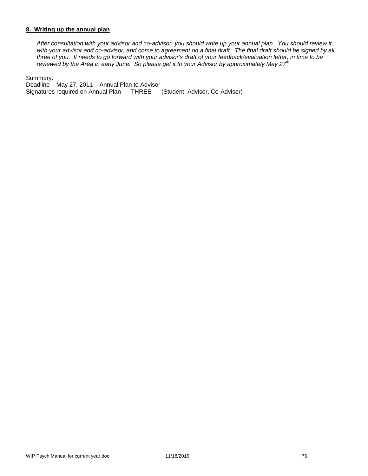### **8. Writing up the annual plan**

*After consultation with your advisor and co-advisor, you should write up your annual plan. You should review it*  with your advisor and co-advisor, and come to agreement on a final draft. The final draft should be signed by all *three of you. It needs to go forward with your advisor's draft of your feedback/evaluation letter, in time to be reviewed by the Area in early June. So please get it to your Advisor by approximately May 27th* 

Summary:

Deadline – May 27, 2011 – Annual Plan to Advisor Signatures required on Annual Plan – THREE – (Student, Advisor, Co-Advisor)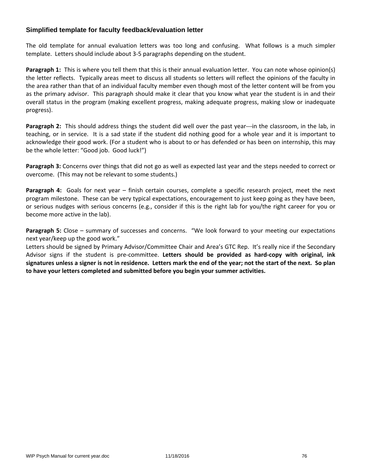# **Simplified template for faculty feedback/evaluation letter**

The old template for annual evaluation letters was too long and confusing. What follows is a much simpler template. Letters should include about 3‐5 paragraphs depending on the student.

**Paragraph 1:** This is where you tell them that this is their annual evaluation letter. You can note whose opinion(s) the letter reflects. Typically areas meet to discuss all students so letters will reflect the opinions of the faculty in the area rather than that of an individual faculty member even though most of the letter content will be from you as the primary advisor. This paragraph should make it clear that you know what year the student is in and their overall status in the program (making excellent progress, making adequate progress, making slow or inadequate progress).

**Paragraph 2:** This should address things the student did well over the past year---in the classroom, in the lab, in teaching, or in service. It is a sad state if the student did nothing good for a whole year and it is important to acknowledge their good work. (For a student who is about to or has defended or has been on internship, this may be the whole letter: "Good job. Good luck!")

**Paragraph 3:** Concerns over things that did not go as well as expected last year and the steps needed to correct or overcome. (This may not be relevant to some students.)

**Paragraph 4:** Goals for next year – finish certain courses, complete a specific research project, meet the next program milestone. These can be very typical expectations, encouragement to just keep going as they have been, or serious nudges with serious concerns (e.g., consider if this is the right lab for you/the right career for you or become more active in the lab).

**Paragraph 5:** Close – summary of successes and concerns. "We look forward to your meeting our expectations next year/keep up the good work."

Letters should be signed by Primary Advisor/Committee Chair and Area's GTC Rep. It's really nice if the Secondary Advisor signs if the student is pre‐committee. **Letters should be provided as hard‐copy with original, ink** signatures unless a signer is not in residence. Letters mark the end of the year; not the start of the next. So plan **to have your letters completed and submitted before you begin your summer activities.**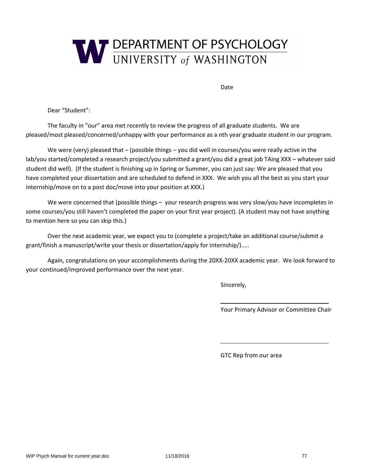

Date

Dear "Student":

The faculty in "our" area met recently to review the progress of all graduate students. We are pleased/most pleased/concerned/unhappy with your performance as a nth year graduate student in our program.

We were (very) pleased that – (possible things – you did well in courses/you were really active in the lab/you started/completed a research project/you submitted a grant/you did a great job TAing XXX – whatever said student did well). (If the student is finishing up in Spring or Summer, you can just say: We are pleased that you have completed your dissertation and are scheduled to defend in XXX. We wish you all the best as you start your internship/move on to a post doc/move into your position at XXX.)

We were concerned that (possible things – your research progress was very slow/you have incompletes in some courses/you still haven't completed the paper on your first year project). (A student may not have anything to mention here so you can skip this.)

Over the next academic year, we expect you to (complete a project/take an additional course/submit a grant/finish a manuscript/write your thesis or dissertation/apply for internship/)…..

Again, congratulations on your accomplishments during the 20XX‐20XX academic year. We look forward to your continued/improved performance over the next year.

<u> 1989 - Johann Stein, fransk politiker (d. 1989)</u>

<u> 1989 - John Stein, Amerikaansk politiker († 1989)</u>

Sincerely,

Your Primary Advisor or Committee Chair

GTC Rep from our area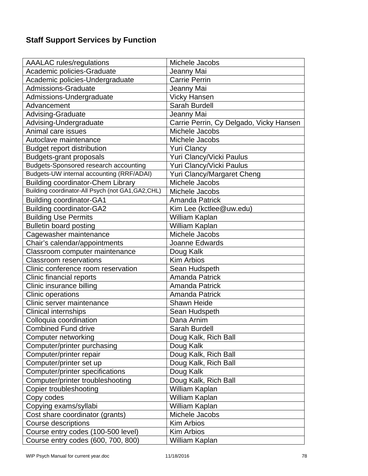# **Staff Support Services by Function**

| <b>AAALAC</b> rules/regulations                    | Michele Jacobs                          |
|----------------------------------------------------|-----------------------------------------|
| Academic policies-Graduate                         | Jeanny Mai                              |
| Academic policies-Undergraduate                    | <b>Carrie Perrin</b>                    |
| <b>Admissions-Graduate</b>                         | Jeanny Mai                              |
| Admissions-Undergraduate                           | <b>Vicky Hansen</b>                     |
| Advancement                                        | Sarah Burdell                           |
| Advising-Graduate                                  | Jeanny Mai                              |
| Advising-Undergraduate                             | Carrie Perrin, Cy Delgado, Vicky Hansen |
| Animal care issues                                 | Michele Jacobs                          |
| Autoclave maintenance                              | Michele Jacobs                          |
| <b>Budget report distribution</b>                  | <b>Yuri Clancy</b>                      |
| <b>Budgets-grant proposals</b>                     | Yuri Clancy/Vicki Paulus                |
| Budgets-Sponsored research accounting              | Yuri Clancy/Vicki Paulus                |
| Budgets-UW internal accounting (RRF/ADAI)          | Yuri Clancy/Margaret Cheng              |
| <b>Building coordinator-Chem Library</b>           | Michele Jacobs                          |
| Building coordinator-All Psych (not GA1, GA2, CHL) | Michele Jacobs                          |
| <b>Building coordinator-GA1</b>                    | <b>Amanda Patrick</b>                   |
| <b>Building coordinator-GA2</b>                    | Kim Lee (kctlee@uw.edu)                 |
| <b>Building Use Permits</b>                        | William Kaplan                          |
| <b>Bulletin board posting</b>                      | William Kaplan                          |
| Cagewasher maintenance                             | Michele Jacobs                          |
| Chair's calendar/appointments                      | Joanne Edwards                          |
| Classroom computer maintenance                     | Doug Kalk                               |
| <b>Classroom reservations</b>                      | <b>Kim Arbios</b>                       |
| Clinic conference room reservation                 | Sean Hudspeth                           |
| Clinic financial reports                           | <b>Amanda Patrick</b>                   |
| Clinic insurance billing                           | <b>Amanda Patrick</b>                   |
| Clinic operations                                  | <b>Amanda Patrick</b>                   |
| Clinic server maintenance                          | Shawn Heide                             |
| <b>Clinical internships</b>                        | Sean Hudspeth                           |
| Colloquia coordination                             | Dana Arnim                              |
| <b>Combined Fund drive</b>                         | Sarah Burdell                           |
| Computer networking                                | Doug Kalk, Rich Ball                    |
| Computer/printer purchasing                        | Doug Kalk                               |
| Computer/printer repair                            | Doug Kalk, Rich Ball                    |
| Computer/printer set up                            | Doug Kalk, Rich Ball                    |
| Computer/printer specifications                    | Doug Kalk                               |
| Computer/printer troubleshooting                   | Doug Kalk, Rich Ball                    |
| Copier troubleshooting                             | William Kaplan                          |
| Copy codes                                         | William Kaplan                          |
| Copying exams/syllabi                              | William Kaplan                          |
| Cost share coordinator (grants)                    | Michele Jacobs                          |
| Course descriptions                                | <b>Kim Arbios</b>                       |
| Course entry codes (100-500 level)                 | <b>Kim Arbios</b>                       |
| Course entry codes (600, 700, 800)                 | William Kaplan                          |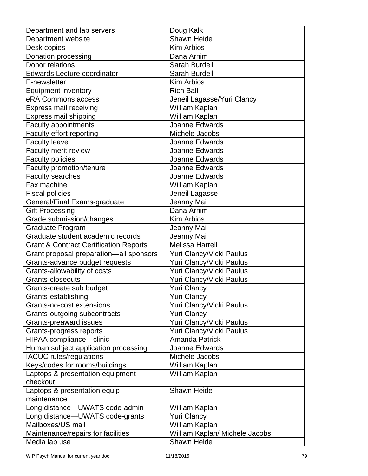| Department and lab servers                        | Doug Kalk                      |
|---------------------------------------------------|--------------------------------|
| Department website                                | Shawn Heide                    |
| Desk copies                                       | <b>Kim Arbios</b>              |
| Donation processing                               | Dana Arnim                     |
| Donor relations                                   | Sarah Burdell                  |
| <b>Edwards Lecture coordinator</b>                | Sarah Burdell                  |
| E-newsletter                                      | <b>Kim Arbios</b>              |
| <b>Equipment inventory</b>                        | <b>Rich Ball</b>               |
| eRA Commons access                                | Jeneil Lagasse/Yuri Clancy     |
| <b>Express mail receiving</b>                     | William Kaplan                 |
| Express mail shipping                             | William Kaplan                 |
| <b>Faculty appointments</b>                       | Joanne Edwards                 |
| Faculty effort reporting                          | Michele Jacobs                 |
| <b>Faculty leave</b>                              | Joanne Edwards                 |
| Faculty merit review                              | Joanne Edwards                 |
| <b>Faculty policies</b>                           | Joanne Edwards                 |
| Faculty promotion/tenure                          | Joanne Edwards                 |
| <b>Faculty searches</b>                           | Joanne Edwards                 |
| Fax machine                                       | William Kaplan                 |
| <b>Fiscal policies</b>                            | Jeneil Lagasse                 |
| General/Final Exams-graduate                      | Jeanny Mai                     |
| <b>Gift Processing</b>                            | Dana Arnim                     |
| Grade submission/changes                          | <b>Kim Arbios</b>              |
| Graduate Program                                  | Jeanny Mai                     |
| Graduate student academic records                 | Jeanny Mai                     |
| <b>Grant &amp; Contract Certification Reports</b> | <b>Melissa Harrell</b>         |
| Grant proposal preparation-all sponsors           | Yuri Clancy/Vicki Paulus       |
| Grants-advance budget requests                    | Yuri Clancy/Vicki Paulus       |
| Grants-allowability of costs                      | Yuri Clancy/Vicki Paulus       |
| Grants-closeouts                                  | Yuri Clancy/Vicki Paulus       |
| Grants-create sub budget                          | <b>Yuri Clancy</b>             |
| Grants-establishing                               | <b>Yuri Clancy</b>             |
| Grants-no-cost extensions                         | Yuri Clancy/Vicki Paulus       |
| Grants-outgoing subcontracts                      | <b>Yuri Clancy</b>             |
| <b>Grants-preaward issues</b>                     | Yuri Clancy/Vicki Paulus       |
| Grants-progress reports                           | Yuri Clancy/Vicki Paulus       |
| HIPAA compliance-clinic                           | <b>Amanda Patrick</b>          |
| Human subject application processing              | Joanne Edwards                 |
| <b>IACUC</b> rules/regulations                    | Michele Jacobs                 |
| Keys/codes for rooms/buildings                    | William Kaplan                 |
| Laptops & presentation equipment--                | William Kaplan                 |
| checkout                                          |                                |
| Laptops & presentation equip--                    | <b>Shawn Heide</b>             |
| maintenance                                       |                                |
| Long distance-UWATS code-admin                    | William Kaplan                 |
| Long distance-UWATS code-grants                   | <b>Yuri Clancy</b>             |
| Mailboxes/US mail                                 | William Kaplan                 |
| Maintenance/repairs for facilities                | William Kaplan/ Michele Jacobs |
| Media lab use                                     | Shawn Heide                    |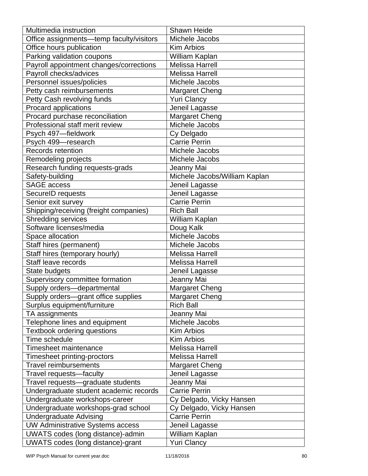| Multimedia instruction                   | <b>Shawn Heide</b>            |
|------------------------------------------|-------------------------------|
| Office assignments-temp faculty/visitors | Michele Jacobs                |
| Office hours publication                 | <b>Kim Arbios</b>             |
| Parking validation coupons               | William Kaplan                |
| Payroll appointment changes/corrections  | <b>Melissa Harrell</b>        |
| Payroll checks/advices                   | <b>Melissa Harrell</b>        |
| Personnel issues/policies                | Michele Jacobs                |
| Petty cash reimbursements                | <b>Margaret Cheng</b>         |
| Petty Cash revolving funds               | <b>Yuri Clancy</b>            |
| Procard applications                     | Jeneil Lagasse                |
| Procard purchase reconciliation          | <b>Margaret Cheng</b>         |
| Professional staff merit review          | Michele Jacobs                |
| Psych 497-fieldwork                      | Cy Delgado                    |
| Psych 499-research                       | <b>Carrie Perrin</b>          |
| Records retention                        | Michele Jacobs                |
| Remodeling projects                      | Michele Jacobs                |
| Research funding requests-grads          | Jeanny Mai                    |
| Safety-building                          | Michele Jacobs/William Kaplan |
| <b>SAGE access</b>                       | Jeneil Lagasse                |
| SecureID requests                        | Jeneil Lagasse                |
| Senior exit survey                       | <b>Carrie Perrin</b>          |
| Shipping/receiving (freight companies)   | <b>Rich Ball</b>              |
| <b>Shredding services</b>                | William Kaplan                |
| Software licenses/media                  | Doug Kalk                     |
| Space allocation                         | Michele Jacobs                |
| Staff hires (permanent)                  | Michele Jacobs                |
| Staff hires (temporary hourly)           | <b>Melissa Harrell</b>        |
| Staff leave records                      | <b>Melissa Harrell</b>        |
| State budgets                            | Jeneil Lagasse                |
| Supervisory committee formation          | Jeanny Mai                    |
| Supply orders-departmental               | <b>Margaret Cheng</b>         |
| Supply orders-grant office supplies      | <b>Margaret Cheng</b>         |
| Surplus equipment/furniture              | <b>Rich Ball</b>              |
| TA assignments                           | Jeanny Mai                    |
| Telephone lines and equipment            | Michele Jacobs                |
| Textbook ordering questions              | <b>Kim Arbios</b>             |
| Time schedule                            | <b>Kim Arbios</b>             |
| <b>Timesheet maintenance</b>             | <b>Melissa Harrell</b>        |
| Timesheet printing-proctors              | <b>Melissa Harrell</b>        |
| <b>Travel reimbursements</b>             | <b>Margaret Cheng</b>         |
| Travel requests-faculty                  | Jeneil Lagasse                |
| Travel requests-graduate students        | Jeanny Mai                    |
| Undergraduate student academic records   | <b>Carrie Perrin</b>          |
| Undergraduate workshops-career           | Cy Delgado, Vicky Hansen      |
| Undergraduate workshops-grad school      | Cy Delgado, Vicky Hansen      |
| <b>Undergraduate Advising</b>            | <b>Carrie Perrin</b>          |
| <b>UW Administrative Systems access</b>  | Jeneil Lagasse                |
| UWATS codes (long distance)-admin        | William Kaplan                |
| UWATS codes (long distance)-grant        | <b>Yuri Clancy</b>            |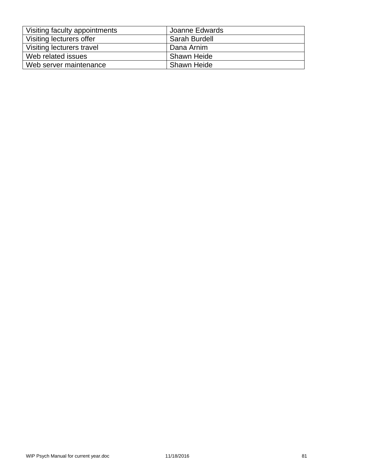| Visiting faculty appointments | Joanne Edwards     |
|-------------------------------|--------------------|
| Visiting lecturers offer      | Sarah Burdell      |
| Visiting lecturers travel     | Dana Arnim         |
| Web related issues            | <b>Shawn Heide</b> |
| Web server maintenance        | <b>Shawn Heide</b> |